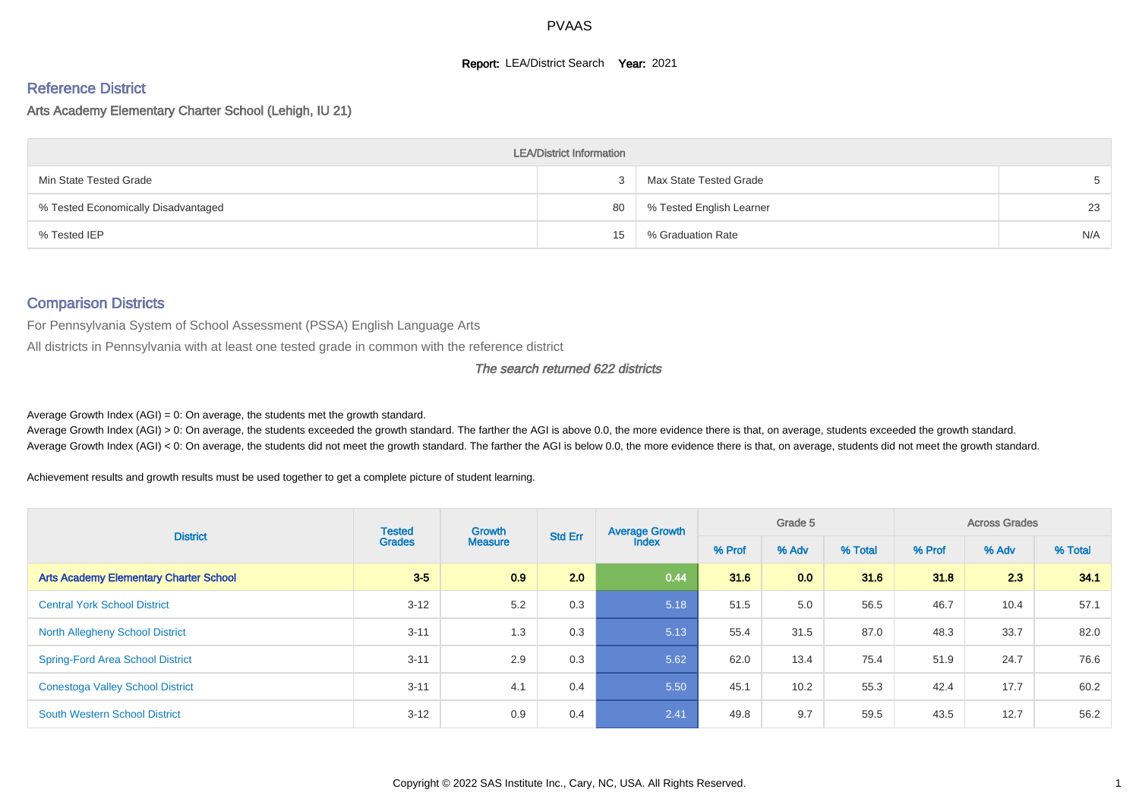## **Report: LEA/District Search Year: 2021**

# Reference District

#### Arts Academy Elementary Charter School (Lehigh, IU 21)

| <b>LEA/District Information</b>     |    |                          |     |  |  |  |  |  |  |
|-------------------------------------|----|--------------------------|-----|--|--|--|--|--|--|
| Min State Tested Grade              |    | Max State Tested Grade   |     |  |  |  |  |  |  |
| % Tested Economically Disadvantaged | 80 | % Tested English Learner | 23  |  |  |  |  |  |  |
| % Tested IEP                        | 15 | % Graduation Rate        | N/A |  |  |  |  |  |  |

#### Comparison Districts

For Pennsylvania System of School Assessment (PSSA) English Language Arts

All districts in Pennsylvania with at least one tested grade in common with the reference district

#### The search returned 622 districts

Average Growth Index  $(AGI) = 0$ : On average, the students met the growth standard.

Average Growth Index (AGI) > 0: On average, the students exceeded the growth standard. The farther the AGI is above 0.0, the more evidence there is that, on average, students exceeded the growth standard. Average Growth Index (AGI) < 0: On average, the students did not meet the growth standard. The farther the AGI is below 0.0, the more evidence there is that, on average, students did not meet the growth standard.

Achievement results and growth results must be used together to get a complete picture of student learning.

| <b>District</b>                               | <b>Tested</b> | Growth<br><b>Grades</b><br><b>Measure</b> | <b>Std Err</b> | <b>Average Growth</b> |      | Grade 5 |         |        | <b>Across Grades</b> |         |
|-----------------------------------------------|---------------|-------------------------------------------|----------------|-----------------------|------|---------|---------|--------|----------------------|---------|
|                                               |               |                                           |                | <b>Index</b>          |      | % Adv   | % Total | % Prof | % Adv                | % Total |
| <b>Arts Academy Elementary Charter School</b> | $3 - 5$       | 0.9                                       | 2.0            | 0.44                  | 31.6 | 0.0     | 31.6    | 31.8   | 2.3                  | 34.1    |
| <b>Central York School District</b>           | $3 - 12$      | 5.2                                       | 0.3            | 5.18                  | 51.5 | 5.0     | 56.5    | 46.7   | 10.4                 | 57.1    |
| <b>North Allegheny School District</b>        | $3 - 11$      | 1.3                                       | 0.3            | 5.13                  | 55.4 | 31.5    | 87.0    | 48.3   | 33.7                 | 82.0    |
| <b>Spring-Ford Area School District</b>       | $3 - 11$      | 2.9                                       | 0.3            | 5.62                  | 62.0 | 13.4    | 75.4    | 51.9   | 24.7                 | 76.6    |
| <b>Conestoga Valley School District</b>       | $3 - 11$      | 4.1                                       | 0.4            | 5.50                  | 45.1 | 10.2    | 55.3    | 42.4   | 17.7                 | 60.2    |
| <b>South Western School District</b>          | $3 - 12$      | 0.9                                       | 0.4            | 2.41                  | 49.8 | 9.7     | 59.5    | 43.5   | 12.7                 | 56.2    |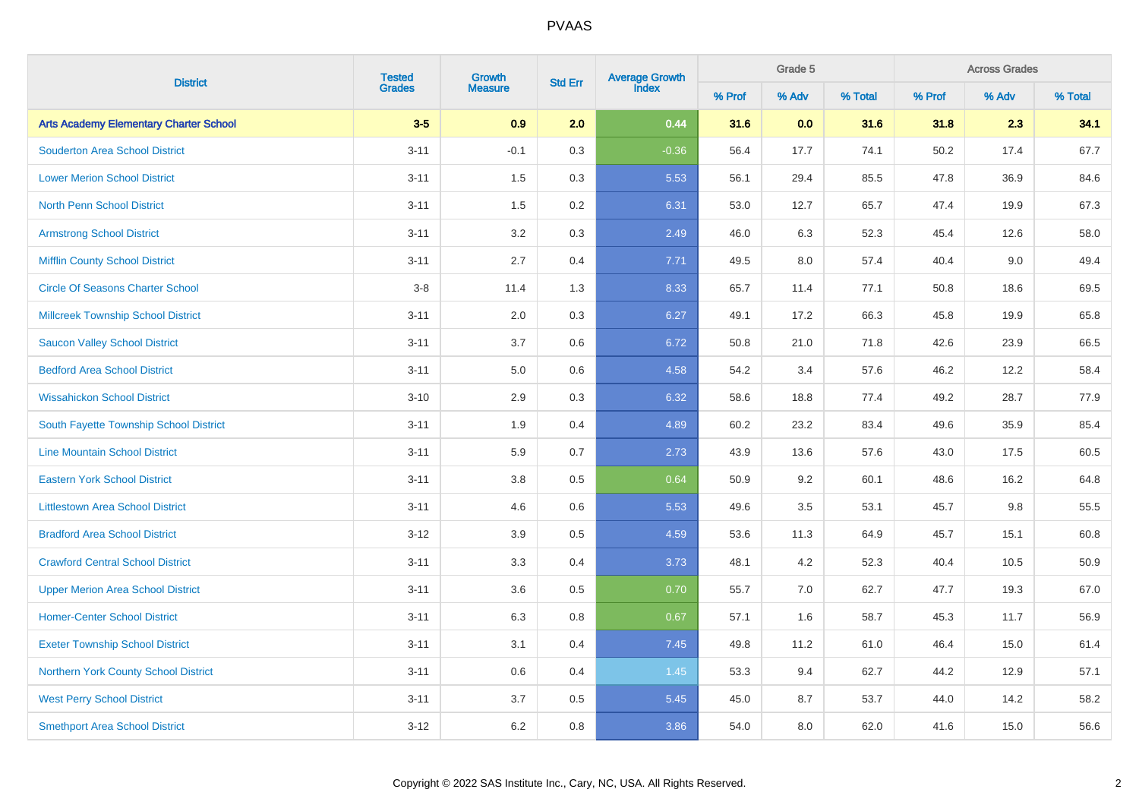|                                               | <b>Tested</b> | Growth         |         | Average Growth<br>Index<br><b>Std Err</b> |        | <b>Across Grades</b><br>Grade 5 |         |        |       |         |
|-----------------------------------------------|---------------|----------------|---------|-------------------------------------------|--------|---------------------------------|---------|--------|-------|---------|
| <b>District</b>                               | <b>Grades</b> | <b>Measure</b> |         |                                           | % Prof | % Adv                           | % Total | % Prof | % Adv | % Total |
| <b>Arts Academy Elementary Charter School</b> | $3-5$         | 0.9            | 2.0     | 0.44                                      | 31.6   | 0.0                             | 31.6    | 31.8   | 2.3   | 34.1    |
| <b>Souderton Area School District</b>         | $3 - 11$      | $-0.1$         | 0.3     | $-0.36$                                   | 56.4   | 17.7                            | 74.1    | 50.2   | 17.4  | 67.7    |
| <b>Lower Merion School District</b>           | $3 - 11$      | 1.5            | 0.3     | 5.53                                      | 56.1   | 29.4                            | 85.5    | 47.8   | 36.9  | 84.6    |
| <b>North Penn School District</b>             | $3 - 11$      | 1.5            | 0.2     | 6.31                                      | 53.0   | 12.7                            | 65.7    | 47.4   | 19.9  | 67.3    |
| <b>Armstrong School District</b>              | $3 - 11$      | 3.2            | 0.3     | 2.49                                      | 46.0   | 6.3                             | 52.3    | 45.4   | 12.6  | 58.0    |
| <b>Mifflin County School District</b>         | $3 - 11$      | 2.7            | 0.4     | 7.71                                      | 49.5   | 8.0                             | 57.4    | 40.4   | 9.0   | 49.4    |
| <b>Circle Of Seasons Charter School</b>       | $3-8$         | 11.4           | 1.3     | 8.33                                      | 65.7   | 11.4                            | 77.1    | 50.8   | 18.6  | 69.5    |
| <b>Millcreek Township School District</b>     | $3 - 11$      | 2.0            | 0.3     | 6.27                                      | 49.1   | 17.2                            | 66.3    | 45.8   | 19.9  | 65.8    |
| <b>Saucon Valley School District</b>          | $3 - 11$      | 3.7            | 0.6     | 6.72                                      | 50.8   | 21.0                            | 71.8    | 42.6   | 23.9  | 66.5    |
| <b>Bedford Area School District</b>           | $3 - 11$      | 5.0            | 0.6     | 4.58                                      | 54.2   | 3.4                             | 57.6    | 46.2   | 12.2  | 58.4    |
| <b>Wissahickon School District</b>            | $3 - 10$      | $2.9\,$        | 0.3     | 6.32                                      | 58.6   | 18.8                            | 77.4    | 49.2   | 28.7  | 77.9    |
| South Fayette Township School District        | $3 - 11$      | 1.9            | 0.4     | 4.89                                      | 60.2   | 23.2                            | 83.4    | 49.6   | 35.9  | 85.4    |
| <b>Line Mountain School District</b>          | $3 - 11$      | 5.9            | 0.7     | 2.73                                      | 43.9   | 13.6                            | 57.6    | 43.0   | 17.5  | 60.5    |
| <b>Eastern York School District</b>           | $3 - 11$      | 3.8            | 0.5     | 0.64                                      | 50.9   | 9.2                             | 60.1    | 48.6   | 16.2  | 64.8    |
| <b>Littlestown Area School District</b>       | $3 - 11$      | 4.6            | 0.6     | 5.53                                      | 49.6   | 3.5                             | 53.1    | 45.7   | 9.8   | 55.5    |
| <b>Bradford Area School District</b>          | $3 - 12$      | 3.9            | 0.5     | 4.59                                      | 53.6   | 11.3                            | 64.9    | 45.7   | 15.1  | 60.8    |
| <b>Crawford Central School District</b>       | $3 - 11$      | 3.3            | 0.4     | 3.73                                      | 48.1   | 4.2                             | 52.3    | 40.4   | 10.5  | 50.9    |
| <b>Upper Merion Area School District</b>      | $3 - 11$      | 3.6            | 0.5     | 0.70                                      | 55.7   | 7.0                             | 62.7    | 47.7   | 19.3  | 67.0    |
| <b>Homer-Center School District</b>           | $3 - 11$      | 6.3            | 0.8     | 0.67                                      | 57.1   | 1.6                             | 58.7    | 45.3   | 11.7  | 56.9    |
| <b>Exeter Township School District</b>        | $3 - 11$      | 3.1            | 0.4     | 7.45                                      | 49.8   | 11.2                            | 61.0    | 46.4   | 15.0  | 61.4    |
| <b>Northern York County School District</b>   | $3 - 11$      | 0.6            | 0.4     | 1.45                                      | 53.3   | 9.4                             | 62.7    | 44.2   | 12.9  | 57.1    |
| <b>West Perry School District</b>             | $3 - 11$      | 3.7            | $0.5\,$ | 5.45                                      | 45.0   | 8.7                             | 53.7    | 44.0   | 14.2  | 58.2    |
| <b>Smethport Area School District</b>         | $3 - 12$      | 6.2            | 0.8     | 3.86                                      | 54.0   | 8.0                             | 62.0    | 41.6   | 15.0  | 56.6    |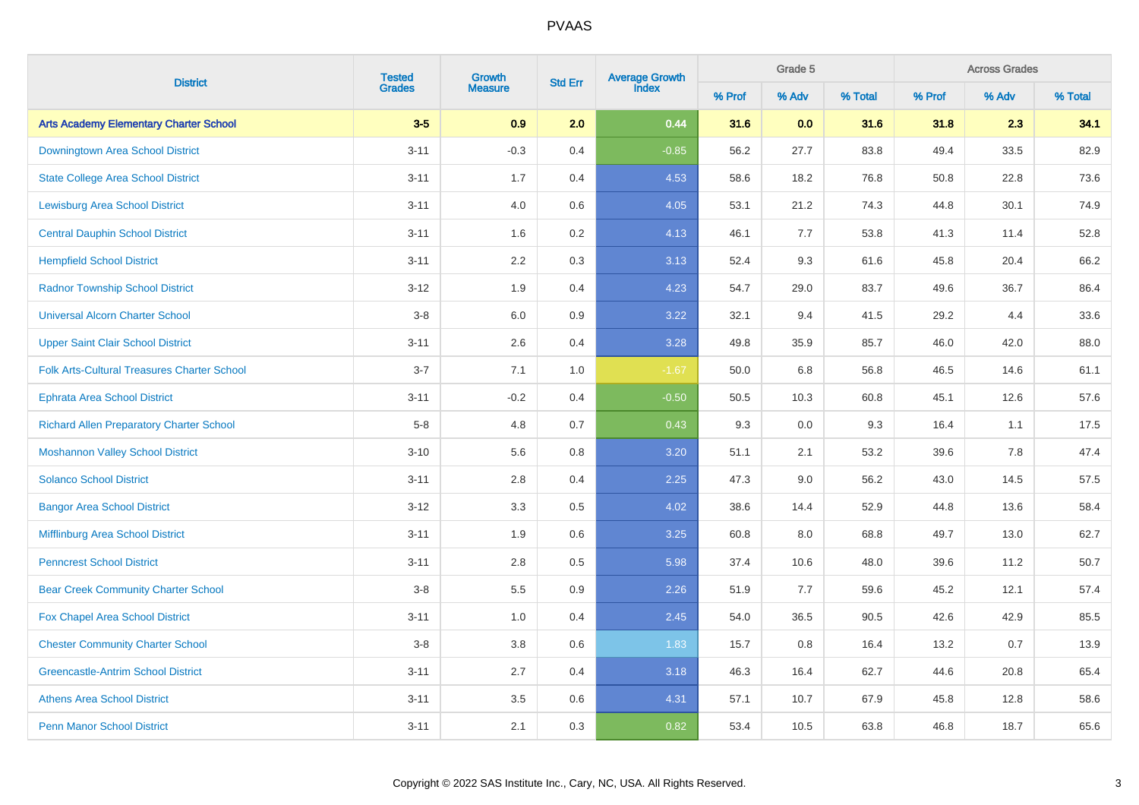| <b>District</b>                                    | <b>Tested</b><br>Growth |                | <b>Std Err</b> | Average Growth<br>Index |        | Grade 5 |         | <b>Across Grades</b> |       |         |  |
|----------------------------------------------------|-------------------------|----------------|----------------|-------------------------|--------|---------|---------|----------------------|-------|---------|--|
|                                                    | <b>Grades</b>           | <b>Measure</b> |                |                         | % Prof | % Adv   | % Total | % Prof               | % Adv | % Total |  |
| <b>Arts Academy Elementary Charter School</b>      | $3-5$                   | 0.9            | 2.0            | 0.44                    | 31.6   | 0.0     | 31.6    | 31.8                 | 2.3   | 34.1    |  |
| Downingtown Area School District                   | $3 - 11$                | $-0.3$         | 0.4            | $-0.85$                 | 56.2   | 27.7    | 83.8    | 49.4                 | 33.5  | 82.9    |  |
| <b>State College Area School District</b>          | $3 - 11$                | 1.7            | 0.4            | 4.53                    | 58.6   | 18.2    | 76.8    | 50.8                 | 22.8  | 73.6    |  |
| <b>Lewisburg Area School District</b>              | $3 - 11$                | 4.0            | 0.6            | 4.05                    | 53.1   | 21.2    | 74.3    | 44.8                 | 30.1  | 74.9    |  |
| <b>Central Dauphin School District</b>             | $3 - 11$                | 1.6            | 0.2            | 4.13                    | 46.1   | 7.7     | 53.8    | 41.3                 | 11.4  | 52.8    |  |
| <b>Hempfield School District</b>                   | $3 - 11$                | 2.2            | 0.3            | 3.13                    | 52.4   | 9.3     | 61.6    | 45.8                 | 20.4  | 66.2    |  |
| <b>Radnor Township School District</b>             | $3 - 12$                | 1.9            | 0.4            | 4.23                    | 54.7   | 29.0    | 83.7    | 49.6                 | 36.7  | 86.4    |  |
| <b>Universal Alcorn Charter School</b>             | $3-8$                   | 6.0            | 0.9            | 3.22                    | 32.1   | 9.4     | 41.5    | 29.2                 | 4.4   | 33.6    |  |
| <b>Upper Saint Clair School District</b>           | $3 - 11$                | 2.6            | 0.4            | 3.28                    | 49.8   | 35.9    | 85.7    | 46.0                 | 42.0  | 88.0    |  |
| <b>Folk Arts-Cultural Treasures Charter School</b> | $3 - 7$                 | 7.1            | 1.0            | $-1.67$                 | 50.0   | 6.8     | 56.8    | 46.5                 | 14.6  | 61.1    |  |
| <b>Ephrata Area School District</b>                | $3 - 11$                | $-0.2$         | 0.4            | $-0.50$                 | 50.5   | 10.3    | 60.8    | 45.1                 | 12.6  | 57.6    |  |
| <b>Richard Allen Preparatory Charter School</b>    | $5-8$                   | 4.8            | 0.7            | 0.43                    | 9.3    | 0.0     | 9.3     | 16.4                 | 1.1   | 17.5    |  |
| <b>Moshannon Valley School District</b>            | $3 - 10$                | 5.6            | 0.8            | 3.20                    | 51.1   | 2.1     | 53.2    | 39.6                 | 7.8   | 47.4    |  |
| <b>Solanco School District</b>                     | $3 - 11$                | 2.8            | 0.4            | 2.25                    | 47.3   | 9.0     | 56.2    | 43.0                 | 14.5  | 57.5    |  |
| <b>Bangor Area School District</b>                 | $3 - 12$                | 3.3            | 0.5            | 4.02                    | 38.6   | 14.4    | 52.9    | 44.8                 | 13.6  | 58.4    |  |
| Mifflinburg Area School District                   | $3 - 11$                | 1.9            | 0.6            | 3.25                    | 60.8   | 8.0     | 68.8    | 49.7                 | 13.0  | 62.7    |  |
| <b>Penncrest School District</b>                   | $3 - 11$                | 2.8            | 0.5            | 5.98                    | 37.4   | 10.6    | 48.0    | 39.6                 | 11.2  | 50.7    |  |
| <b>Bear Creek Community Charter School</b>         | $3-8$                   | 5.5            | 0.9            | 2.26                    | 51.9   | 7.7     | 59.6    | 45.2                 | 12.1  | 57.4    |  |
| <b>Fox Chapel Area School District</b>             | $3 - 11$                | 1.0            | 0.4            | 2.45                    | 54.0   | 36.5    | 90.5    | 42.6                 | 42.9  | 85.5    |  |
| <b>Chester Community Charter School</b>            | $3-8$                   | 3.8            | 0.6            | 1.83                    | 15.7   | 0.8     | 16.4    | 13.2                 | 0.7   | 13.9    |  |
| <b>Greencastle-Antrim School District</b>          | $3 - 11$                | 2.7            | 0.4            | 3.18                    | 46.3   | 16.4    | 62.7    | 44.6                 | 20.8  | 65.4    |  |
| <b>Athens Area School District</b>                 | $3 - 11$                | 3.5            | 0.6            | 4.31                    | 57.1   | 10.7    | 67.9    | 45.8                 | 12.8  | 58.6    |  |
| <b>Penn Manor School District</b>                  | $3 - 11$                | 2.1            | 0.3            | 0.82                    | 53.4   | 10.5    | 63.8    | 46.8                 | 18.7  | 65.6    |  |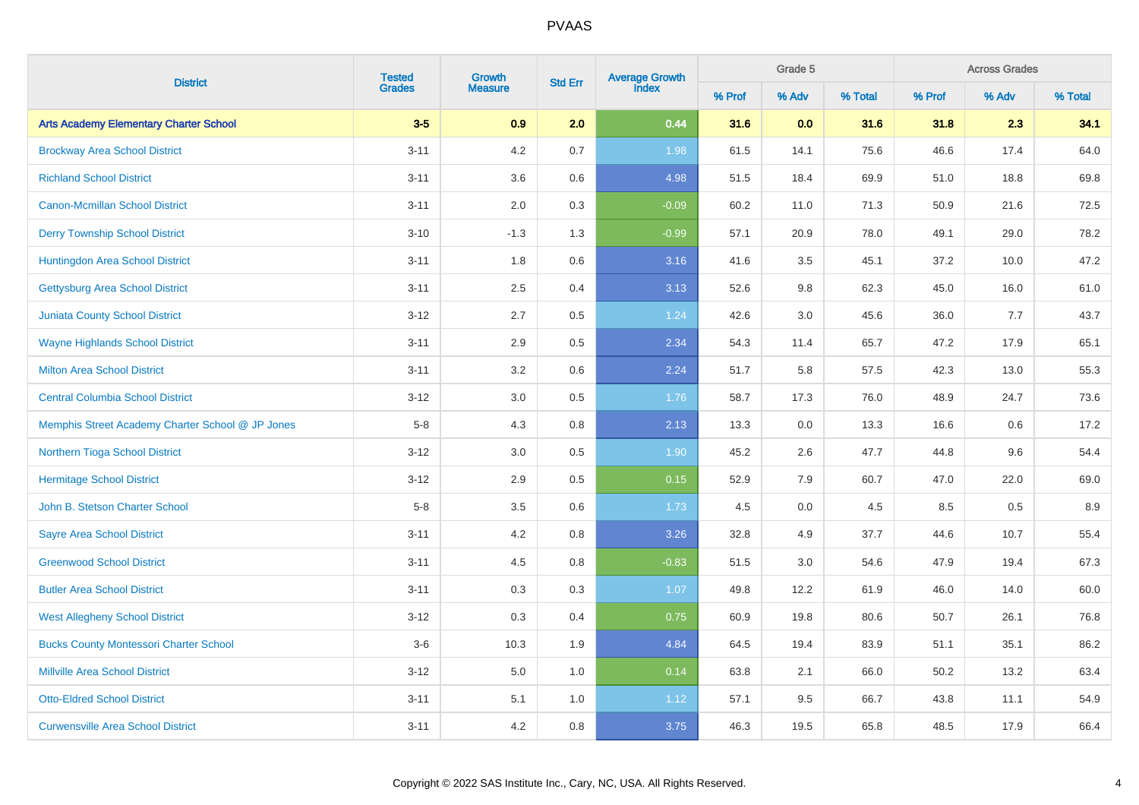|                                                  |          | <b>Tested</b><br>Grades<br>Growth |         | Average Growth<br>Index<br><b>Std Err</b> |        | Grade 5 |         | <b>Across Grades</b> |       |         |  |
|--------------------------------------------------|----------|-----------------------------------|---------|-------------------------------------------|--------|---------|---------|----------------------|-------|---------|--|
| <b>District</b>                                  |          | <b>Measure</b>                    |         |                                           | % Prof | % Adv   | % Total | % Prof               | % Adv | % Total |  |
| <b>Arts Academy Elementary Charter School</b>    | $3-5$    | 0.9                               | 2.0     | 0.44                                      | 31.6   | 0.0     | 31.6    | 31.8                 | 2.3   | 34.1    |  |
| <b>Brockway Area School District</b>             | $3 - 11$ | 4.2                               | 0.7     | 1.98                                      | 61.5   | 14.1    | 75.6    | 46.6                 | 17.4  | 64.0    |  |
| <b>Richland School District</b>                  | $3 - 11$ | 3.6                               | 0.6     | 4.98                                      | 51.5   | 18.4    | 69.9    | 51.0                 | 18.8  | 69.8    |  |
| <b>Canon-Mcmillan School District</b>            | $3 - 11$ | 2.0                               | 0.3     | $-0.09$                                   | 60.2   | 11.0    | 71.3    | 50.9                 | 21.6  | 72.5    |  |
| <b>Derry Township School District</b>            | $3 - 10$ | $-1.3$                            | 1.3     | $-0.99$                                   | 57.1   | 20.9    | 78.0    | 49.1                 | 29.0  | 78.2    |  |
| Huntingdon Area School District                  | $3 - 11$ | 1.8                               | $0.6\,$ | 3.16                                      | 41.6   | $3.5\,$ | 45.1    | 37.2                 | 10.0  | 47.2    |  |
| <b>Gettysburg Area School District</b>           | $3 - 11$ | $2.5\,$                           | 0.4     | 3.13                                      | 52.6   | 9.8     | 62.3    | 45.0                 | 16.0  | 61.0    |  |
| <b>Juniata County School District</b>            | $3 - 12$ | 2.7                               | 0.5     | 1.24                                      | 42.6   | 3.0     | 45.6    | 36.0                 | 7.7   | 43.7    |  |
| <b>Wayne Highlands School District</b>           | $3 - 11$ | 2.9                               | 0.5     | 2.34                                      | 54.3   | 11.4    | 65.7    | 47.2                 | 17.9  | 65.1    |  |
| <b>Milton Area School District</b>               | $3 - 11$ | 3.2                               | $0.6\,$ | 2.24                                      | 51.7   | 5.8     | 57.5    | 42.3                 | 13.0  | 55.3    |  |
| <b>Central Columbia School District</b>          | $3 - 12$ | 3.0                               | $0.5\,$ | 1.76                                      | 58.7   | 17.3    | 76.0    | 48.9                 | 24.7  | 73.6    |  |
| Memphis Street Academy Charter School @ JP Jones | $5-8$    | 4.3                               | $0.8\,$ | 2.13                                      | 13.3   | $0.0\,$ | 13.3    | 16.6                 | 0.6   | 17.2    |  |
| Northern Tioga School District                   | $3 - 12$ | 3.0                               | $0.5\,$ | 1.90                                      | 45.2   | 2.6     | 47.7    | 44.8                 | 9.6   | 54.4    |  |
| <b>Hermitage School District</b>                 | $3 - 12$ | $2.9\,$                           | 0.5     | 0.15                                      | 52.9   | 7.9     | 60.7    | 47.0                 | 22.0  | 69.0    |  |
| John B. Stetson Charter School                   | $5-8$    | 3.5                               | 0.6     | 1.73                                      | 4.5    | $0.0\,$ | 4.5     | 8.5                  | 0.5   | $8.9\,$ |  |
| <b>Sayre Area School District</b>                | $3 - 11$ | 4.2                               | 0.8     | 3.26                                      | 32.8   | 4.9     | 37.7    | 44.6                 | 10.7  | 55.4    |  |
| <b>Greenwood School District</b>                 | $3 - 11$ | 4.5                               | 0.8     | $-0.83$                                   | 51.5   | 3.0     | 54.6    | 47.9                 | 19.4  | 67.3    |  |
| <b>Butler Area School District</b>               | $3 - 11$ | 0.3                               | 0.3     | 1.07                                      | 49.8   | 12.2    | 61.9    | 46.0                 | 14.0  | 60.0    |  |
| <b>West Allegheny School District</b>            | $3 - 12$ | 0.3                               | 0.4     | 0.75                                      | 60.9   | 19.8    | 80.6    | 50.7                 | 26.1  | 76.8    |  |
| <b>Bucks County Montessori Charter School</b>    | $3-6$    | 10.3                              | 1.9     | 4.84                                      | 64.5   | 19.4    | 83.9    | 51.1                 | 35.1  | 86.2    |  |
| <b>Millville Area School District</b>            | $3 - 12$ | 5.0                               | 1.0     | 0.14                                      | 63.8   | 2.1     | 66.0    | 50.2                 | 13.2  | 63.4    |  |
| <b>Otto-Eldred School District</b>               | $3 - 11$ | 5.1                               | 1.0     | 1.12                                      | 57.1   | 9.5     | 66.7    | 43.8                 | 11.1  | 54.9    |  |
| <b>Curwensville Area School District</b>         | $3 - 11$ | 4.2                               | 0.8     | 3.75                                      | 46.3   | 19.5    | 65.8    | 48.5                 | 17.9  | 66.4    |  |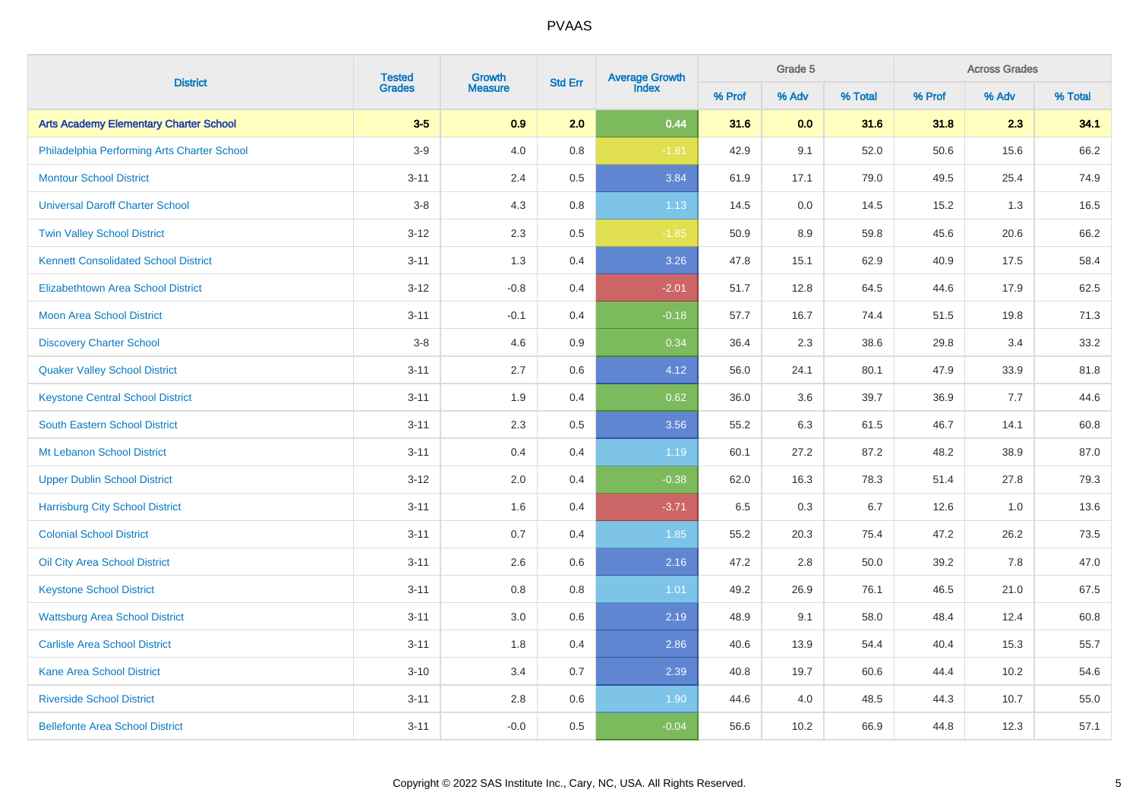|                                               | <b>Tested</b> |                | Growth<br><b>Std Err</b> |         |        | Grade 5<br><b>Average Growth</b><br>Index |         |        |       | <b>Across Grades</b> |  |  |  |
|-----------------------------------------------|---------------|----------------|--------------------------|---------|--------|-------------------------------------------|---------|--------|-------|----------------------|--|--|--|
| <b>District</b>                               | <b>Grades</b> | <b>Measure</b> |                          |         | % Prof | % Adv                                     | % Total | % Prof | % Adv | % Total              |  |  |  |
| <b>Arts Academy Elementary Charter School</b> | $3-5$         | 0.9            | 2.0                      | 0.44    | 31.6   | 0.0                                       | 31.6    | 31.8   | 2.3   | 34.1                 |  |  |  |
| Philadelphia Performing Arts Charter School   | $3-9$         | 4.0            | $0.8\,$                  | $-1.81$ | 42.9   | 9.1                                       | 52.0    | 50.6   | 15.6  | 66.2                 |  |  |  |
| <b>Montour School District</b>                | $3 - 11$      | 2.4            | 0.5                      | 3.84    | 61.9   | 17.1                                      | 79.0    | 49.5   | 25.4  | 74.9                 |  |  |  |
| <b>Universal Daroff Charter School</b>        | $3-8$         | 4.3            | 0.8                      | 1.13    | 14.5   | 0.0                                       | 14.5    | 15.2   | 1.3   | 16.5                 |  |  |  |
| <b>Twin Valley School District</b>            | $3 - 12$      | 2.3            | 0.5                      | $-1.85$ | 50.9   | 8.9                                       | 59.8    | 45.6   | 20.6  | 66.2                 |  |  |  |
| <b>Kennett Consolidated School District</b>   | $3 - 11$      | 1.3            | 0.4                      | 3.26    | 47.8   | 15.1                                      | 62.9    | 40.9   | 17.5  | 58.4                 |  |  |  |
| <b>Elizabethtown Area School District</b>     | $3 - 12$      | $-0.8$         | 0.4                      | $-2.01$ | 51.7   | 12.8                                      | 64.5    | 44.6   | 17.9  | 62.5                 |  |  |  |
| <b>Moon Area School District</b>              | $3 - 11$      | $-0.1$         | 0.4                      | $-0.18$ | 57.7   | 16.7                                      | 74.4    | 51.5   | 19.8  | 71.3                 |  |  |  |
| <b>Discovery Charter School</b>               | $3-8$         | 4.6            | 0.9                      | 0.34    | 36.4   | 2.3                                       | 38.6    | 29.8   | 3.4   | 33.2                 |  |  |  |
| <b>Quaker Valley School District</b>          | $3 - 11$      | 2.7            | 0.6                      | 4.12    | 56.0   | 24.1                                      | 80.1    | 47.9   | 33.9  | 81.8                 |  |  |  |
| <b>Keystone Central School District</b>       | $3 - 11$      | 1.9            | 0.4                      | 0.62    | 36.0   | 3.6                                       | 39.7    | 36.9   | 7.7   | 44.6                 |  |  |  |
| South Eastern School District                 | $3 - 11$      | 2.3            | 0.5                      | 3.56    | 55.2   | 6.3                                       | 61.5    | 46.7   | 14.1  | 60.8                 |  |  |  |
| Mt Lebanon School District                    | $3 - 11$      | 0.4            | 0.4                      | 1.19    | 60.1   | 27.2                                      | 87.2    | 48.2   | 38.9  | 87.0                 |  |  |  |
| <b>Upper Dublin School District</b>           | $3 - 12$      | 2.0            | 0.4                      | $-0.38$ | 62.0   | 16.3                                      | 78.3    | 51.4   | 27.8  | 79.3                 |  |  |  |
| <b>Harrisburg City School District</b>        | $3 - 11$      | 1.6            | 0.4                      | $-3.71$ | 6.5    | 0.3                                       | 6.7     | 12.6   | 1.0   | 13.6                 |  |  |  |
| <b>Colonial School District</b>               | $3 - 11$      | 0.7            | 0.4                      | 1.85    | 55.2   | 20.3                                      | 75.4    | 47.2   | 26.2  | 73.5                 |  |  |  |
| <b>Oil City Area School District</b>          | $3 - 11$      | 2.6            | 0.6                      | 2.16    | 47.2   | 2.8                                       | 50.0    | 39.2   | 7.8   | 47.0                 |  |  |  |
| <b>Keystone School District</b>               | $3 - 11$      | 0.8            | 0.8                      | 1.01    | 49.2   | 26.9                                      | 76.1    | 46.5   | 21.0  | 67.5                 |  |  |  |
| <b>Wattsburg Area School District</b>         | $3 - 11$      | 3.0            | 0.6                      | 2.19    | 48.9   | 9.1                                       | 58.0    | 48.4   | 12.4  | 60.8                 |  |  |  |
| <b>Carlisle Area School District</b>          | $3 - 11$      | 1.8            | 0.4                      | 2.86    | 40.6   | 13.9                                      | 54.4    | 40.4   | 15.3  | 55.7                 |  |  |  |
| <b>Kane Area School District</b>              | $3 - 10$      | 3.4            | 0.7                      | 2.39    | 40.8   | 19.7                                      | 60.6    | 44.4   | 10.2  | 54.6                 |  |  |  |
| <b>Riverside School District</b>              | $3 - 11$      | $2.8\,$        | $0.6\,$                  | 1.90    | 44.6   | 4.0                                       | 48.5    | 44.3   | 10.7  | 55.0                 |  |  |  |
| <b>Bellefonte Area School District</b>        | $3 - 11$      | $-0.0$         | 0.5                      | $-0.04$ | 56.6   | 10.2                                      | 66.9    | 44.8   | 12.3  | 57.1                 |  |  |  |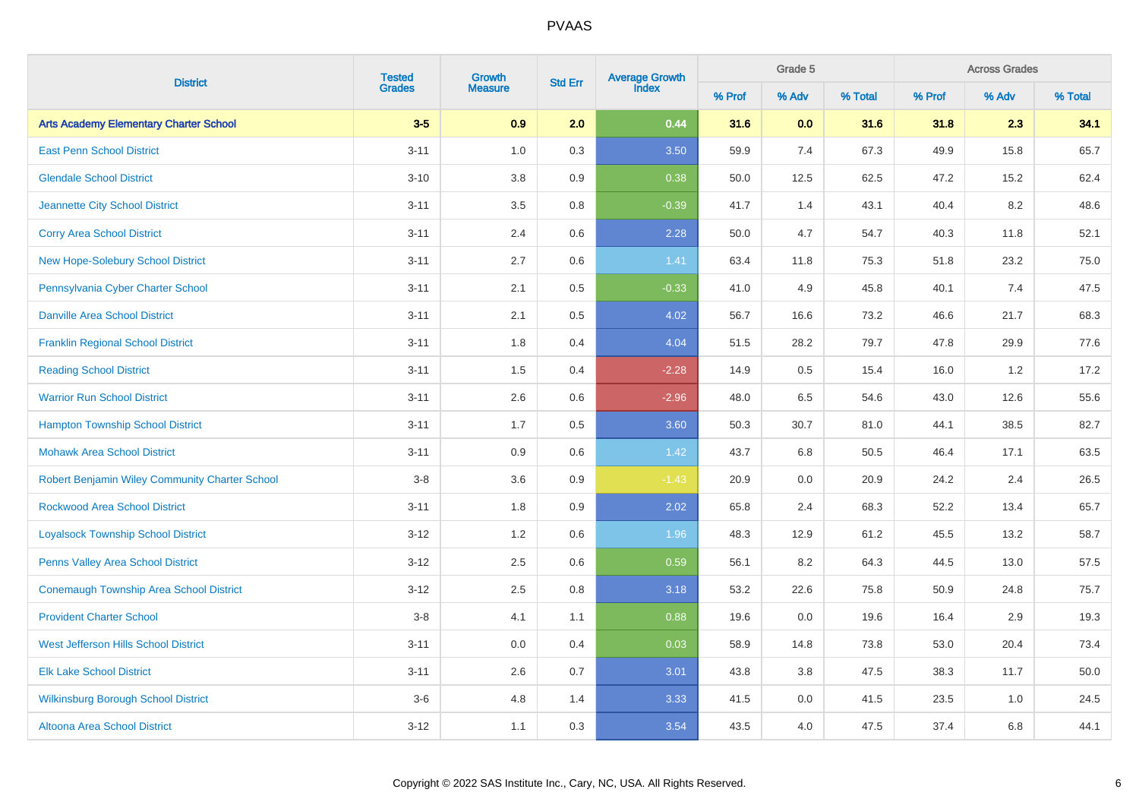|                                                | <b>Tested</b><br>Growth |                |         | Average Growth<br>Index<br><b>Std Err</b> |        | Grade 5 |         | <b>Across Grades</b> |         |         |  |
|------------------------------------------------|-------------------------|----------------|---------|-------------------------------------------|--------|---------|---------|----------------------|---------|---------|--|
| <b>District</b>                                | <b>Grades</b>           | <b>Measure</b> |         |                                           | % Prof | % Adv   | % Total | % Prof               | % Adv   | % Total |  |
| <b>Arts Academy Elementary Charter School</b>  | $3-5$                   | 0.9            | 2.0     | 0.44                                      | 31.6   | 0.0     | 31.6    | 31.8                 | 2.3     | 34.1    |  |
| <b>East Penn School District</b>               | $3 - 11$                | 1.0            | 0.3     | 3.50                                      | 59.9   | 7.4     | 67.3    | 49.9                 | 15.8    | 65.7    |  |
| <b>Glendale School District</b>                | $3 - 10$                | 3.8            | 0.9     | 0.38                                      | 50.0   | 12.5    | 62.5    | 47.2                 | 15.2    | 62.4    |  |
| <b>Jeannette City School District</b>          | $3 - 11$                | 3.5            | 0.8     | $-0.39$                                   | 41.7   | 1.4     | 43.1    | 40.4                 | 8.2     | 48.6    |  |
| <b>Corry Area School District</b>              | $3 - 11$                | 2.4            | 0.6     | 2.28                                      | 50.0   | 4.7     | 54.7    | 40.3                 | 11.8    | 52.1    |  |
| <b>New Hope-Solebury School District</b>       | $3 - 11$                | 2.7            | $0.6\,$ | 1.41                                      | 63.4   | 11.8    | 75.3    | 51.8                 | 23.2    | 75.0    |  |
| Pennsylvania Cyber Charter School              | $3 - 11$                | 2.1            | 0.5     | $-0.33$                                   | 41.0   | 4.9     | 45.8    | 40.1                 | 7.4     | 47.5    |  |
| <b>Danville Area School District</b>           | $3 - 11$                | 2.1            | 0.5     | 4.02                                      | 56.7   | 16.6    | 73.2    | 46.6                 | 21.7    | 68.3    |  |
| <b>Franklin Regional School District</b>       | $3 - 11$                | 1.8            | 0.4     | 4.04                                      | 51.5   | 28.2    | 79.7    | 47.8                 | 29.9    | 77.6    |  |
| <b>Reading School District</b>                 | $3 - 11$                | 1.5            | 0.4     | $-2.28$                                   | 14.9   | 0.5     | 15.4    | 16.0                 | $1.2\,$ | 17.2    |  |
| <b>Warrior Run School District</b>             | $3 - 11$                | 2.6            | $0.6\,$ | $-2.96$                                   | 48.0   | 6.5     | 54.6    | 43.0                 | 12.6    | 55.6    |  |
| <b>Hampton Township School District</b>        | $3 - 11$                | 1.7            | $0.5\,$ | 3.60                                      | 50.3   | 30.7    | 81.0    | 44.1                 | 38.5    | 82.7    |  |
| <b>Mohawk Area School District</b>             | $3 - 11$                | 0.9            | $0.6\,$ | 1.42                                      | 43.7   | 6.8     | 50.5    | 46.4                 | 17.1    | 63.5    |  |
| Robert Benjamin Wiley Community Charter School | $3-8$                   | 3.6            | $0.9\,$ | $-1.43$                                   | 20.9   | 0.0     | 20.9    | 24.2                 | 2.4     | 26.5    |  |
| <b>Rockwood Area School District</b>           | $3 - 11$                | 1.8            | 0.9     | 2.02                                      | 65.8   | 2.4     | 68.3    | 52.2                 | 13.4    | 65.7    |  |
| <b>Loyalsock Township School District</b>      | $3 - 12$                | 1.2            | 0.6     | 1.96                                      | 48.3   | 12.9    | 61.2    | 45.5                 | 13.2    | 58.7    |  |
| <b>Penns Valley Area School District</b>       | $3 - 12$                | 2.5            | 0.6     | 0.59                                      | 56.1   | 8.2     | 64.3    | 44.5                 | 13.0    | 57.5    |  |
| <b>Conemaugh Township Area School District</b> | $3 - 12$                | 2.5            | 0.8     | 3.18                                      | 53.2   | 22.6    | 75.8    | 50.9                 | 24.8    | 75.7    |  |
| <b>Provident Charter School</b>                | $3-8$                   | 4.1            | 1.1     | 0.88                                      | 19.6   | 0.0     | 19.6    | 16.4                 | 2.9     | 19.3    |  |
| <b>West Jefferson Hills School District</b>    | $3 - 11$                | 0.0            | 0.4     | 0.03                                      | 58.9   | 14.8    | 73.8    | 53.0                 | 20.4    | 73.4    |  |
| <b>Elk Lake School District</b>                | $3 - 11$                | 2.6            | 0.7     | 3.01                                      | 43.8   | $3.8\,$ | 47.5    | 38.3                 | 11.7    | 50.0    |  |
| <b>Wilkinsburg Borough School District</b>     | $3-6$                   | 4.8            | 1.4     | 3.33                                      | 41.5   | $0.0\,$ | 41.5    | 23.5                 | 1.0     | 24.5    |  |
| <b>Altoona Area School District</b>            | $3 - 12$                | 1.1            | 0.3     | 3.54                                      | 43.5   | 4.0     | 47.5    | 37.4                 | 6.8     | 44.1    |  |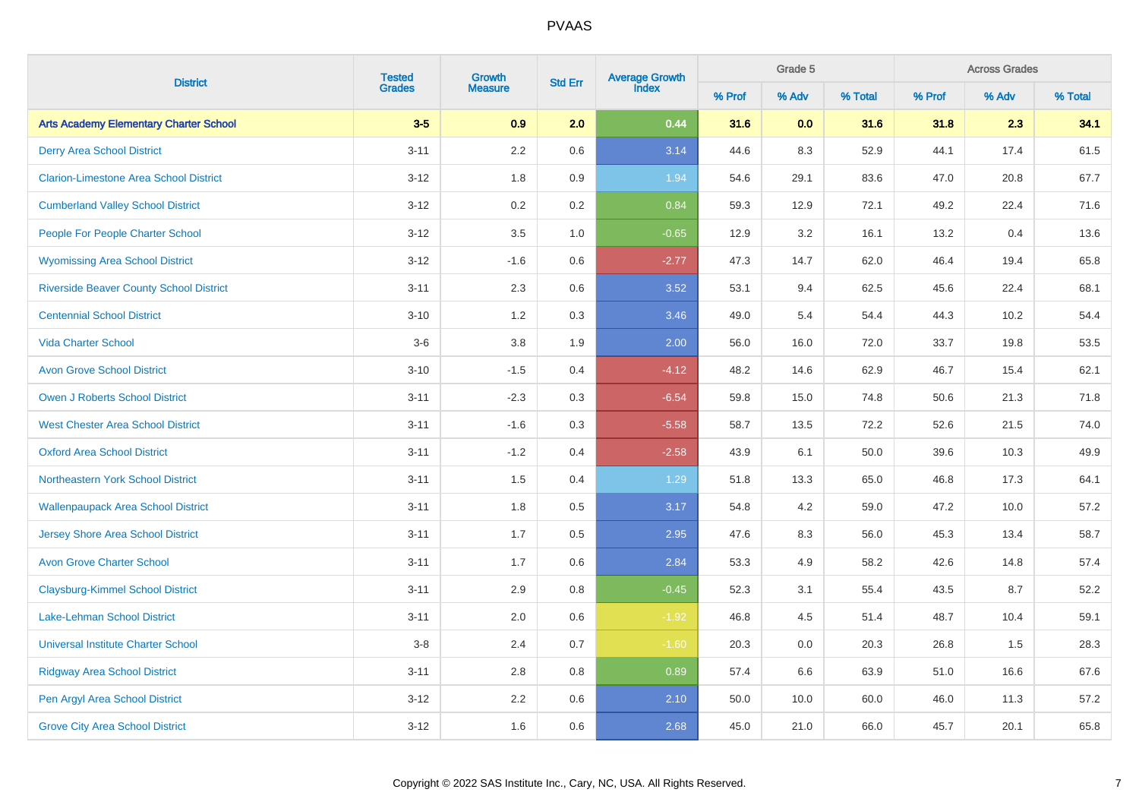| <b>District</b>                                | <b>Tested</b><br>Growth |                | Average Growth<br>Index<br><b>Std Err</b> |         |        | Grade 5 |         |        | <b>Across Grades</b> |         |  |  |
|------------------------------------------------|-------------------------|----------------|-------------------------------------------|---------|--------|---------|---------|--------|----------------------|---------|--|--|
|                                                | <b>Grades</b>           | <b>Measure</b> |                                           |         | % Prof | % Adv   | % Total | % Prof | % Adv                | % Total |  |  |
| <b>Arts Academy Elementary Charter School</b>  | $3-5$                   | 0.9            | 2.0                                       | 0.44    | 31.6   | 0.0     | 31.6    | 31.8   | 2.3                  | 34.1    |  |  |
| <b>Derry Area School District</b>              | $3 - 11$                | 2.2            | 0.6                                       | 3.14    | 44.6   | 8.3     | 52.9    | 44.1   | 17.4                 | 61.5    |  |  |
| <b>Clarion-Limestone Area School District</b>  | $3 - 12$                | 1.8            | 0.9                                       | 1.94    | 54.6   | 29.1    | 83.6    | 47.0   | 20.8                 | 67.7    |  |  |
| <b>Cumberland Valley School District</b>       | $3 - 12$                | 0.2            | 0.2                                       | 0.84    | 59.3   | 12.9    | 72.1    | 49.2   | 22.4                 | 71.6    |  |  |
| <b>People For People Charter School</b>        | $3 - 12$                | 3.5            | 1.0                                       | $-0.65$ | 12.9   | 3.2     | 16.1    | 13.2   | 0.4                  | 13.6    |  |  |
| <b>Wyomissing Area School District</b>         | $3 - 12$                | $-1.6$         | $0.6\,$                                   | $-2.77$ | 47.3   | 14.7    | 62.0    | 46.4   | 19.4                 | 65.8    |  |  |
| <b>Riverside Beaver County School District</b> | $3 - 11$                | 2.3            | $0.6\,$                                   | 3.52    | 53.1   | 9.4     | 62.5    | 45.6   | 22.4                 | 68.1    |  |  |
| <b>Centennial School District</b>              | $3 - 10$                | 1.2            | 0.3                                       | 3.46    | 49.0   | 5.4     | 54.4    | 44.3   | 10.2                 | 54.4    |  |  |
| <b>Vida Charter School</b>                     | $3-6$                   | 3.8            | 1.9                                       | 2.00    | 56.0   | 16.0    | 72.0    | 33.7   | 19.8                 | 53.5    |  |  |
| <b>Avon Grove School District</b>              | $3 - 10$                | $-1.5$         | 0.4                                       | $-4.12$ | 48.2   | 14.6    | 62.9    | 46.7   | 15.4                 | 62.1    |  |  |
| <b>Owen J Roberts School District</b>          | $3 - 11$                | $-2.3$         | 0.3                                       | $-6.54$ | 59.8   | 15.0    | 74.8    | 50.6   | 21.3                 | 71.8    |  |  |
| <b>West Chester Area School District</b>       | $3 - 11$                | $-1.6$         | 0.3                                       | $-5.58$ | 58.7   | 13.5    | 72.2    | 52.6   | 21.5                 | 74.0    |  |  |
| <b>Oxford Area School District</b>             | $3 - 11$                | $-1.2$         | 0.4                                       | $-2.58$ | 43.9   | 6.1     | 50.0    | 39.6   | 10.3                 | 49.9    |  |  |
| Northeastern York School District              | $3 - 11$                | 1.5            | 0.4                                       | 1.29    | 51.8   | 13.3    | 65.0    | 46.8   | 17.3                 | 64.1    |  |  |
| <b>Wallenpaupack Area School District</b>      | $3 - 11$                | 1.8            | 0.5                                       | 3.17    | 54.8   | 4.2     | 59.0    | 47.2   | 10.0                 | 57.2    |  |  |
| <b>Jersey Shore Area School District</b>       | $3 - 11$                | 1.7            | 0.5                                       | 2.95    | 47.6   | 8.3     | 56.0    | 45.3   | 13.4                 | 58.7    |  |  |
| <b>Avon Grove Charter School</b>               | $3 - 11$                | 1.7            | 0.6                                       | 2.84    | 53.3   | 4.9     | 58.2    | 42.6   | 14.8                 | 57.4    |  |  |
| <b>Claysburg-Kimmel School District</b>        | $3 - 11$                | 2.9            | 0.8                                       | $-0.45$ | 52.3   | 3.1     | 55.4    | 43.5   | 8.7                  | 52.2    |  |  |
| <b>Lake-Lehman School District</b>             | $3 - 11$                | 2.0            | 0.6                                       | $-1.92$ | 46.8   | 4.5     | 51.4    | 48.7   | 10.4                 | 59.1    |  |  |
| <b>Universal Institute Charter School</b>      | $3-8$                   | 2.4            | 0.7                                       | $-1.60$ | 20.3   | $0.0\,$ | 20.3    | 26.8   | 1.5                  | 28.3    |  |  |
| <b>Ridgway Area School District</b>            | $3 - 11$                | 2.8            | 0.8                                       | 0.89    | 57.4   | 6.6     | 63.9    | 51.0   | 16.6                 | 67.6    |  |  |
| Pen Argyl Area School District                 | $3 - 12$                | $2.2\,$        | $0.6\,$                                   | 2.10    | 50.0   | 10.0    | 60.0    | 46.0   | 11.3                 | 57.2    |  |  |
| <b>Grove City Area School District</b>         | $3 - 12$                | 1.6            | 0.6                                       | 2.68    | 45.0   | 21.0    | 66.0    | 45.7   | 20.1                 | 65.8    |  |  |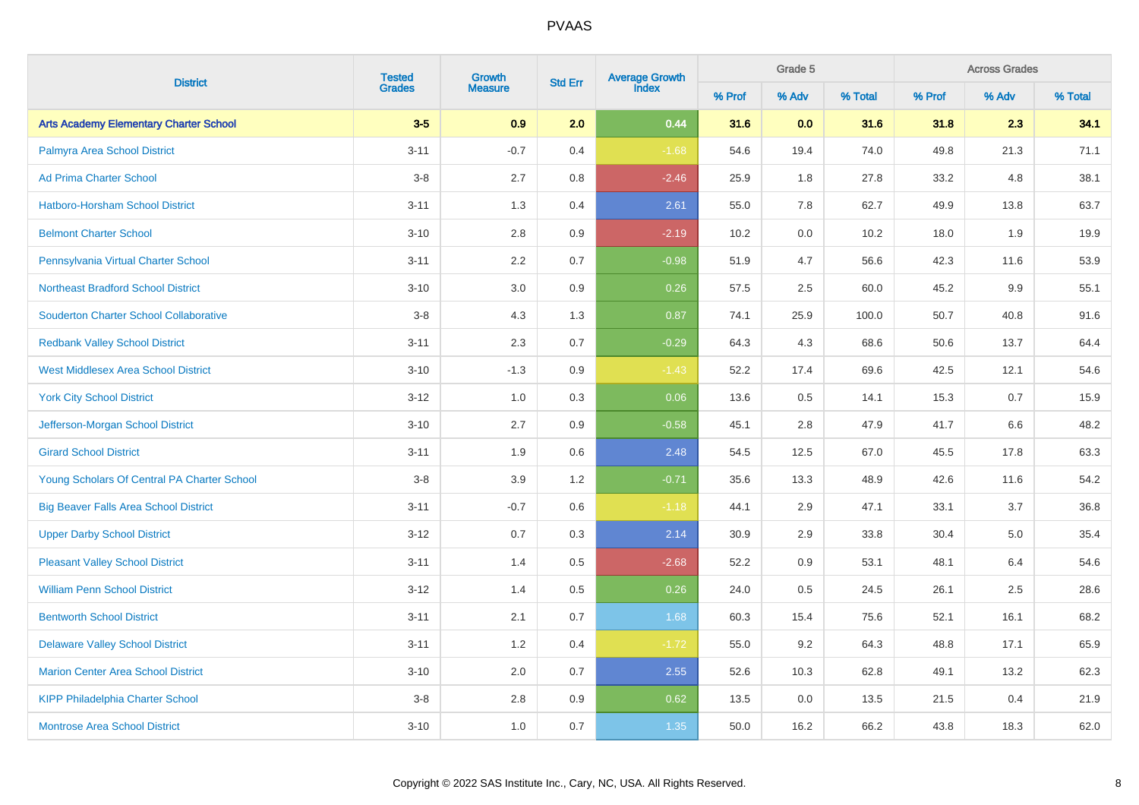|                                               | <b>Tested</b> | Growth         |     | <b>Average Growth</b><br>Index<br><b>Std Err</b> |        | Grade 5 |         |        | <b>Across Grades</b> |         |  |
|-----------------------------------------------|---------------|----------------|-----|--------------------------------------------------|--------|---------|---------|--------|----------------------|---------|--|
| <b>District</b>                               | <b>Grades</b> | <b>Measure</b> |     |                                                  | % Prof | % Adv   | % Total | % Prof | % Adv                | % Total |  |
| <b>Arts Academy Elementary Charter School</b> | $3-5$         | 0.9            | 2.0 | 0.44                                             | 31.6   | 0.0     | 31.6    | 31.8   | 2.3                  | 34.1    |  |
| Palmyra Area School District                  | $3 - 11$      | $-0.7$         | 0.4 | $-1.68$                                          | 54.6   | 19.4    | 74.0    | 49.8   | 21.3                 | 71.1    |  |
| <b>Ad Prima Charter School</b>                | $3 - 8$       | 2.7            | 0.8 | $-2.46$                                          | 25.9   | 1.8     | 27.8    | 33.2   | 4.8                  | 38.1    |  |
| Hatboro-Horsham School District               | $3 - 11$      | 1.3            | 0.4 | 2.61                                             | 55.0   | 7.8     | 62.7    | 49.9   | 13.8                 | 63.7    |  |
| <b>Belmont Charter School</b>                 | $3 - 10$      | 2.8            | 0.9 | $-2.19$                                          | 10.2   | $0.0\,$ | 10.2    | 18.0   | 1.9                  | 19.9    |  |
| Pennsylvania Virtual Charter School           | $3 - 11$      | 2.2            | 0.7 | $-0.98$                                          | 51.9   | 4.7     | 56.6    | 42.3   | 11.6                 | 53.9    |  |
| <b>Northeast Bradford School District</b>     | $3 - 10$      | 3.0            | 0.9 | 0.26                                             | 57.5   | 2.5     | 60.0    | 45.2   | 9.9                  | 55.1    |  |
| <b>Souderton Charter School Collaborative</b> | $3-8$         | 4.3            | 1.3 | 0.87                                             | 74.1   | 25.9    | 100.0   | 50.7   | 40.8                 | 91.6    |  |
| <b>Redbank Valley School District</b>         | $3 - 11$      | 2.3            | 0.7 | $-0.29$                                          | 64.3   | 4.3     | 68.6    | 50.6   | 13.7                 | 64.4    |  |
| <b>West Middlesex Area School District</b>    | $3 - 10$      | $-1.3$         | 0.9 | $-1.43$                                          | 52.2   | 17.4    | 69.6    | 42.5   | 12.1                 | 54.6    |  |
| <b>York City School District</b>              | $3 - 12$      | 1.0            | 0.3 | 0.06                                             | 13.6   | $0.5\,$ | 14.1    | 15.3   | 0.7                  | 15.9    |  |
| Jefferson-Morgan School District              | $3 - 10$      | 2.7            | 0.9 | $-0.58$                                          | 45.1   | 2.8     | 47.9    | 41.7   | 6.6                  | 48.2    |  |
| <b>Girard School District</b>                 | $3 - 11$      | 1.9            | 0.6 | 2.48                                             | 54.5   | 12.5    | 67.0    | 45.5   | 17.8                 | 63.3    |  |
| Young Scholars Of Central PA Charter School   | $3 - 8$       | 3.9            | 1.2 | $-0.71$                                          | 35.6   | 13.3    | 48.9    | 42.6   | 11.6                 | 54.2    |  |
| <b>Big Beaver Falls Area School District</b>  | $3 - 11$      | $-0.7$         | 0.6 | $-1.18$                                          | 44.1   | 2.9     | 47.1    | 33.1   | 3.7                  | 36.8    |  |
| <b>Upper Darby School District</b>            | $3-12$        | 0.7            | 0.3 | 2.14                                             | 30.9   | 2.9     | 33.8    | 30.4   | 5.0                  | 35.4    |  |
| <b>Pleasant Valley School District</b>        | $3 - 11$      | 1.4            | 0.5 | $-2.68$                                          | 52.2   | 0.9     | 53.1    | 48.1   | 6.4                  | 54.6    |  |
| <b>William Penn School District</b>           | $3 - 12$      | 1.4            | 0.5 | 0.26                                             | 24.0   | 0.5     | 24.5    | 26.1   | 2.5                  | 28.6    |  |
| <b>Bentworth School District</b>              | $3 - 11$      | 2.1            | 0.7 | 1.68                                             | 60.3   | 15.4    | 75.6    | 52.1   | 16.1                 | 68.2    |  |
| <b>Delaware Valley School District</b>        | $3 - 11$      | 1.2            | 0.4 | $-1.72$                                          | 55.0   | 9.2     | 64.3    | 48.8   | 17.1                 | 65.9    |  |
| <b>Marion Center Area School District</b>     | $3 - 10$      | 2.0            | 0.7 | 2.55                                             | 52.6   | 10.3    | 62.8    | 49.1   | 13.2                 | 62.3    |  |
| <b>KIPP Philadelphia Charter School</b>       | $3-8$         | $2.8\,$        | 0.9 | 0.62                                             | 13.5   | 0.0     | 13.5    | 21.5   | 0.4                  | 21.9    |  |
| <b>Montrose Area School District</b>          | $3 - 10$      | 1.0            | 0.7 | 1.35                                             | 50.0   | 16.2    | 66.2    | 43.8   | 18.3                 | 62.0    |  |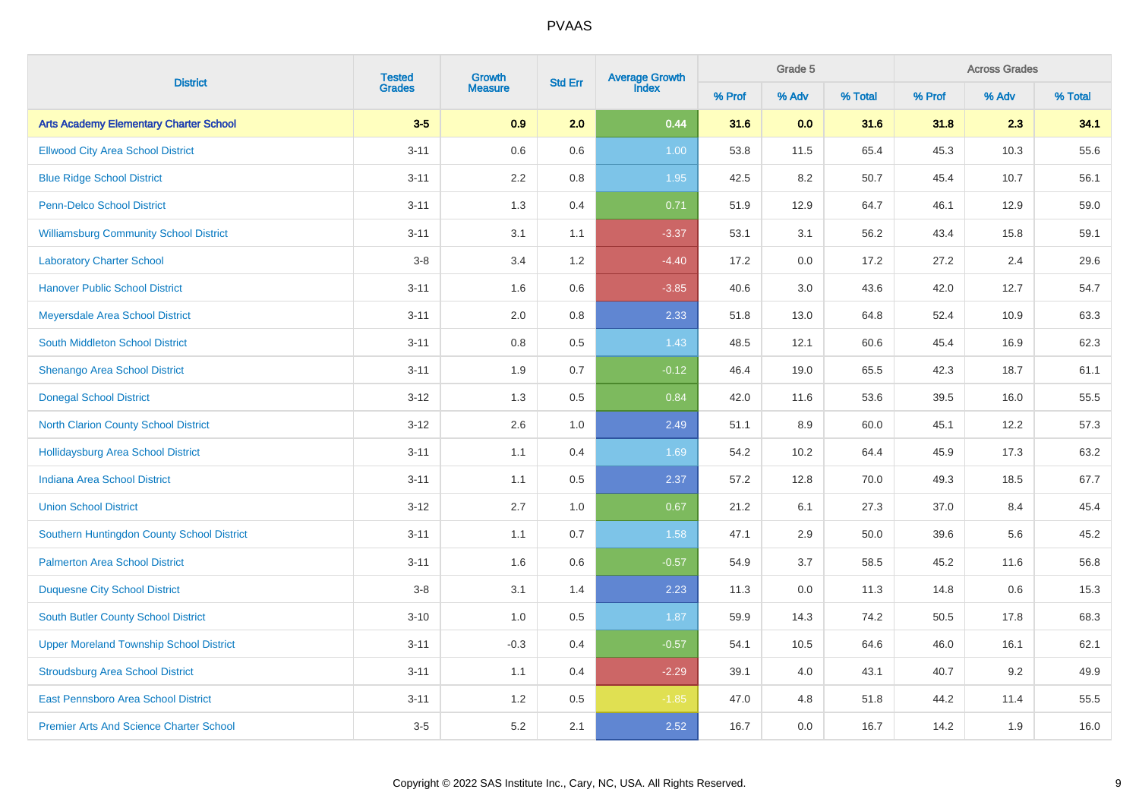|                                                | <b>Tested</b> | Growth         |         | Average Growth<br>Index<br><b>Std Err</b> |        | Grade 5 |         | <b>Across Grades</b> |       |         |  |
|------------------------------------------------|---------------|----------------|---------|-------------------------------------------|--------|---------|---------|----------------------|-------|---------|--|
| <b>District</b>                                | <b>Grades</b> | <b>Measure</b> |         |                                           | % Prof | % Adv   | % Total | % Prof               | % Adv | % Total |  |
| <b>Arts Academy Elementary Charter School</b>  | $3-5$         | 0.9            | 2.0     | 0.44                                      | 31.6   | 0.0     | 31.6    | 31.8                 | 2.3   | 34.1    |  |
| <b>Ellwood City Area School District</b>       | $3 - 11$      | 0.6            | 0.6     | 1.00                                      | 53.8   | 11.5    | 65.4    | 45.3                 | 10.3  | 55.6    |  |
| <b>Blue Ridge School District</b>              | $3 - 11$      | 2.2            | 0.8     | 1.95                                      | 42.5   | 8.2     | 50.7    | 45.4                 | 10.7  | 56.1    |  |
| Penn-Delco School District                     | $3 - 11$      | 1.3            | 0.4     | 0.71                                      | 51.9   | 12.9    | 64.7    | 46.1                 | 12.9  | 59.0    |  |
| <b>Williamsburg Community School District</b>  | $3 - 11$      | 3.1            | 1.1     | $-3.37$                                   | 53.1   | 3.1     | 56.2    | 43.4                 | 15.8  | 59.1    |  |
| <b>Laboratory Charter School</b>               | $3-8$         | 3.4            | 1.2     | $-4.40$                                   | 17.2   | 0.0     | 17.2    | 27.2                 | 2.4   | 29.6    |  |
| <b>Hanover Public School District</b>          | $3 - 11$      | 1.6            | 0.6     | $-3.85$                                   | 40.6   | 3.0     | 43.6    | 42.0                 | 12.7  | 54.7    |  |
| Meyersdale Area School District                | $3 - 11$      | 2.0            | $0.8\,$ | 2.33                                      | 51.8   | 13.0    | 64.8    | 52.4                 | 10.9  | 63.3    |  |
| <b>South Middleton School District</b>         | $3 - 11$      | $0.8\,$        | $0.5\,$ | 1.43                                      | 48.5   | 12.1    | 60.6    | 45.4                 | 16.9  | 62.3    |  |
| Shenango Area School District                  | $3 - 11$      | 1.9            | 0.7     | $-0.12$                                   | 46.4   | 19.0    | 65.5    | 42.3                 | 18.7  | 61.1    |  |
| <b>Donegal School District</b>                 | $3 - 12$      | 1.3            | 0.5     | 0.84                                      | 42.0   | 11.6    | 53.6    | 39.5                 | 16.0  | 55.5    |  |
| <b>North Clarion County School District</b>    | $3 - 12$      | 2.6            | 1.0     | 2.49                                      | 51.1   | 8.9     | 60.0    | 45.1                 | 12.2  | 57.3    |  |
| <b>Hollidaysburg Area School District</b>      | $3 - 11$      | 1.1            | 0.4     | 1.69                                      | 54.2   | 10.2    | 64.4    | 45.9                 | 17.3  | 63.2    |  |
| <b>Indiana Area School District</b>            | $3 - 11$      | 1.1            | 0.5     | 2.37                                      | 57.2   | 12.8    | 70.0    | 49.3                 | 18.5  | 67.7    |  |
| <b>Union School District</b>                   | $3 - 12$      | 2.7            | 1.0     | 0.67                                      | 21.2   | 6.1     | 27.3    | 37.0                 | 8.4   | 45.4    |  |
| Southern Huntingdon County School District     | $3 - 11$      | 1.1            | 0.7     | 1.58                                      | 47.1   | 2.9     | 50.0    | 39.6                 | 5.6   | 45.2    |  |
| <b>Palmerton Area School District</b>          | $3 - 11$      | 1.6            | 0.6     | $-0.57$                                   | 54.9   | 3.7     | 58.5    | 45.2                 | 11.6  | 56.8    |  |
| <b>Duquesne City School District</b>           | $3-8$         | 3.1            | 1.4     | 2.23                                      | 11.3   | $0.0\,$ | 11.3    | 14.8                 | 0.6   | 15.3    |  |
| <b>South Butler County School District</b>     | $3 - 10$      | 1.0            | 0.5     | 1.87                                      | 59.9   | 14.3    | 74.2    | 50.5                 | 17.8  | 68.3    |  |
| <b>Upper Moreland Township School District</b> | $3 - 11$      | $-0.3$         | 0.4     | $-0.57$                                   | 54.1   | 10.5    | 64.6    | 46.0                 | 16.1  | 62.1    |  |
| <b>Stroudsburg Area School District</b>        | $3 - 11$      | 1.1            | 0.4     | $-2.29$                                   | 39.1   | 4.0     | 43.1    | 40.7                 | 9.2   | 49.9    |  |
| East Pennsboro Area School District            | $3 - 11$      | 1.2            | 0.5     | $-1.85$                                   | 47.0   | 4.8     | 51.8    | 44.2                 | 11.4  | 55.5    |  |
| <b>Premier Arts And Science Charter School</b> | $3-5$         | 5.2            | 2.1     | 2.52                                      | 16.7   | 0.0     | 16.7    | 14.2                 | 1.9   | 16.0    |  |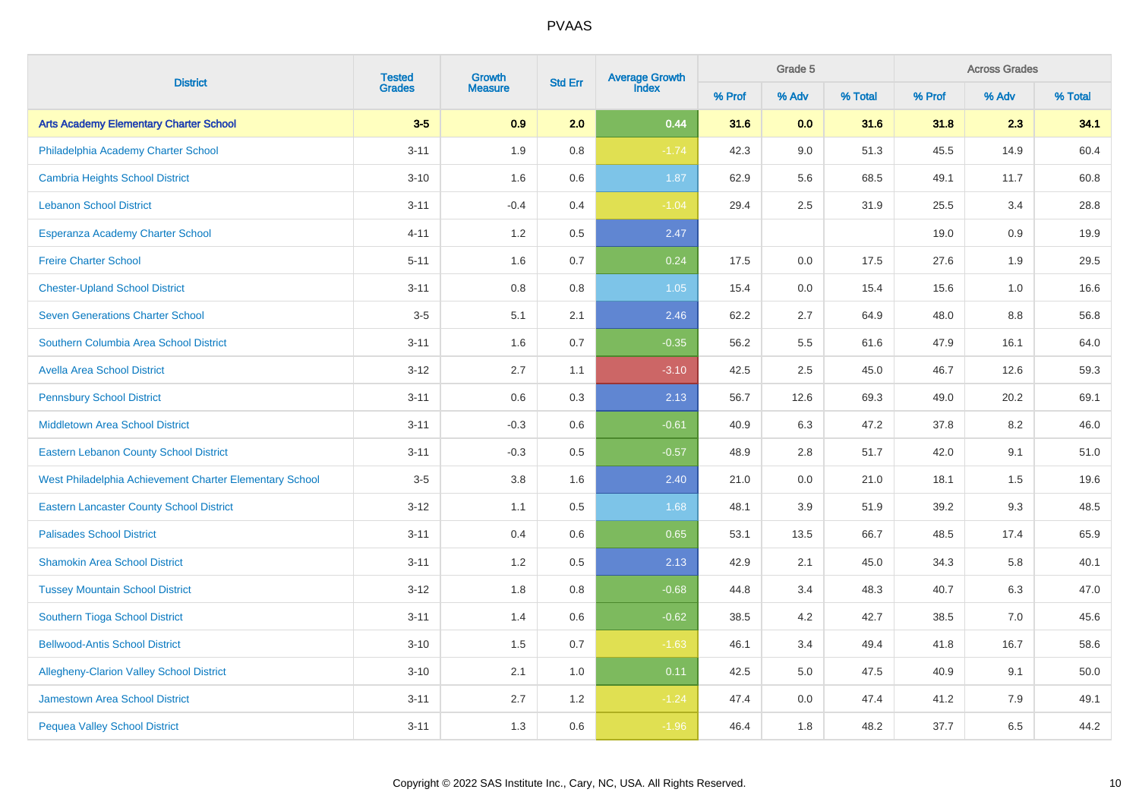| <b>District</b>                                         | <b>Tested</b> | Growth<br><b>Std Err</b> |         | Average Growth<br>Index |        | Grade 5 |         |        | <b>Across Grades</b> |         |  |  |
|---------------------------------------------------------|---------------|--------------------------|---------|-------------------------|--------|---------|---------|--------|----------------------|---------|--|--|
|                                                         | <b>Grades</b> | <b>Measure</b>           |         |                         | % Prof | % Adv   | % Total | % Prof | % Adv                | % Total |  |  |
| <b>Arts Academy Elementary Charter School</b>           | $3-5$         | 0.9                      | 2.0     | 0.44                    | 31.6   | 0.0     | 31.6    | 31.8   | 2.3                  | 34.1    |  |  |
| Philadelphia Academy Charter School                     | $3 - 11$      | 1.9                      | 0.8     | $-1.74$                 | 42.3   | 9.0     | 51.3    | 45.5   | 14.9                 | 60.4    |  |  |
| <b>Cambria Heights School District</b>                  | $3 - 10$      | 1.6                      | $0.6\,$ | 1.87                    | 62.9   | 5.6     | 68.5    | 49.1   | 11.7                 | 60.8    |  |  |
| <b>Lebanon School District</b>                          | $3 - 11$      | $-0.4$                   | 0.4     | $-1.04$                 | 29.4   | 2.5     | 31.9    | 25.5   | 3.4                  | 28.8    |  |  |
| Esperanza Academy Charter School                        | $4 - 11$      | 1.2                      | $0.5\,$ | 2.47                    |        |         |         | 19.0   | 0.9                  | 19.9    |  |  |
| <b>Freire Charter School</b>                            | $5 - 11$      | 1.6                      | 0.7     | 0.24                    | 17.5   | 0.0     | 17.5    | 27.6   | 1.9                  | 29.5    |  |  |
| <b>Chester-Upland School District</b>                   | $3 - 11$      | 0.8                      | 0.8     | 1.05                    | 15.4   | 0.0     | 15.4    | 15.6   | 1.0                  | 16.6    |  |  |
| <b>Seven Generations Charter School</b>                 | $3-5$         | 5.1                      | 2.1     | 2.46                    | 62.2   | 2.7     | 64.9    | 48.0   | 8.8                  | 56.8    |  |  |
| Southern Columbia Area School District                  | $3 - 11$      | 1.6                      | 0.7     | $-0.35$                 | 56.2   | 5.5     | 61.6    | 47.9   | 16.1                 | 64.0    |  |  |
| <b>Avella Area School District</b>                      | $3 - 12$      | 2.7                      | 1.1     | $-3.10$                 | 42.5   | 2.5     | 45.0    | 46.7   | 12.6                 | 59.3    |  |  |
| <b>Pennsbury School District</b>                        | $3 - 11$      | 0.6                      | 0.3     | 2.13                    | 56.7   | 12.6    | 69.3    | 49.0   | 20.2                 | 69.1    |  |  |
| <b>Middletown Area School District</b>                  | $3 - 11$      | $-0.3$                   | 0.6     | $-0.61$                 | 40.9   | 6.3     | 47.2    | 37.8   | 8.2                  | 46.0    |  |  |
| <b>Eastern Lebanon County School District</b>           | $3 - 11$      | $-0.3$                   | 0.5     | $-0.57$                 | 48.9   | 2.8     | 51.7    | 42.0   | 9.1                  | 51.0    |  |  |
| West Philadelphia Achievement Charter Elementary School | $3-5$         | 3.8                      | 1.6     | 2.40                    | 21.0   | 0.0     | 21.0    | 18.1   | 1.5                  | 19.6    |  |  |
| <b>Eastern Lancaster County School District</b>         | $3 - 12$      | 1.1                      | 0.5     | 1.68                    | 48.1   | 3.9     | 51.9    | 39.2   | 9.3                  | 48.5    |  |  |
| <b>Palisades School District</b>                        | $3 - 11$      | 0.4                      | 0.6     | 0.65                    | 53.1   | 13.5    | 66.7    | 48.5   | 17.4                 | 65.9    |  |  |
| <b>Shamokin Area School District</b>                    | $3 - 11$      | 1.2                      | 0.5     | 2.13                    | 42.9   | 2.1     | 45.0    | 34.3   | 5.8                  | 40.1    |  |  |
| <b>Tussey Mountain School District</b>                  | $3 - 12$      | 1.8                      | 0.8     | $-0.68$                 | 44.8   | 3.4     | 48.3    | 40.7   | 6.3                  | 47.0    |  |  |
| <b>Southern Tioga School District</b>                   | $3 - 11$      | 1.4                      | 0.6     | $-0.62$                 | 38.5   | 4.2     | 42.7    | 38.5   | 7.0                  | 45.6    |  |  |
| <b>Bellwood-Antis School District</b>                   | $3 - 10$      | 1.5                      | 0.7     | $-1.63$                 | 46.1   | 3.4     | 49.4    | 41.8   | 16.7                 | 58.6    |  |  |
| <b>Allegheny-Clarion Valley School District</b>         | $3 - 10$      | 2.1                      | 1.0     | 0.11                    | 42.5   | 5.0     | 47.5    | 40.9   | 9.1                  | 50.0    |  |  |
| <b>Jamestown Area School District</b>                   | $3 - 11$      | 2.7                      | 1.2     | $-1.24$                 | 47.4   | 0.0     | 47.4    | 41.2   | 7.9                  | 49.1    |  |  |
| <b>Pequea Valley School District</b>                    | $3 - 11$      | 1.3                      | 0.6     | $-1.96$                 | 46.4   | 1.8     | 48.2    | 37.7   | 6.5                  | 44.2    |  |  |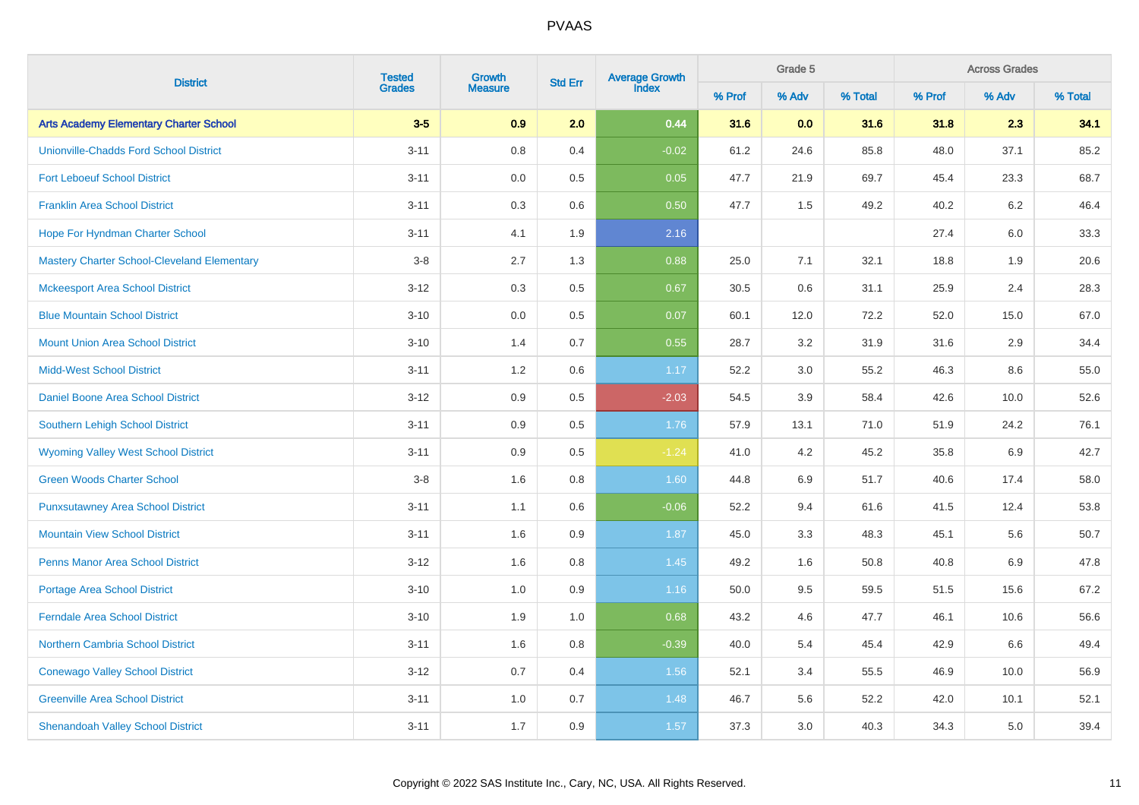|                                                    | <b>Tested</b><br><b>District</b> |                          | <b>Std Err</b> | Average Growth<br>Index |        | Grade 5 |         |        | <b>Across Grades</b> |         |  |  |
|----------------------------------------------------|----------------------------------|--------------------------|----------------|-------------------------|--------|---------|---------|--------|----------------------|---------|--|--|
|                                                    | <b>Grades</b>                    | Growth<br><b>Measure</b> |                |                         | % Prof | % Adv   | % Total | % Prof | % Adv                | % Total |  |  |
| <b>Arts Academy Elementary Charter School</b>      | $3-5$                            | 0.9                      | 2.0            | 0.44                    | 31.6   | 0.0     | 31.6    | 31.8   | 2.3                  | 34.1    |  |  |
| <b>Unionville-Chadds Ford School District</b>      | $3 - 11$                         | 0.8                      | 0.4            | $-0.02$                 | 61.2   | 24.6    | 85.8    | 48.0   | 37.1                 | 85.2    |  |  |
| <b>Fort Leboeuf School District</b>                | $3 - 11$                         | 0.0                      | 0.5            | 0.05                    | 47.7   | 21.9    | 69.7    | 45.4   | 23.3                 | 68.7    |  |  |
| <b>Franklin Area School District</b>               | $3 - 11$                         | 0.3                      | $0.6\,$        | 0.50                    | 47.7   | 1.5     | 49.2    | 40.2   | $6.2\,$              | 46.4    |  |  |
| Hope For Hyndman Charter School                    | $3 - 11$                         | 4.1                      | 1.9            | 2.16                    |        |         |         | 27.4   | 6.0                  | 33.3    |  |  |
| <b>Mastery Charter School-Cleveland Elementary</b> | $3-8$                            | 2.7                      | 1.3            | 0.88                    | 25.0   | 7.1     | 32.1    | 18.8   | 1.9                  | 20.6    |  |  |
| <b>Mckeesport Area School District</b>             | $3 - 12$                         | 0.3                      | $0.5\,$        | 0.67                    | 30.5   | 0.6     | 31.1    | 25.9   | 2.4                  | 28.3    |  |  |
| <b>Blue Mountain School District</b>               | $3 - 10$                         | 0.0                      | 0.5            | 0.07                    | 60.1   | 12.0    | 72.2    | 52.0   | 15.0                 | 67.0    |  |  |
| <b>Mount Union Area School District</b>            | $3 - 10$                         | 1.4                      | 0.7            | 0.55                    | 28.7   | 3.2     | 31.9    | 31.6   | 2.9                  | 34.4    |  |  |
| <b>Midd-West School District</b>                   | $3 - 11$                         | 1.2                      | 0.6            | 1.17                    | 52.2   | 3.0     | 55.2    | 46.3   | 8.6                  | 55.0    |  |  |
| Daniel Boone Area School District                  | $3 - 12$                         | 0.9                      | 0.5            | $-2.03$                 | 54.5   | 3.9     | 58.4    | 42.6   | 10.0                 | 52.6    |  |  |
| Southern Lehigh School District                    | $3 - 11$                         | 0.9                      | 0.5            | 1.76                    | 57.9   | 13.1    | 71.0    | 51.9   | 24.2                 | 76.1    |  |  |
| <b>Wyoming Valley West School District</b>         | $3 - 11$                         | 0.9                      | 0.5            | $-1.24$                 | 41.0   | 4.2     | 45.2    | 35.8   | 6.9                  | 42.7    |  |  |
| <b>Green Woods Charter School</b>                  | $3-8$                            | 1.6                      | 0.8            | 1.60                    | 44.8   | 6.9     | 51.7    | 40.6   | 17.4                 | 58.0    |  |  |
| <b>Punxsutawney Area School District</b>           | $3 - 11$                         | 1.1                      | 0.6            | $-0.06$                 | 52.2   | 9.4     | 61.6    | 41.5   | 12.4                 | 53.8    |  |  |
| <b>Mountain View School District</b>               | $3 - 11$                         | 1.6                      | 0.9            | 1.87                    | 45.0   | 3.3     | 48.3    | 45.1   | 5.6                  | 50.7    |  |  |
| <b>Penns Manor Area School District</b>            | $3 - 12$                         | 1.6                      | 0.8            | 1.45                    | 49.2   | 1.6     | 50.8    | 40.8   | 6.9                  | 47.8    |  |  |
| <b>Portage Area School District</b>                | $3 - 10$                         | 1.0                      | 0.9            | 1.16                    | 50.0   | 9.5     | 59.5    | 51.5   | 15.6                 | 67.2    |  |  |
| <b>Ferndale Area School District</b>               | $3 - 10$                         | 1.9                      | 1.0            | 0.68                    | 43.2   | 4.6     | 47.7    | 46.1   | 10.6                 | 56.6    |  |  |
| <b>Northern Cambria School District</b>            | $3 - 11$                         | 1.6                      | 0.8            | $-0.39$                 | 40.0   | 5.4     | 45.4    | 42.9   | 6.6                  | 49.4    |  |  |
| <b>Conewago Valley School District</b>             | $3 - 12$                         | 0.7                      | 0.4            | 1.56                    | 52.1   | 3.4     | 55.5    | 46.9   | 10.0                 | 56.9    |  |  |
| <b>Greenville Area School District</b>             | $3 - 11$                         | 1.0                      | 0.7            | 1.48                    | 46.7   | 5.6     | 52.2    | 42.0   | 10.1                 | 52.1    |  |  |
| <b>Shenandoah Valley School District</b>           | $3 - 11$                         | 1.7                      | 0.9            | 1.57                    | 37.3   | 3.0     | 40.3    | 34.3   | 5.0                  | 39.4    |  |  |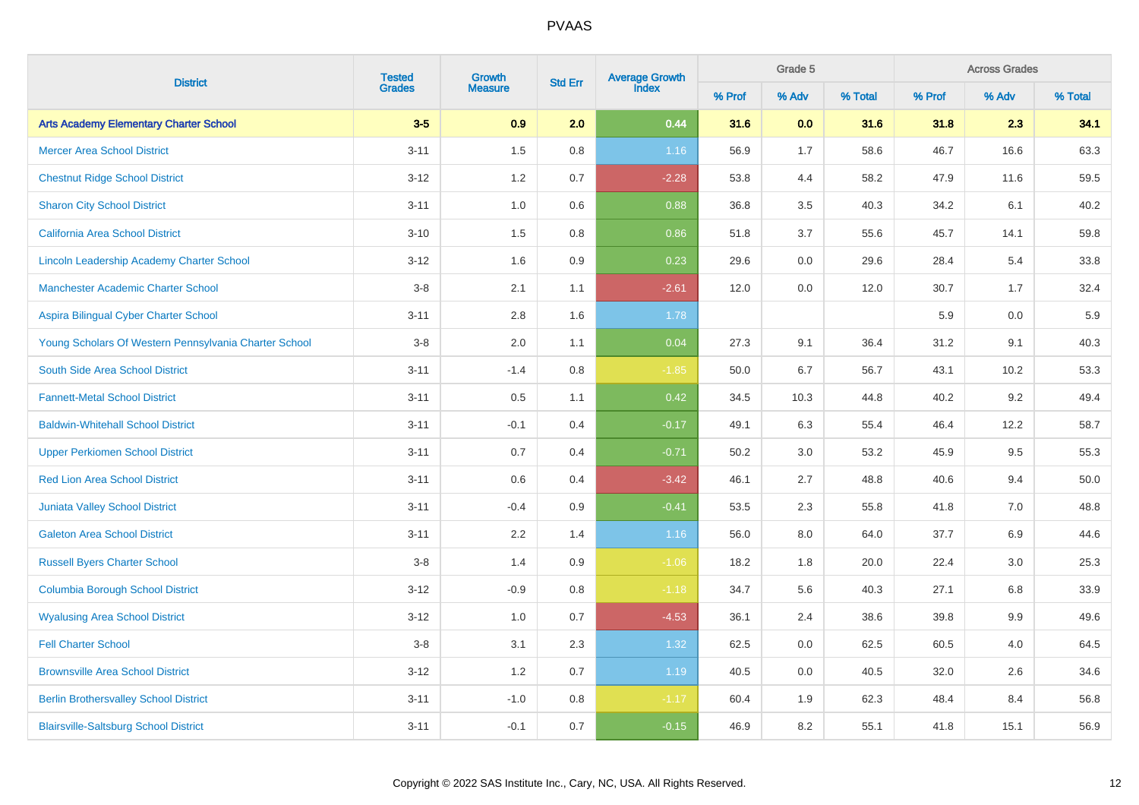|                                                       |                         | Growth         |                | Average Growth<br>Index |        | Grade 5 |         |        | <b>Across Grades</b><br>% Adv |         |
|-------------------------------------------------------|-------------------------|----------------|----------------|-------------------------|--------|---------|---------|--------|-------------------------------|---------|
| <b>District</b>                                       | <b>Tested</b><br>Grades | <b>Measure</b> | <b>Std Err</b> |                         | % Prof | % Adv   | % Total | % Prof |                               | % Total |
| <b>Arts Academy Elementary Charter School</b>         | $3-5$                   | 0.9            | 2.0            | 0.44                    | 31.6   | 0.0     | 31.6    | 31.8   | 2.3                           | 34.1    |
| <b>Mercer Area School District</b>                    | $3 - 11$                | 1.5            | 0.8            | 1.16                    | 56.9   | 1.7     | 58.6    | 46.7   | 16.6                          | 63.3    |
| <b>Chestnut Ridge School District</b>                 | $3 - 12$                | 1.2            | 0.7            | $-2.28$                 | 53.8   | 4.4     | 58.2    | 47.9   | 11.6                          | 59.5    |
| <b>Sharon City School District</b>                    | $3 - 11$                | 1.0            | 0.6            | 0.88                    | 36.8   | 3.5     | 40.3    | 34.2   | 6.1                           | 40.2    |
| <b>California Area School District</b>                | $3 - 10$                | $1.5\,$        | 0.8            | 0.86                    | 51.8   | 3.7     | 55.6    | 45.7   | 14.1                          | 59.8    |
| Lincoln Leadership Academy Charter School             | $3 - 12$                | 1.6            | $0.9\,$        | 0.23                    | 29.6   | $0.0\,$ | 29.6    | 28.4   | 5.4                           | 33.8    |
| Manchester Academic Charter School                    | $3-8$                   | 2.1            | 1.1            | $-2.61$                 | 12.0   | 0.0     | 12.0    | 30.7   | 1.7                           | 32.4    |
| Aspira Bilingual Cyber Charter School                 | $3 - 11$                | 2.8            | 1.6            | 1.78                    |        |         |         | 5.9    | 0.0                           | $5.9\,$ |
| Young Scholars Of Western Pennsylvania Charter School | $3-8$                   | $2.0\,$        | 1.1            | 0.04                    | 27.3   | 9.1     | 36.4    | 31.2   | 9.1                           | 40.3    |
| South Side Area School District                       | $3 - 11$                | $-1.4$         | 0.8            | $-1.85$                 | 50.0   | 6.7     | 56.7    | 43.1   | 10.2                          | 53.3    |
| <b>Fannett-Metal School District</b>                  | $3 - 11$                | $0.5\,$        | 1.1            | 0.42                    | 34.5   | 10.3    | 44.8    | 40.2   | 9.2                           | 49.4    |
| <b>Baldwin-Whitehall School District</b>              | $3 - 11$                | $-0.1$         | 0.4            | $-0.17$                 | 49.1   | 6.3     | 55.4    | 46.4   | 12.2                          | 58.7    |
| <b>Upper Perkiomen School District</b>                | $3 - 11$                | 0.7            | 0.4            | $-0.71$                 | 50.2   | $3.0\,$ | 53.2    | 45.9   | 9.5                           | 55.3    |
| <b>Red Lion Area School District</b>                  | $3 - 11$                | 0.6            | 0.4            | $-3.42$                 | 46.1   | 2.7     | 48.8    | 40.6   | 9.4                           | 50.0    |
| <b>Juniata Valley School District</b>                 | $3 - 11$                | $-0.4$         | 0.9            | $-0.41$                 | 53.5   | $2.3\,$ | 55.8    | 41.8   | 7.0                           | 48.8    |
| <b>Galeton Area School District</b>                   | $3 - 11$                | 2.2            | 1.4            | 1.16                    | 56.0   | 8.0     | 64.0    | 37.7   | 6.9                           | 44.6    |
| <b>Russell Byers Charter School</b>                   | $3-8$                   | 1.4            | 0.9            | $-1.06$                 | 18.2   | 1.8     | 20.0    | 22.4   | 3.0                           | 25.3    |
| <b>Columbia Borough School District</b>               | $3 - 12$                | $-0.9$         | 0.8            | $-1.18$                 | 34.7   | 5.6     | 40.3    | 27.1   | 6.8                           | 33.9    |
| <b>Wyalusing Area School District</b>                 | $3 - 12$                | 1.0            | 0.7            | $-4.53$                 | 36.1   | 2.4     | 38.6    | 39.8   | 9.9                           | 49.6    |
| <b>Fell Charter School</b>                            | $3-8$                   | 3.1            | 2.3            | 1.32                    | 62.5   | 0.0     | 62.5    | 60.5   | 4.0                           | 64.5    |
| <b>Brownsville Area School District</b>               | $3 - 12$                | 1.2            | 0.7            | 1.19                    | 40.5   | $0.0\,$ | 40.5    | 32.0   | 2.6                           | 34.6    |
| <b>Berlin Brothersvalley School District</b>          | $3 - 11$                | $-1.0$         | 0.8            | $-1.17$                 | 60.4   | 1.9     | 62.3    | 48.4   | 8.4                           | 56.8    |
| <b>Blairsville-Saltsburg School District</b>          | $3 - 11$                | $-0.1$         | 0.7            | $-0.15$                 | 46.9   | 8.2     | 55.1    | 41.8   | 15.1                          | 56.9    |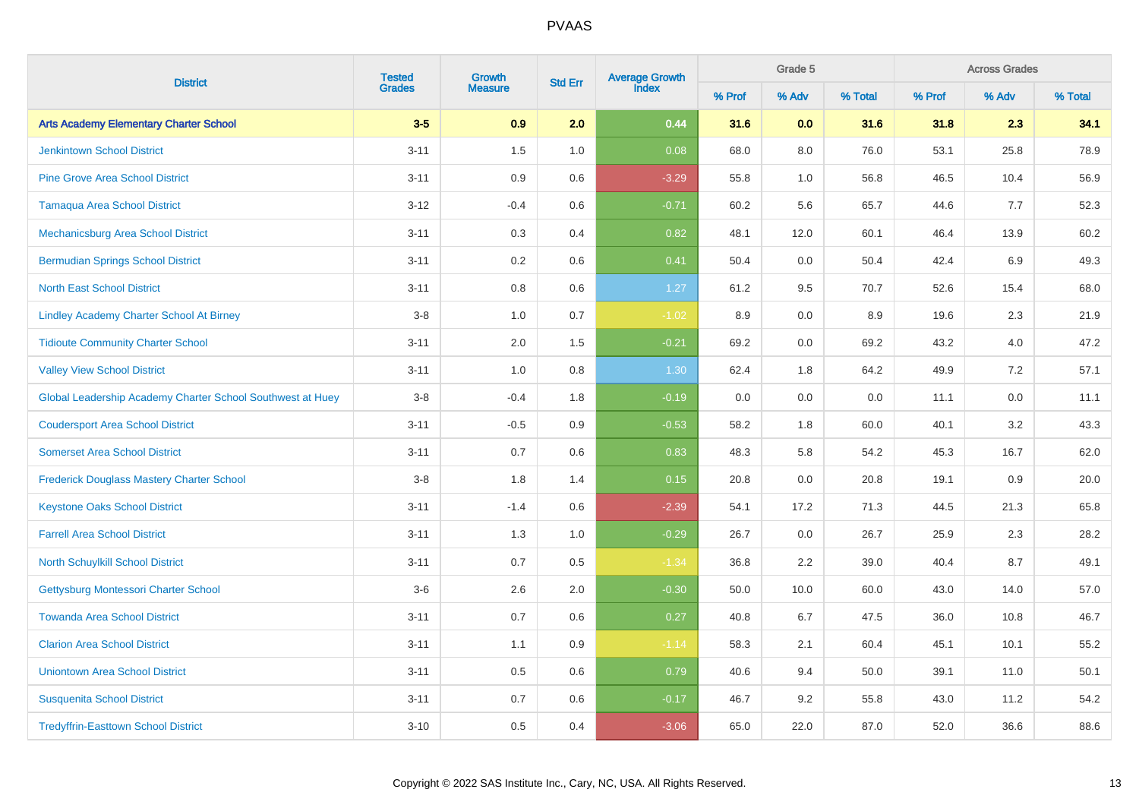|                                                            | <b>Tested</b> | Growth         |                | Average Growth<br>Index |        | Grade 5 |         |        | <b>Across Grades</b><br>% Adv |         |
|------------------------------------------------------------|---------------|----------------|----------------|-------------------------|--------|---------|---------|--------|-------------------------------|---------|
| <b>District</b>                                            | <b>Grades</b> | <b>Measure</b> | <b>Std Err</b> |                         | % Prof | % Adv   | % Total | % Prof |                               | % Total |
| <b>Arts Academy Elementary Charter School</b>              | $3-5$         | 0.9            | 2.0            | 0.44                    | 31.6   | 0.0     | 31.6    | 31.8   | 2.3                           | 34.1    |
| <b>Jenkintown School District</b>                          | $3 - 11$      | 1.5            | 1.0            | 0.08                    | 68.0   | $8.0\,$ | 76.0    | 53.1   | 25.8                          | 78.9    |
| <b>Pine Grove Area School District</b>                     | $3 - 11$      | 0.9            | 0.6            | $-3.29$                 | 55.8   | 1.0     | 56.8    | 46.5   | 10.4                          | 56.9    |
| <b>Tamaqua Area School District</b>                        | $3 - 12$      | $-0.4$         | 0.6            | $-0.71$                 | 60.2   | 5.6     | 65.7    | 44.6   | 7.7                           | 52.3    |
| Mechanicsburg Area School District                         | $3 - 11$      | 0.3            | 0.4            | 0.82                    | 48.1   | 12.0    | 60.1    | 46.4   | 13.9                          | 60.2    |
| <b>Bermudian Springs School District</b>                   | $3 - 11$      | $0.2\,$        | 0.6            | 0.41                    | 50.4   | $0.0\,$ | 50.4    | 42.4   | 6.9                           | 49.3    |
| <b>North East School District</b>                          | $3 - 11$      | 0.8            | 0.6            | 1.27                    | 61.2   | 9.5     | 70.7    | 52.6   | 15.4                          | 68.0    |
| <b>Lindley Academy Charter School At Birney</b>            | $3-8$         | 1.0            | 0.7            | $-1.02$                 | 8.9    | 0.0     | 8.9     | 19.6   | 2.3                           | 21.9    |
| <b>Tidioute Community Charter School</b>                   | $3 - 11$      | 2.0            | 1.5            | $-0.21$                 | 69.2   | 0.0     | 69.2    | 43.2   | 4.0                           | 47.2    |
| <b>Valley View School District</b>                         | $3 - 11$      | 1.0            | 0.8            | 1.30                    | 62.4   | 1.8     | 64.2    | 49.9   | 7.2                           | 57.1    |
| Global Leadership Academy Charter School Southwest at Huey | $3-8$         | $-0.4$         | 1.8            | $-0.19$                 | 0.0    | $0.0\,$ | 0.0     | 11.1   | $0.0\,$                       | 11.1    |
| <b>Coudersport Area School District</b>                    | $3 - 11$      | $-0.5$         | 0.9            | $-0.53$                 | 58.2   | 1.8     | 60.0    | 40.1   | 3.2                           | 43.3    |
| <b>Somerset Area School District</b>                       | $3 - 11$      | 0.7            | 0.6            | 0.83                    | 48.3   | 5.8     | 54.2    | 45.3   | 16.7                          | 62.0    |
| Frederick Douglass Mastery Charter School                  | $3-8$         | 1.8            | 1.4            | 0.15                    | 20.8   | 0.0     | 20.8    | 19.1   | 0.9                           | 20.0    |
| <b>Keystone Oaks School District</b>                       | $3 - 11$      | $-1.4$         | 0.6            | $-2.39$                 | 54.1   | 17.2    | 71.3    | 44.5   | 21.3                          | 65.8    |
| <b>Farrell Area School District</b>                        | $3 - 11$      | 1.3            | 1.0            | $-0.29$                 | 26.7   | $0.0\,$ | 26.7    | 25.9   | 2.3                           | 28.2    |
| North Schuylkill School District                           | $3 - 11$      | 0.7            | 0.5            | $-1.34$                 | 36.8   | 2.2     | 39.0    | 40.4   | 8.7                           | 49.1    |
| Gettysburg Montessori Charter School                       | $3-6$         | 2.6            | 2.0            | $-0.30$                 | 50.0   | 10.0    | 60.0    | 43.0   | 14.0                          | 57.0    |
| <b>Towanda Area School District</b>                        | $3 - 11$      | 0.7            | 0.6            | 0.27                    | 40.8   | 6.7     | 47.5    | 36.0   | 10.8                          | 46.7    |
| <b>Clarion Area School District</b>                        | $3 - 11$      | 1.1            | 0.9            | $-1.14$                 | 58.3   | 2.1     | 60.4    | 45.1   | 10.1                          | 55.2    |
| <b>Uniontown Area School District</b>                      | $3 - 11$      | 0.5            | $0.6\,$        | 0.79                    | 40.6   | 9.4     | 50.0    | 39.1   | 11.0                          | 50.1    |
| <b>Susquenita School District</b>                          | $3 - 11$      | 0.7            | $0.6\,$        | $-0.17$                 | 46.7   | 9.2     | 55.8    | 43.0   | 11.2                          | 54.2    |
| <b>Tredyffrin-Easttown School District</b>                 | $3 - 10$      | 0.5            | 0.4            | $-3.06$                 | 65.0   | 22.0    | 87.0    | 52.0   | 36.6                          | 88.6    |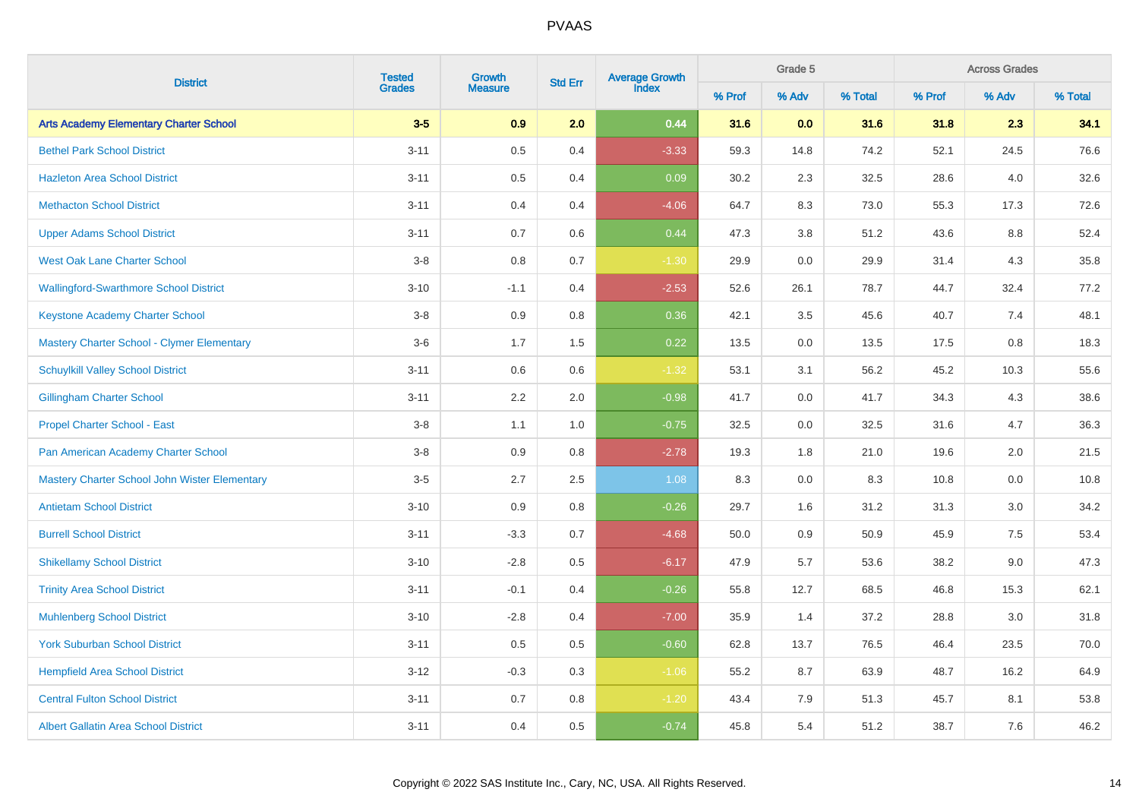| <b>District</b>                               | <b>Tested</b> | Growth         |                | Average Growth<br>Index |        | Grade 5 |         |        | <b>Across Grades</b><br>% Adv |         |
|-----------------------------------------------|---------------|----------------|----------------|-------------------------|--------|---------|---------|--------|-------------------------------|---------|
|                                               | <b>Grades</b> | <b>Measure</b> | <b>Std Err</b> |                         | % Prof | % Adv   | % Total | % Prof |                               | % Total |
| <b>Arts Academy Elementary Charter School</b> | $3-5$         | 0.9            | 2.0            | 0.44                    | 31.6   | 0.0     | 31.6    | 31.8   | 2.3                           | 34.1    |
| <b>Bethel Park School District</b>            | $3 - 11$      | $0.5\,$        | 0.4            | $-3.33$                 | 59.3   | 14.8    | 74.2    | 52.1   | 24.5                          | 76.6    |
| <b>Hazleton Area School District</b>          | $3 - 11$      | $0.5\,$        | 0.4            | 0.09                    | 30.2   | 2.3     | 32.5    | 28.6   | 4.0                           | 32.6    |
| <b>Methacton School District</b>              | $3 - 11$      | 0.4            | 0.4            | $-4.06$                 | 64.7   | 8.3     | 73.0    | 55.3   | 17.3                          | 72.6    |
| <b>Upper Adams School District</b>            | $3 - 11$      | 0.7            | 0.6            | 0.44                    | 47.3   | 3.8     | 51.2    | 43.6   | 8.8                           | 52.4    |
| <b>West Oak Lane Charter School</b>           | $3-8$         | 0.8            | 0.7            | $-1.30$                 | 29.9   | 0.0     | 29.9    | 31.4   | 4.3                           | 35.8    |
| <b>Wallingford-Swarthmore School District</b> | $3 - 10$      | $-1.1$         | 0.4            | $-2.53$                 | 52.6   | 26.1    | 78.7    | 44.7   | 32.4                          | 77.2    |
| Keystone Academy Charter School               | $3-8$         | 0.9            | 0.8            | 0.36                    | 42.1   | 3.5     | 45.6    | 40.7   | 7.4                           | 48.1    |
| Mastery Charter School - Clymer Elementary    | $3-6$         | 1.7            | 1.5            | 0.22                    | 13.5   | 0.0     | 13.5    | 17.5   | 0.8                           | 18.3    |
| <b>Schuylkill Valley School District</b>      | $3 - 11$      | 0.6            | 0.6            | $-1.32$                 | 53.1   | 3.1     | 56.2    | 45.2   | 10.3                          | 55.6    |
| <b>Gillingham Charter School</b>              | $3 - 11$      | 2.2            | 2.0            | $-0.98$                 | 41.7   | 0.0     | 41.7    | 34.3   | 4.3                           | 38.6    |
| Propel Charter School - East                  | $3-8$         | 1.1            | 1.0            | $-0.75$                 | 32.5   | 0.0     | 32.5    | 31.6   | 4.7                           | 36.3    |
| Pan American Academy Charter School           | $3-8$         | 0.9            | 0.8            | $-2.78$                 | 19.3   | 1.8     | 21.0    | 19.6   | 2.0                           | 21.5    |
| Mastery Charter School John Wister Elementary | $3-5$         | 2.7            | 2.5            | 1.08                    | 8.3    | 0.0     | 8.3     | 10.8   | 0.0                           | 10.8    |
| <b>Antietam School District</b>               | $3 - 10$      | 0.9            | 0.8            | $-0.26$                 | 29.7   | 1.6     | 31.2    | 31.3   | 3.0                           | 34.2    |
| <b>Burrell School District</b>                | $3 - 11$      | $-3.3$         | 0.7            | $-4.68$                 | 50.0   | 0.9     | 50.9    | 45.9   | 7.5                           | 53.4    |
| <b>Shikellamy School District</b>             | $3 - 10$      | $-2.8$         | 0.5            | $-6.17$                 | 47.9   | 5.7     | 53.6    | 38.2   | 9.0                           | 47.3    |
| <b>Trinity Area School District</b>           | $3 - 11$      | $-0.1$         | 0.4            | $-0.26$                 | 55.8   | 12.7    | 68.5    | 46.8   | 15.3                          | 62.1    |
| <b>Muhlenberg School District</b>             | $3 - 10$      | $-2.8$         | 0.4            | $-7.00$                 | 35.9   | 1.4     | 37.2    | 28.8   | 3.0                           | 31.8    |
| <b>York Suburban School District</b>          | $3 - 11$      | 0.5            | 0.5            | $-0.60$                 | 62.8   | 13.7    | 76.5    | 46.4   | 23.5                          | 70.0    |
| <b>Hempfield Area School District</b>         | $3 - 12$      | $-0.3$         | 0.3            | $-1.06$                 | 55.2   | 8.7     | 63.9    | 48.7   | 16.2                          | 64.9    |
| <b>Central Fulton School District</b>         | $3 - 11$      | 0.7            | 0.8            | $-1.20$                 | 43.4   | 7.9     | 51.3    | 45.7   | 8.1                           | 53.8    |
| <b>Albert Gallatin Area School District</b>   | $3 - 11$      | 0.4            | 0.5            | $-0.74$                 | 45.8   | 5.4     | 51.2    | 38.7   | 7.6                           | 46.2    |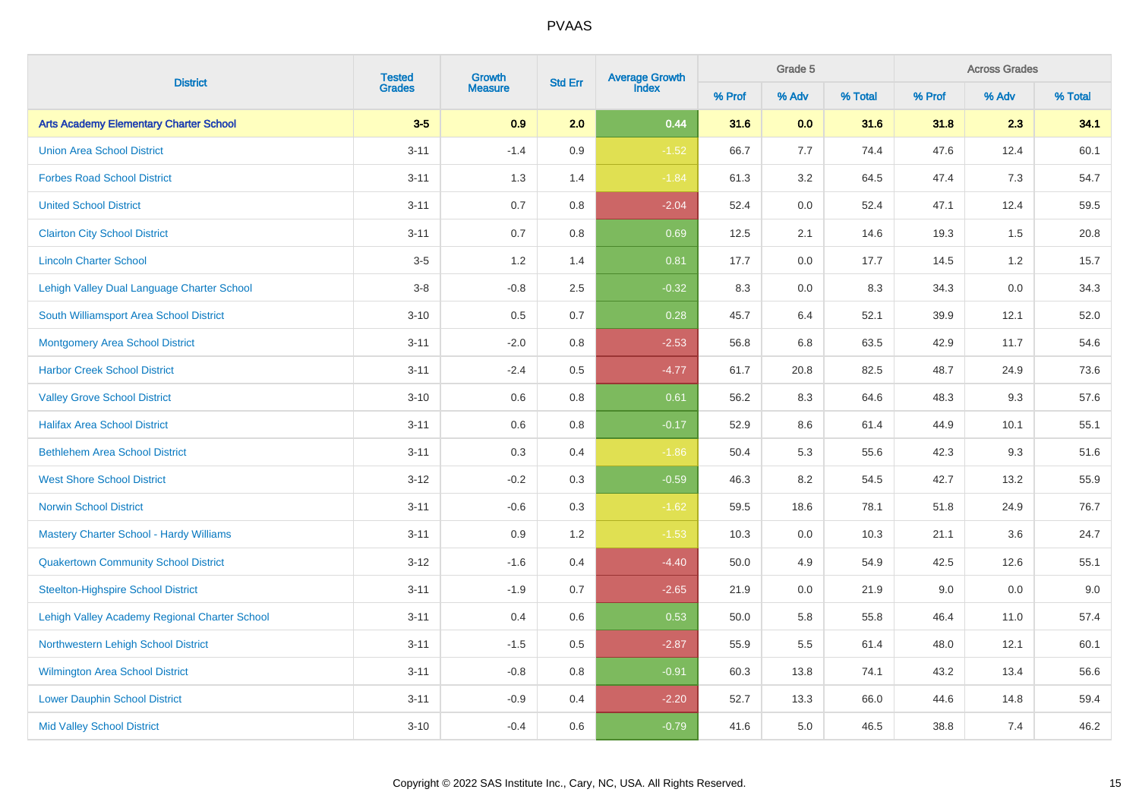|                                               | <b>Tested</b> | Growth         | <b>Std Err</b> | <b>Average Growth</b><br>Index | Grade 5 |         | % Adv<br>2.3<br>12.4<br>7.3 | <b>Across Grades</b> |      |         |
|-----------------------------------------------|---------------|----------------|----------------|--------------------------------|---------|---------|-----------------------------|----------------------|------|---------|
| <b>District</b>                               | <b>Grades</b> | <b>Measure</b> |                |                                | % Prof  | % Adv   | % Total                     | % Prof               |      | % Total |
| <b>Arts Academy Elementary Charter School</b> | $3-5$         | 0.9            | 2.0            | 0.44                           | 31.6    | 0.0     | 31.6                        | 31.8                 |      | 34.1    |
| <b>Union Area School District</b>             | $3 - 11$      | $-1.4$         | 0.9            | $-1.52$                        | 66.7    | 7.7     | 74.4                        | 47.6                 |      | 60.1    |
| <b>Forbes Road School District</b>            | $3 - 11$      | 1.3            | 1.4            | $-1.84$                        | 61.3    | 3.2     | 64.5                        | 47.4                 |      | 54.7    |
| <b>United School District</b>                 | $3 - 11$      | 0.7            | 0.8            | $-2.04$                        | 52.4    | $0.0\,$ | 52.4                        | 47.1                 | 12.4 | 59.5    |
| <b>Clairton City School District</b>          | $3 - 11$      | 0.7            | 0.8            | 0.69                           | 12.5    | 2.1     | 14.6                        | 19.3                 | 1.5  | 20.8    |
| <b>Lincoln Charter School</b>                 | $3-5$         | 1.2            | 1.4            | 0.81                           | 17.7    | 0.0     | 17.7                        | 14.5                 | 1.2  | 15.7    |
| Lehigh Valley Dual Language Charter School    | $3-8$         | $-0.8$         | 2.5            | $-0.32$                        | 8.3     | $0.0\,$ | 8.3                         | 34.3                 | 0.0  | 34.3    |
| South Williamsport Area School District       | $3 - 10$      | 0.5            | 0.7            | 0.28                           | 45.7    | 6.4     | 52.1                        | 39.9                 | 12.1 | 52.0    |
| <b>Montgomery Area School District</b>        | $3 - 11$      | $-2.0$         | 0.8            | $-2.53$                        | 56.8    | 6.8     | 63.5                        | 42.9                 | 11.7 | 54.6    |
| <b>Harbor Creek School District</b>           | $3 - 11$      | $-2.4$         | 0.5            | $-4.77$                        | 61.7    | 20.8    | 82.5                        | 48.7                 | 24.9 | 73.6    |
| <b>Valley Grove School District</b>           | $3 - 10$      | 0.6            | 0.8            | 0.61                           | 56.2    | 8.3     | 64.6                        | 48.3                 | 9.3  | 57.6    |
| <b>Halifax Area School District</b>           | $3 - 11$      | 0.6            | 0.8            | $-0.17$                        | 52.9    | 8.6     | 61.4                        | 44.9                 | 10.1 | 55.1    |
| <b>Bethlehem Area School District</b>         | $3 - 11$      | 0.3            | 0.4            | $-1.86$                        | 50.4    | 5.3     | 55.6                        | 42.3                 | 9.3  | 51.6    |
| <b>West Shore School District</b>             | $3 - 12$      | $-0.2$         | 0.3            | $-0.59$                        | 46.3    | 8.2     | 54.5                        | 42.7                 | 13.2 | 55.9    |
| <b>Norwin School District</b>                 | $3 - 11$      | $-0.6$         | 0.3            | $-1.62$                        | 59.5    | 18.6    | 78.1                        | 51.8                 | 24.9 | 76.7    |
| Mastery Charter School - Hardy Williams       | $3 - 11$      | 0.9            | 1.2            | $-1.53$                        | 10.3    | 0.0     | 10.3                        | 21.1                 | 3.6  | 24.7    |
| <b>Quakertown Community School District</b>   | $3 - 12$      | $-1.6$         | 0.4            | $-4.40$                        | 50.0    | 4.9     | 54.9                        | 42.5                 | 12.6 | 55.1    |
| <b>Steelton-Highspire School District</b>     | $3 - 11$      | $-1.9$         | 0.7            | $-2.65$                        | 21.9    | 0.0     | 21.9                        | 9.0                  | 0.0  | 9.0     |
| Lehigh Valley Academy Regional Charter School | $3 - 11$      | 0.4            | 0.6            | 0.53                           | 50.0    | 5.8     | 55.8                        | 46.4                 | 11.0 | 57.4    |
| Northwestern Lehigh School District           | $3 - 11$      | $-1.5$         | 0.5            | $-2.87$                        | 55.9    | 5.5     | 61.4                        | 48.0                 | 12.1 | 60.1    |
| <b>Wilmington Area School District</b>        | $3 - 11$      | $-0.8$         | 0.8            | $-0.91$                        | 60.3    | 13.8    | 74.1                        | 43.2                 | 13.4 | 56.6    |
| <b>Lower Dauphin School District</b>          | $3 - 11$      | $-0.9$         | 0.4            | $-2.20$                        | 52.7    | 13.3    | 66.0                        | 44.6                 | 14.8 | 59.4    |
| <b>Mid Valley School District</b>             | $3 - 10$      | $-0.4$         | 0.6            | $-0.79$                        | 41.6    | 5.0     | 46.5                        | 38.8                 | 7.4  | 46.2    |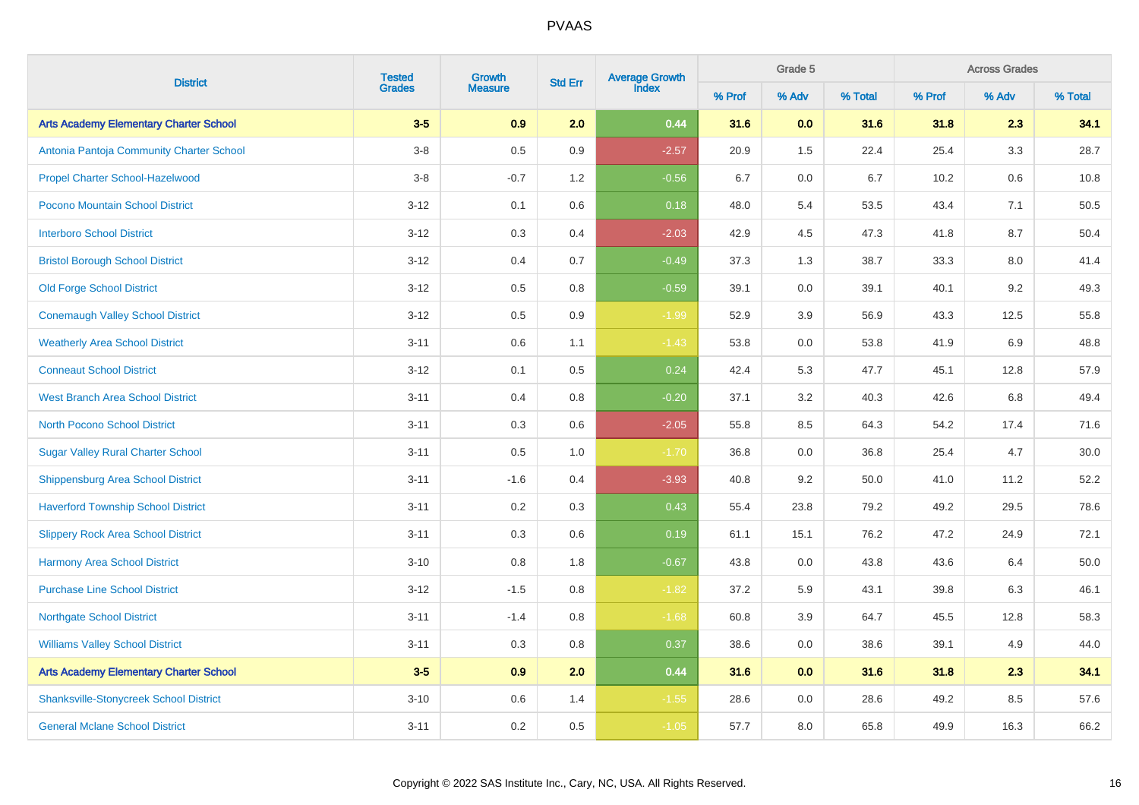| <b>District</b>                               |                         | Growth         | <b>Std Err</b> | Average Growth<br>Index |        | Grade 5<br><b>Across Grades</b> |         | % Adv  |         |         |
|-----------------------------------------------|-------------------------|----------------|----------------|-------------------------|--------|---------------------------------|---------|--------|---------|---------|
|                                               | <b>Tested</b><br>Grades | <b>Measure</b> |                |                         | % Prof | % Adv                           | % Total | % Prof |         | % Total |
| <b>Arts Academy Elementary Charter School</b> | $3-5$                   | 0.9            | 2.0            | 0.44                    | 31.6   | 0.0                             | 31.6    | 31.8   | 2.3     | 34.1    |
| Antonia Pantoja Community Charter School      | $3-8$                   | $0.5\,$        | 0.9            | $-2.57$                 | 20.9   | 1.5                             | 22.4    | 25.4   | 3.3     | 28.7    |
| Propel Charter School-Hazelwood               | $3-8$                   | $-0.7$         | 1.2            | $-0.56$                 | 6.7    | 0.0                             | 6.7     | 10.2   | 0.6     | 10.8    |
| Pocono Mountain School District               | $3 - 12$                | 0.1            | 0.6            | 0.18                    | 48.0   | 5.4                             | 53.5    | 43.4   | 7.1     | 50.5    |
| <b>Interboro School District</b>              | $3 - 12$                | $0.3\,$        | 0.4            | $-2.03$                 | 42.9   | 4.5                             | 47.3    | 41.8   | $8.7\,$ | 50.4    |
| <b>Bristol Borough School District</b>        | $3 - 12$                | 0.4            | 0.7            | $-0.49$                 | 37.3   | 1.3                             | 38.7    | 33.3   | 8.0     | 41.4    |
| <b>Old Forge School District</b>              | $3 - 12$                | $0.5\,$        | $0.8\,$        | $-0.59$                 | 39.1   | 0.0                             | 39.1    | 40.1   | 9.2     | 49.3    |
| <b>Conemaugh Valley School District</b>       | $3 - 12$                | 0.5            | $0.9\,$        | $-1.99$                 | 52.9   | $3.9\,$                         | 56.9    | 43.3   | 12.5    | 55.8    |
| <b>Weatherly Area School District</b>         | $3 - 11$                | 0.6            | 1.1            | $-1.43$                 | 53.8   | $0.0\,$                         | 53.8    | 41.9   | 6.9     | 48.8    |
| <b>Conneaut School District</b>               | $3 - 12$                | 0.1            | 0.5            | 0.24                    | 42.4   | 5.3                             | 47.7    | 45.1   | 12.8    | 57.9    |
| <b>West Branch Area School District</b>       | $3 - 11$                | 0.4            | 0.8            | $-0.20$                 | 37.1   | 3.2                             | 40.3    | 42.6   | $6.8\,$ | 49.4    |
| <b>North Pocono School District</b>           | $3 - 11$                | 0.3            | 0.6            | $-2.05$                 | 55.8   | 8.5                             | 64.3    | 54.2   | 17.4    | 71.6    |
| <b>Sugar Valley Rural Charter School</b>      | $3 - 11$                | $0.5\,$        | 1.0            | $-1.70$                 | 36.8   | $0.0\,$                         | 36.8    | 25.4   | 4.7     | 30.0    |
| <b>Shippensburg Area School District</b>      | $3 - 11$                | $-1.6$         | 0.4            | $-3.93$                 | 40.8   | 9.2                             | 50.0    | 41.0   | 11.2    | 52.2    |
| <b>Haverford Township School District</b>     | $3 - 11$                | 0.2            | $0.3\,$        | 0.43                    | 55.4   | 23.8                            | 79.2    | 49.2   | 29.5    | 78.6    |
| <b>Slippery Rock Area School District</b>     | $3 - 11$                | 0.3            | 0.6            | 0.19                    | 61.1   | 15.1                            | 76.2    | 47.2   | 24.9    | 72.1    |
| <b>Harmony Area School District</b>           | $3 - 10$                | 0.8            | 1.8            | $-0.67$                 | 43.8   | 0.0                             | 43.8    | 43.6   | 6.4     | 50.0    |
| <b>Purchase Line School District</b>          | $3 - 12$                | $-1.5$         | 0.8            | $-1.82$                 | 37.2   | 5.9                             | 43.1    | 39.8   | 6.3     | 46.1    |
| <b>Northgate School District</b>              | $3 - 11$                | $-1.4$         | 0.8            | $-1.68$                 | 60.8   | $3.9\,$                         | 64.7    | 45.5   | 12.8    | 58.3    |
| <b>Williams Valley School District</b>        | $3 - 11$                | 0.3            | $0.8\,$        | 0.37                    | 38.6   | 0.0                             | 38.6    | 39.1   | 4.9     | 44.0    |
| <b>Arts Academy Elementary Charter School</b> | $3-5$                   | 0.9            | 2.0            | 0.44                    | 31.6   | 0.0                             | 31.6    | 31.8   | 2.3     | 34.1    |
| <b>Shanksville-Stonycreek School District</b> | $3 - 10$                | $0.6\,$        | 1.4            | $-1.55$                 | 28.6   | $0.0\,$                         | 28.6    | 49.2   | 8.5     | 57.6    |
| <b>General Mclane School District</b>         | $3 - 11$                | 0.2            | 0.5            | $-1.05$                 | 57.7   | 8.0                             | 65.8    | 49.9   | 16.3    | 66.2    |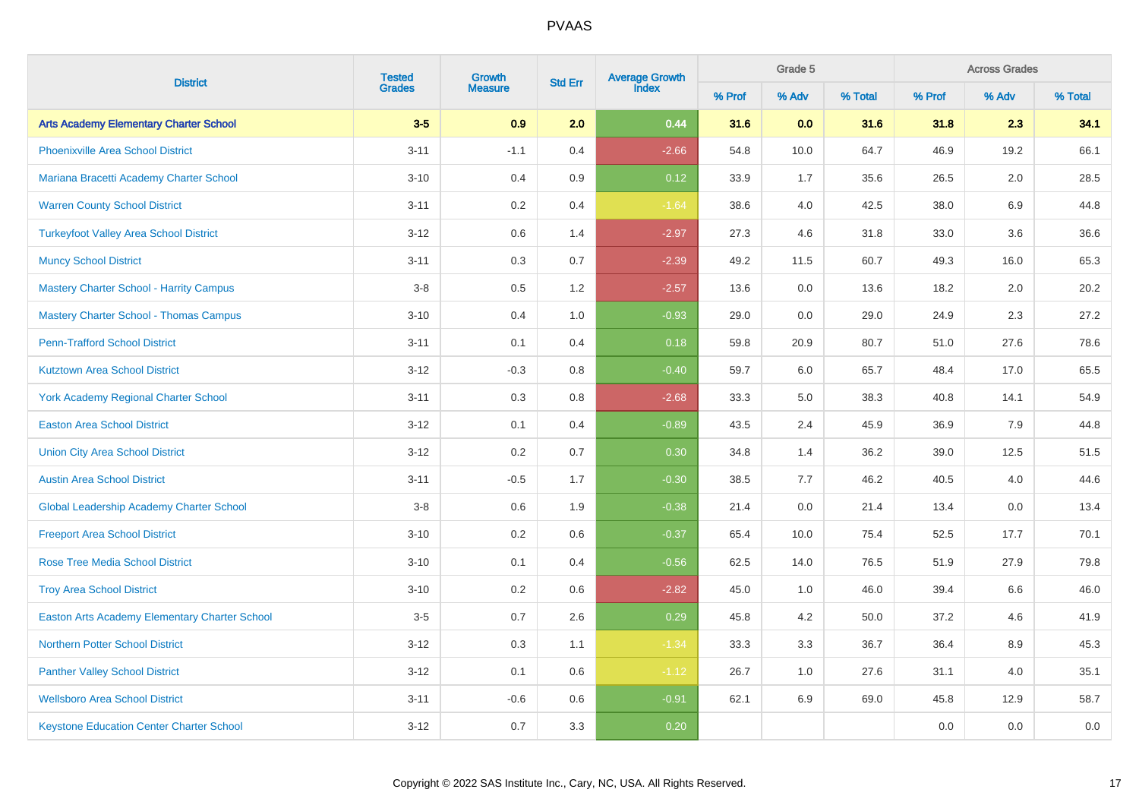| <b>District</b>                                      | <b>Tested</b> | Growth         |                | Average Growth<br>Index |        | Grade 5 |         |        | <b>Across Grades</b><br>% Adv |         |
|------------------------------------------------------|---------------|----------------|----------------|-------------------------|--------|---------|---------|--------|-------------------------------|---------|
|                                                      | <b>Grades</b> | <b>Measure</b> | <b>Std Err</b> |                         | % Prof | % Adv   | % Total | % Prof |                               | % Total |
| <b>Arts Academy Elementary Charter School</b>        | $3-5$         | 0.9            | 2.0            | 0.44                    | 31.6   | 0.0     | 31.6    | 31.8   | 2.3                           | 34.1    |
| <b>Phoenixville Area School District</b>             | $3 - 11$      | $-1.1$         | 0.4            | $-2.66$                 | 54.8   | 10.0    | 64.7    | 46.9   | 19.2                          | 66.1    |
| Mariana Bracetti Academy Charter School              | $3 - 10$      | 0.4            | 0.9            | 0.12                    | 33.9   | 1.7     | 35.6    | 26.5   | 2.0                           | 28.5    |
| <b>Warren County School District</b>                 | $3 - 11$      | 0.2            | 0.4            | $-1.64$                 | 38.6   | 4.0     | 42.5    | 38.0   | 6.9                           | 44.8    |
| <b>Turkeyfoot Valley Area School District</b>        | $3 - 12$      | 0.6            | 1.4            | $-2.97$                 | 27.3   | 4.6     | 31.8    | 33.0   | 3.6                           | 36.6    |
| <b>Muncy School District</b>                         | $3 - 11$      | 0.3            | 0.7            | $-2.39$                 | 49.2   | 11.5    | 60.7    | 49.3   | 16.0                          | 65.3    |
| <b>Mastery Charter School - Harrity Campus</b>       | $3-8$         | 0.5            | 1.2            | $-2.57$                 | 13.6   | $0.0\,$ | 13.6    | 18.2   | 2.0                           | 20.2    |
| <b>Mastery Charter School - Thomas Campus</b>        | $3 - 10$      | 0.4            | 1.0            | $-0.93$                 | 29.0   | 0.0     | 29.0    | 24.9   | 2.3                           | 27.2    |
| <b>Penn-Trafford School District</b>                 | $3 - 11$      | 0.1            | 0.4            | 0.18                    | 59.8   | 20.9    | 80.7    | 51.0   | 27.6                          | 78.6    |
| <b>Kutztown Area School District</b>                 | $3 - 12$      | $-0.3$         | 0.8            | $-0.40$                 | 59.7   | 6.0     | 65.7    | 48.4   | 17.0                          | 65.5    |
| <b>York Academy Regional Charter School</b>          | $3 - 11$      | 0.3            | 0.8            | $-2.68$                 | 33.3   | 5.0     | 38.3    | 40.8   | 14.1                          | 54.9    |
| <b>Easton Area School District</b>                   | $3 - 12$      | 0.1            | 0.4            | $-0.89$                 | 43.5   | 2.4     | 45.9    | 36.9   | 7.9                           | 44.8    |
| <b>Union City Area School District</b>               | $3 - 12$      | 0.2            | 0.7            | 0.30                    | 34.8   | 1.4     | 36.2    | 39.0   | 12.5                          | 51.5    |
| <b>Austin Area School District</b>                   | $3 - 11$      | $-0.5$         | 1.7            | $-0.30$                 | 38.5   | 7.7     | 46.2    | 40.5   | 4.0                           | 44.6    |
| <b>Global Leadership Academy Charter School</b>      | $3-8$         | 0.6            | 1.9            | $-0.38$                 | 21.4   | 0.0     | 21.4    | 13.4   | 0.0                           | 13.4    |
| <b>Freeport Area School District</b>                 | $3 - 10$      | 0.2            | 0.6            | $-0.37$                 | 65.4   | 10.0    | 75.4    | 52.5   | 17.7                          | 70.1    |
| <b>Rose Tree Media School District</b>               | $3 - 10$      | 0.1            | 0.4            | $-0.56$                 | 62.5   | 14.0    | 76.5    | 51.9   | 27.9                          | 79.8    |
| <b>Troy Area School District</b>                     | $3 - 10$      | 0.2            | 0.6            | $-2.82$                 | 45.0   | 1.0     | 46.0    | 39.4   | 6.6                           | 46.0    |
| <b>Easton Arts Academy Elementary Charter School</b> | $3-5$         | 0.7            | 2.6            | 0.29                    | 45.8   | 4.2     | 50.0    | 37.2   | 4.6                           | 41.9    |
| <b>Northern Potter School District</b>               | $3 - 12$      | 0.3            | 1.1            | $-1.34$                 | 33.3   | 3.3     | 36.7    | 36.4   | 8.9                           | 45.3    |
| <b>Panther Valley School District</b>                | $3 - 12$      | 0.1            | 0.6            | $-1.12$                 | 26.7   | 1.0     | 27.6    | 31.1   | 4.0                           | 35.1    |
| <b>Wellsboro Area School District</b>                | $3 - 11$      | $-0.6$         | 0.6            | $-0.91$                 | 62.1   | 6.9     | 69.0    | 45.8   | 12.9                          | 58.7    |
| <b>Keystone Education Center Charter School</b>      | $3 - 12$      | 0.7            | 3.3            | 0.20                    |        |         |         | 0.0    | 0.0                           | 0.0     |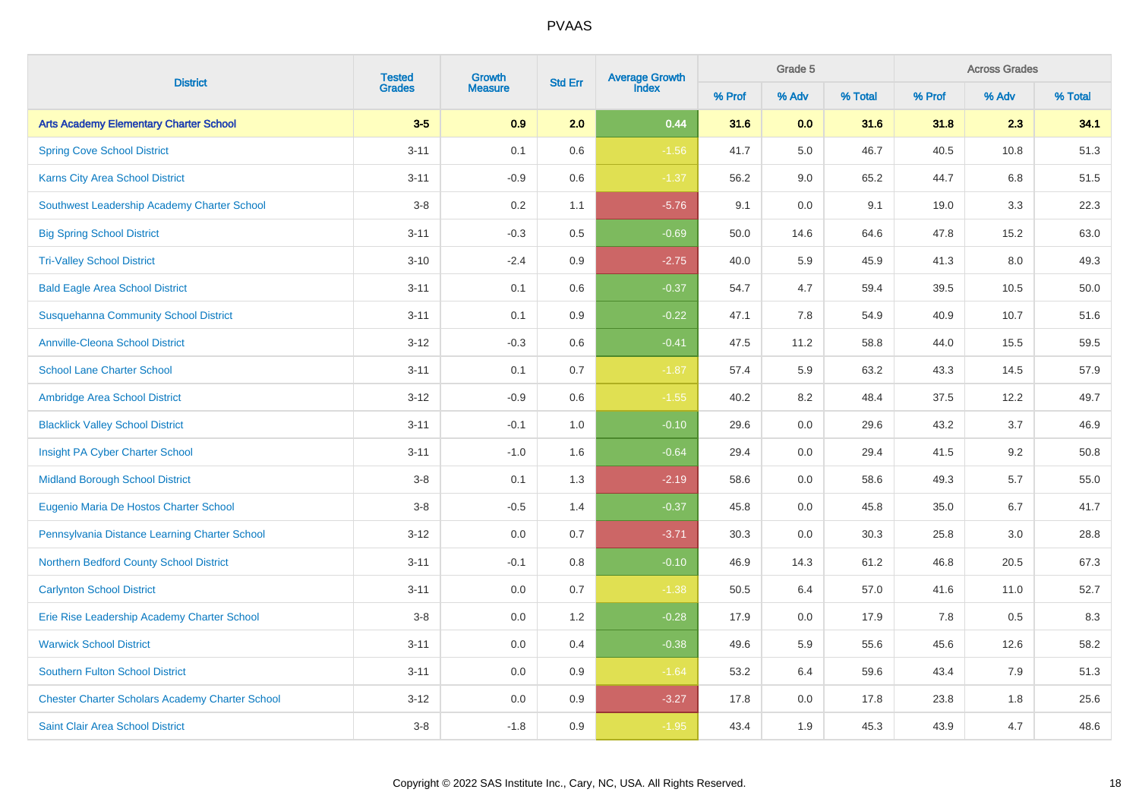| <b>District</b>                                        | <b>Tested</b> | Growth         | <b>Std Err</b> | Average Growth<br>Index |        | Grade 5 |         |        | <b>Across Grades</b><br>% Adv |         |
|--------------------------------------------------------|---------------|----------------|----------------|-------------------------|--------|---------|---------|--------|-------------------------------|---------|
|                                                        | <b>Grades</b> | <b>Measure</b> |                |                         | % Prof | % Adv   | % Total | % Prof |                               | % Total |
| <b>Arts Academy Elementary Charter School</b>          | $3-5$         | 0.9            | 2.0            | 0.44                    | 31.6   | 0.0     | 31.6    | 31.8   | 2.3                           | 34.1    |
| <b>Spring Cove School District</b>                     | $3 - 11$      | 0.1            | 0.6            | $-1.56$                 | 41.7   | 5.0     | 46.7    | 40.5   | 10.8                          | 51.3    |
| <b>Karns City Area School District</b>                 | $3 - 11$      | $-0.9$         | $0.6\,$        | $-1.37$                 | 56.2   | $9.0\,$ | 65.2    | 44.7   | $6.8\,$                       | 51.5    |
| Southwest Leadership Academy Charter School            | $3-8$         | 0.2            | 1.1            | $-5.76$                 | 9.1    | 0.0     | 9.1     | 19.0   | 3.3                           | 22.3    |
| <b>Big Spring School District</b>                      | $3 - 11$      | $-0.3$         | 0.5            | $-0.69$                 | 50.0   | 14.6    | 64.6    | 47.8   | 15.2                          | 63.0    |
| <b>Tri-Valley School District</b>                      | $3 - 10$      | $-2.4$         | 0.9            | $-2.75$                 | 40.0   | 5.9     | 45.9    | 41.3   | 8.0                           | 49.3    |
| <b>Bald Eagle Area School District</b>                 | $3 - 11$      | 0.1            | 0.6            | $-0.37$                 | 54.7   | 4.7     | 59.4    | 39.5   | 10.5                          | 50.0    |
| <b>Susquehanna Community School District</b>           | $3 - 11$      | 0.1            | 0.9            | $-0.22$                 | 47.1   | 7.8     | 54.9    | 40.9   | 10.7                          | 51.6    |
| <b>Annville-Cleona School District</b>                 | $3 - 12$      | $-0.3$         | 0.6            | $-0.41$                 | 47.5   | 11.2    | 58.8    | 44.0   | 15.5                          | 59.5    |
| <b>School Lane Charter School</b>                      | $3 - 11$      | 0.1            | 0.7            | $-1.87$                 | 57.4   | 5.9     | 63.2    | 43.3   | 14.5                          | 57.9    |
| <b>Ambridge Area School District</b>                   | $3 - 12$      | $-0.9$         | 0.6            | $-1.55$                 | 40.2   | 8.2     | 48.4    | 37.5   | 12.2                          | 49.7    |
| <b>Blacklick Valley School District</b>                | $3 - 11$      | $-0.1$         | 1.0            | $-0.10$                 | 29.6   | 0.0     | 29.6    | 43.2   | 3.7                           | 46.9    |
| Insight PA Cyber Charter School                        | $3 - 11$      | $-1.0$         | 1.6            | $-0.64$                 | 29.4   | 0.0     | 29.4    | 41.5   | 9.2                           | 50.8    |
| <b>Midland Borough School District</b>                 | $3-8$         | 0.1            | 1.3            | $-2.19$                 | 58.6   | 0.0     | 58.6    | 49.3   | 5.7                           | 55.0    |
| Eugenio Maria De Hostos Charter School                 | $3-8$         | $-0.5$         | 1.4            | $-0.37$                 | 45.8   | 0.0     | 45.8    | 35.0   | 6.7                           | 41.7    |
| Pennsylvania Distance Learning Charter School          | $3 - 12$      | 0.0            | 0.7            | $-3.71$                 | 30.3   | 0.0     | 30.3    | 25.8   | 3.0                           | 28.8    |
| Northern Bedford County School District                | $3 - 11$      | $-0.1$         | 0.8            | $-0.10$                 | 46.9   | 14.3    | 61.2    | 46.8   | 20.5                          | 67.3    |
| <b>Carlynton School District</b>                       | $3 - 11$      | 0.0            | 0.7            | $-1.38$                 | 50.5   | 6.4     | 57.0    | 41.6   | 11.0                          | 52.7    |
| Erie Rise Leadership Academy Charter School            | $3-8$         | 0.0            | 1.2            | $-0.28$                 | 17.9   | 0.0     | 17.9    | 7.8    | 0.5                           | 8.3     |
| <b>Warwick School District</b>                         | $3 - 11$      | 0.0            | 0.4            | $-0.38$                 | 49.6   | 5.9     | 55.6    | 45.6   | 12.6                          | 58.2    |
| <b>Southern Fulton School District</b>                 | $3 - 11$      | 0.0            | 0.9            | $-1.64$                 | 53.2   | 6.4     | 59.6    | 43.4   | 7.9                           | 51.3    |
| <b>Chester Charter Scholars Academy Charter School</b> | $3 - 12$      | 0.0            | 0.9            | $-3.27$                 | 17.8   | 0.0     | 17.8    | 23.8   | 1.8                           | 25.6    |
| Saint Clair Area School District                       | $3-8$         | $-1.8$         | 0.9            | $-1.95$                 | 43.4   | 1.9     | 45.3    | 43.9   | 4.7                           | 48.6    |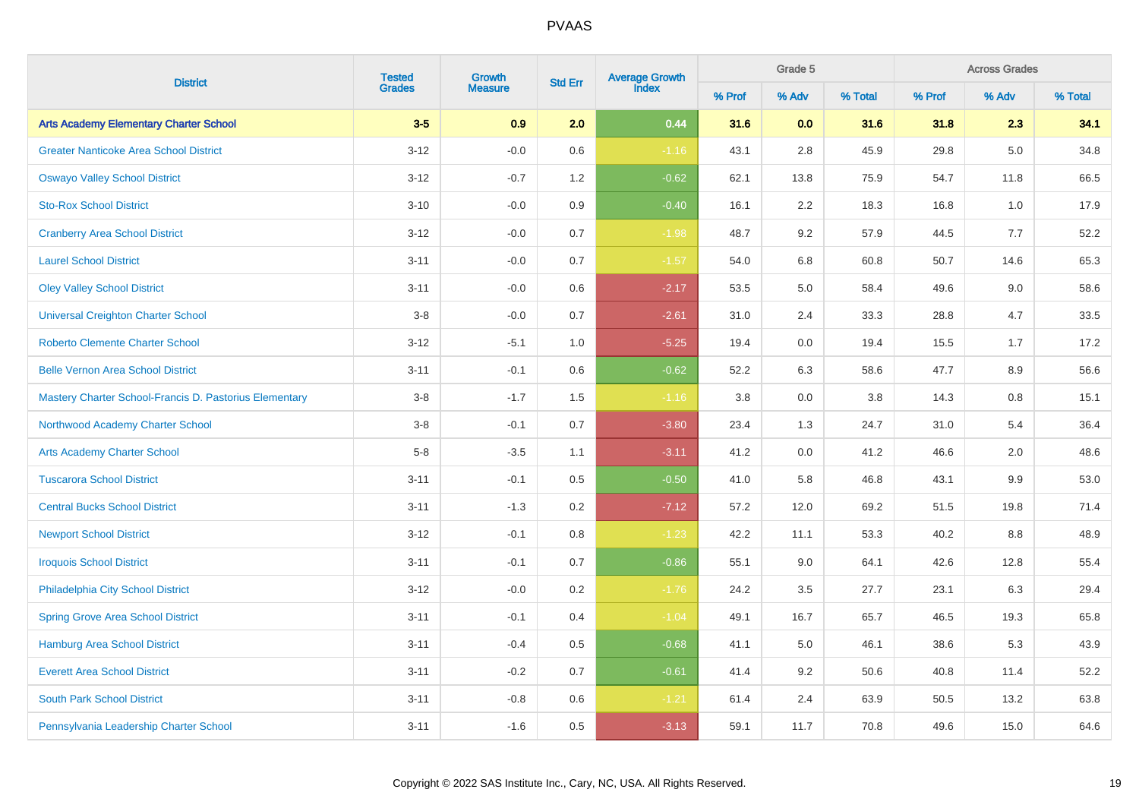|                                                        | <b>Tested</b> | Growth         |                | Average Growth<br>Index |        | Grade 5 |         |        | <b>Across Grades</b><br>% Adv |         |
|--------------------------------------------------------|---------------|----------------|----------------|-------------------------|--------|---------|---------|--------|-------------------------------|---------|
| <b>District</b>                                        | <b>Grades</b> | <b>Measure</b> | <b>Std Err</b> |                         | % Prof | % Adv   | % Total | % Prof |                               | % Total |
| <b>Arts Academy Elementary Charter School</b>          | $3-5$         | 0.9            | 2.0            | 0.44                    | 31.6   | 0.0     | 31.6    | 31.8   | 2.3                           | 34.1    |
| <b>Greater Nanticoke Area School District</b>          | $3 - 12$      | $-0.0$         | 0.6            | $-1.16$                 | 43.1   | 2.8     | 45.9    | 29.8   | $5.0\,$                       | 34.8    |
| <b>Oswayo Valley School District</b>                   | $3 - 12$      | $-0.7$         | $1.2$          | $-0.62$                 | 62.1   | 13.8    | 75.9    | 54.7   | 11.8                          | 66.5    |
| <b>Sto-Rox School District</b>                         | $3 - 10$      | $-0.0$         | 0.9            | $-0.40$                 | 16.1   | 2.2     | 18.3    | 16.8   | 1.0                           | 17.9    |
| <b>Cranberry Area School District</b>                  | $3 - 12$      | $-0.0$         | 0.7            | $-1.98$                 | 48.7   | 9.2     | 57.9    | 44.5   | 7.7                           | 52.2    |
| <b>Laurel School District</b>                          | $3 - 11$      | $-0.0$         | 0.7            | $-1.57$                 | 54.0   | 6.8     | 60.8    | 50.7   | 14.6                          | 65.3    |
| <b>Oley Valley School District</b>                     | $3 - 11$      | $-0.0$         | 0.6            | $-2.17$                 | 53.5   | 5.0     | 58.4    | 49.6   | 9.0                           | 58.6    |
| <b>Universal Creighton Charter School</b>              | $3-8$         | $-0.0$         | 0.7            | $-2.61$                 | 31.0   | 2.4     | 33.3    | 28.8   | 4.7                           | 33.5    |
| <b>Roberto Clemente Charter School</b>                 | $3 - 12$      | $-5.1$         | 1.0            | $-5.25$                 | 19.4   | $0.0\,$ | 19.4    | 15.5   | 1.7                           | 17.2    |
| <b>Belle Vernon Area School District</b>               | $3 - 11$      | $-0.1$         | $0.6\,$        | $-0.62$                 | 52.2   | 6.3     | 58.6    | 47.7   | 8.9                           | 56.6    |
| Mastery Charter School-Francis D. Pastorius Elementary | $3-8$         | $-1.7$         | 1.5            | $-1.16$                 | 3.8    | 0.0     | 3.8     | 14.3   | 0.8                           | 15.1    |
| Northwood Academy Charter School                       | $3-8$         | $-0.1$         | 0.7            | $-3.80$                 | 23.4   | 1.3     | 24.7    | 31.0   | 5.4                           | 36.4    |
| <b>Arts Academy Charter School</b>                     | $5-8$         | $-3.5$         | 1.1            | $-3.11$                 | 41.2   | $0.0\,$ | 41.2    | 46.6   | 2.0                           | 48.6    |
| <b>Tuscarora School District</b>                       | $3 - 11$      | $-0.1$         | $0.5\,$        | $-0.50$                 | 41.0   | 5.8     | 46.8    | 43.1   | 9.9                           | 53.0    |
| <b>Central Bucks School District</b>                   | $3 - 11$      | $-1.3$         | 0.2            | $-7.12$                 | 57.2   | 12.0    | 69.2    | 51.5   | 19.8                          | 71.4    |
| <b>Newport School District</b>                         | $3 - 12$      | $-0.1$         | 0.8            | $-1.23$                 | 42.2   | 11.1    | 53.3    | 40.2   | $8.8\,$                       | 48.9    |
| <b>Iroquois School District</b>                        | $3 - 11$      | $-0.1$         | 0.7            | $-0.86$                 | 55.1   | 9.0     | 64.1    | 42.6   | 12.8                          | 55.4    |
| Philadelphia City School District                      | $3 - 12$      | $-0.0$         | 0.2            | $-1.76$                 | 24.2   | 3.5     | 27.7    | 23.1   | 6.3                           | 29.4    |
| <b>Spring Grove Area School District</b>               | $3 - 11$      | $-0.1$         | 0.4            | $-1.04$                 | 49.1   | 16.7    | 65.7    | 46.5   | 19.3                          | 65.8    |
| <b>Hamburg Area School District</b>                    | $3 - 11$      | $-0.4$         | $0.5\,$        | $-0.68$                 | 41.1   | 5.0     | 46.1    | 38.6   | 5.3                           | 43.9    |
| <b>Everett Area School District</b>                    | $3 - 11$      | $-0.2$         | 0.7            | $-0.61$                 | 41.4   | 9.2     | 50.6    | 40.8   | 11.4                          | 52.2    |
| <b>South Park School District</b>                      | $3 - 11$      | $-0.8$         | 0.6            | $-1.21$                 | 61.4   | 2.4     | 63.9    | 50.5   | 13.2                          | 63.8    |
| Pennsylvania Leadership Charter School                 | $3 - 11$      | $-1.6$         | 0.5            | $-3.13$                 | 59.1   | 11.7    | 70.8    | 49.6   | 15.0                          | 64.6    |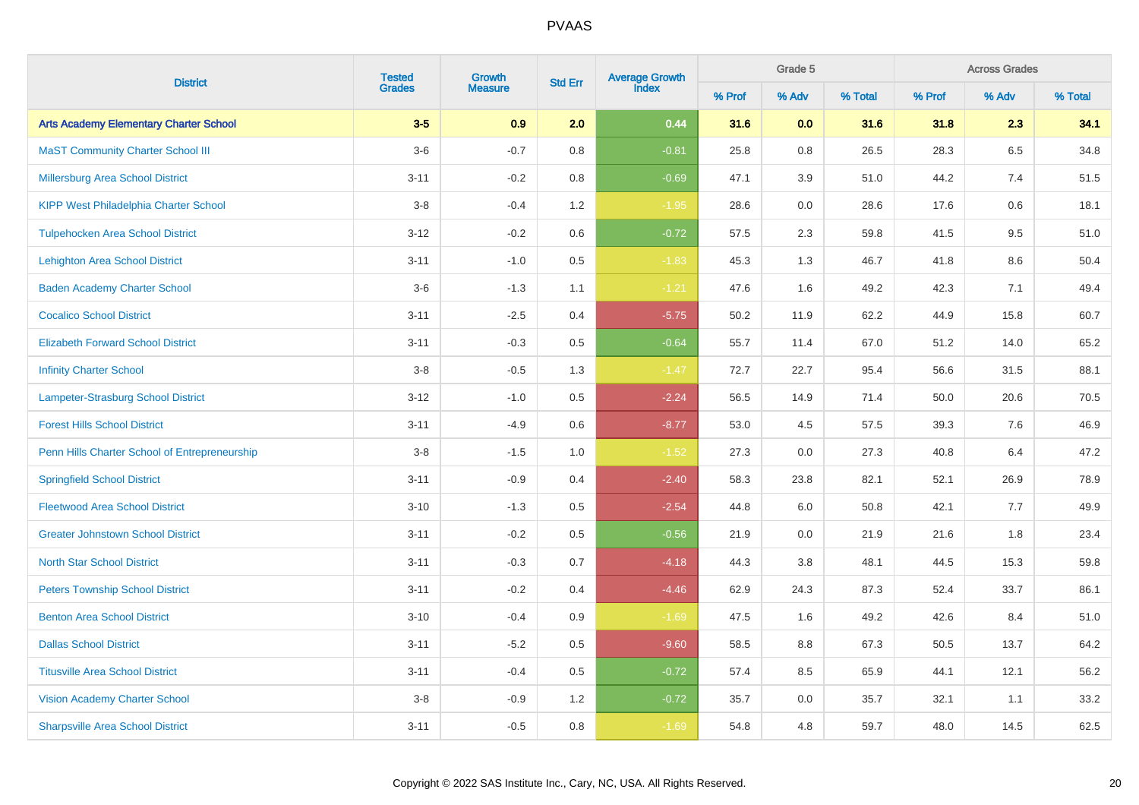| <b>District</b>                               | <b>Tested</b> | Growth         | <b>Std Err</b> | Average Growth<br>Index |        | Grade 5 |         |        | <b>Across Grades</b><br>% Adv |         |
|-----------------------------------------------|---------------|----------------|----------------|-------------------------|--------|---------|---------|--------|-------------------------------|---------|
|                                               | <b>Grades</b> | <b>Measure</b> |                |                         | % Prof | % Adv   | % Total | % Prof |                               | % Total |
| <b>Arts Academy Elementary Charter School</b> | $3-5$         | 0.9            | 2.0            | 0.44                    | 31.6   | 0.0     | 31.6    | 31.8   | 2.3                           | 34.1    |
| <b>MaST Community Charter School III</b>      | $3-6$         | $-0.7$         | 0.8            | $-0.81$                 | 25.8   | 0.8     | 26.5    | 28.3   | 6.5                           | 34.8    |
| <b>Millersburg Area School District</b>       | $3 - 11$      | $-0.2$         | $0.8\,$        | $-0.69$                 | 47.1   | $3.9\,$ | 51.0    | 44.2   | 7.4                           | 51.5    |
| <b>KIPP West Philadelphia Charter School</b>  | $3 - 8$       | $-0.4$         | 1.2            | $-1.95$                 | 28.6   | 0.0     | 28.6    | 17.6   | 0.6                           | 18.1    |
| <b>Tulpehocken Area School District</b>       | $3 - 12$      | $-0.2$         | 0.6            | $-0.72$                 | 57.5   | 2.3     | 59.8    | 41.5   | 9.5                           | 51.0    |
| <b>Lehighton Area School District</b>         | $3 - 11$      | $-1.0$         | $0.5\,$        | $-1.83$                 | 45.3   | 1.3     | 46.7    | 41.8   | 8.6                           | 50.4    |
| <b>Baden Academy Charter School</b>           | $3-6$         | $-1.3$         | 1.1            | $-1.21$                 | 47.6   | 1.6     | 49.2    | 42.3   | 7.1                           | 49.4    |
| <b>Cocalico School District</b>               | $3 - 11$      | $-2.5$         | 0.4            | $-5.75$                 | 50.2   | 11.9    | 62.2    | 44.9   | 15.8                          | 60.7    |
| <b>Elizabeth Forward School District</b>      | $3 - 11$      | $-0.3$         | 0.5            | $-0.64$                 | 55.7   | 11.4    | 67.0    | 51.2   | 14.0                          | 65.2    |
| <b>Infinity Charter School</b>                | $3-8$         | $-0.5$         | 1.3            | $-1.47$                 | 72.7   | 22.7    | 95.4    | 56.6   | 31.5                          | 88.1    |
| Lampeter-Strasburg School District            | $3 - 12$      | $-1.0$         | 0.5            | $-2.24$                 | 56.5   | 14.9    | 71.4    | 50.0   | 20.6                          | 70.5    |
| <b>Forest Hills School District</b>           | $3 - 11$      | $-4.9$         | 0.6            | $-8.77$                 | 53.0   | 4.5     | 57.5    | 39.3   | 7.6                           | 46.9    |
| Penn Hills Charter School of Entrepreneurship | $3-8$         | $-1.5$         | 1.0            | $-1.52$                 | 27.3   | 0.0     | 27.3    | 40.8   | 6.4                           | 47.2    |
| <b>Springfield School District</b>            | $3 - 11$      | $-0.9$         | 0.4            | $-2.40$                 | 58.3   | 23.8    | 82.1    | 52.1   | 26.9                          | 78.9    |
| <b>Fleetwood Area School District</b>         | $3 - 10$      | $-1.3$         | 0.5            | $-2.54$                 | 44.8   | 6.0     | 50.8    | 42.1   | 7.7                           | 49.9    |
| <b>Greater Johnstown School District</b>      | $3 - 11$      | $-0.2$         | 0.5            | $-0.56$                 | 21.9   | 0.0     | 21.9    | 21.6   | 1.8                           | 23.4    |
| <b>North Star School District</b>             | $3 - 11$      | $-0.3$         | 0.7            | $-4.18$                 | 44.3   | 3.8     | 48.1    | 44.5   | 15.3                          | 59.8    |
| <b>Peters Township School District</b>        | $3 - 11$      | $-0.2$         | 0.4            | $-4.46$                 | 62.9   | 24.3    | 87.3    | 52.4   | 33.7                          | 86.1    |
| <b>Benton Area School District</b>            | $3 - 10$      | $-0.4$         | 0.9            | $-1.69$                 | 47.5   | 1.6     | 49.2    | 42.6   | 8.4                           | 51.0    |
| <b>Dallas School District</b>                 | $3 - 11$      | $-5.2$         | 0.5            | $-9.60$                 | 58.5   | 8.8     | 67.3    | 50.5   | 13.7                          | 64.2    |
| <b>Titusville Area School District</b>        | $3 - 11$      | $-0.4$         | 0.5            | $-0.72$                 | 57.4   | 8.5     | 65.9    | 44.1   | 12.1                          | 56.2    |
| <b>Vision Academy Charter School</b>          | $3-8$         | $-0.9$         | 1.2            | $-0.72$                 | 35.7   | 0.0     | 35.7    | 32.1   | 1.1                           | 33.2    |
| <b>Sharpsville Area School District</b>       | $3 - 11$      | $-0.5$         | 0.8            | $-1.69$                 | 54.8   | 4.8     | 59.7    | 48.0   | 14.5                          | 62.5    |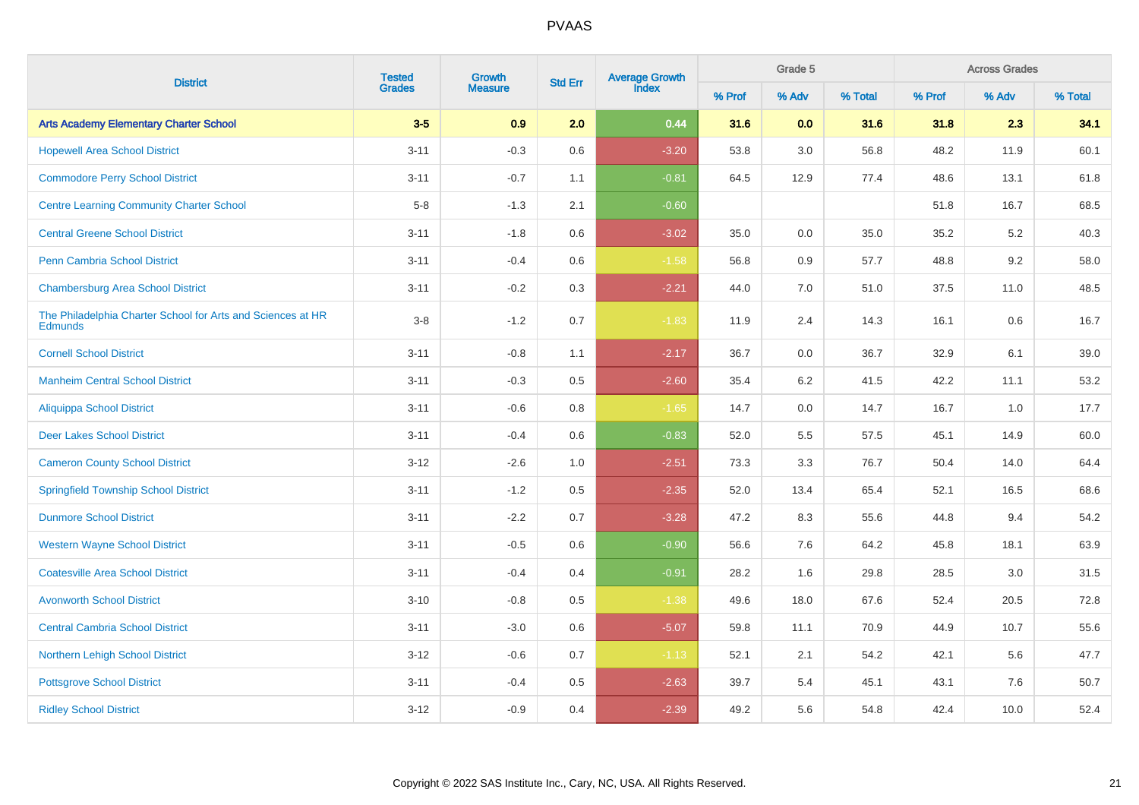|                                                                               | <b>Tested</b> | <b>Average Growth</b><br>Index<br>Growth<br><b>Std Err</b><br><b>Measure</b> |         |         | Grade 5 |         | <b>Across Grades</b> |        |       |         |
|-------------------------------------------------------------------------------|---------------|------------------------------------------------------------------------------|---------|---------|---------|---------|----------------------|--------|-------|---------|
| <b>District</b>                                                               | <b>Grades</b> |                                                                              |         |         | % Prof  | % Adv   | % Total              | % Prof | % Adv | % Total |
| <b>Arts Academy Elementary Charter School</b>                                 | $3-5$         | 0.9                                                                          | 2.0     | 0.44    | 31.6    | 0.0     | 31.6                 | 31.8   | 2.3   | 34.1    |
| <b>Hopewell Area School District</b>                                          | $3 - 11$      | $-0.3$                                                                       | 0.6     | $-3.20$ | 53.8    | $3.0\,$ | 56.8                 | 48.2   | 11.9  | 60.1    |
| <b>Commodore Perry School District</b>                                        | $3 - 11$      | $-0.7$                                                                       | 1.1     | $-0.81$ | 64.5    | 12.9    | 77.4                 | 48.6   | 13.1  | 61.8    |
| <b>Centre Learning Community Charter School</b>                               | $5-8$         | $-1.3$                                                                       | 2.1     | $-0.60$ |         |         |                      | 51.8   | 16.7  | 68.5    |
| <b>Central Greene School District</b>                                         | $3 - 11$      | $-1.8$                                                                       | 0.6     | $-3.02$ | 35.0    | 0.0     | 35.0                 | 35.2   | 5.2   | 40.3    |
| <b>Penn Cambria School District</b>                                           | $3 - 11$      | $-0.4$                                                                       | 0.6     | $-1.58$ | 56.8    | 0.9     | 57.7                 | 48.8   | 9.2   | 58.0    |
| <b>Chambersburg Area School District</b>                                      | $3 - 11$      | $-0.2$                                                                       | 0.3     | $-2.21$ | 44.0    | 7.0     | 51.0                 | 37.5   | 11.0  | 48.5    |
| The Philadelphia Charter School for Arts and Sciences at HR<br><b>Edmunds</b> | $3-8$         | $-1.2$                                                                       | 0.7     | $-1.83$ | 11.9    | 2.4     | 14.3                 | 16.1   | 0.6   | 16.7    |
| <b>Cornell School District</b>                                                | $3 - 11$      | $-0.8$                                                                       | 1.1     | $-2.17$ | 36.7    | 0.0     | 36.7                 | 32.9   | 6.1   | 39.0    |
| <b>Manheim Central School District</b>                                        | $3 - 11$      | $-0.3$                                                                       | 0.5     | $-2.60$ | 35.4    | 6.2     | 41.5                 | 42.2   | 11.1  | 53.2    |
| <b>Aliquippa School District</b>                                              | $3 - 11$      | $-0.6$                                                                       | 0.8     | $-1.65$ | 14.7    | 0.0     | 14.7                 | 16.7   | 1.0   | 17.7    |
| <b>Deer Lakes School District</b>                                             | $3 - 11$      | $-0.4$                                                                       | 0.6     | $-0.83$ | 52.0    | 5.5     | 57.5                 | 45.1   | 14.9  | 60.0    |
| <b>Cameron County School District</b>                                         | $3 - 12$      | $-2.6$                                                                       | 1.0     | $-2.51$ | 73.3    | 3.3     | 76.7                 | 50.4   | 14.0  | 64.4    |
| <b>Springfield Township School District</b>                                   | $3 - 11$      | $-1.2$                                                                       | 0.5     | $-2.35$ | 52.0    | 13.4    | 65.4                 | 52.1   | 16.5  | 68.6    |
| <b>Dunmore School District</b>                                                | $3 - 11$      | $-2.2$                                                                       | 0.7     | $-3.28$ | 47.2    | 8.3     | 55.6                 | 44.8   | 9.4   | 54.2    |
| <b>Western Wayne School District</b>                                          | $3 - 11$      | $-0.5$                                                                       | 0.6     | $-0.90$ | 56.6    | 7.6     | 64.2                 | 45.8   | 18.1  | 63.9    |
| <b>Coatesville Area School District</b>                                       | $3 - 11$      | $-0.4$                                                                       | 0.4     | $-0.91$ | 28.2    | 1.6     | 29.8                 | 28.5   | 3.0   | 31.5    |
| <b>Avonworth School District</b>                                              | $3 - 10$      | $-0.8$                                                                       | $0.5\,$ | $-1.38$ | 49.6    | 18.0    | 67.6                 | 52.4   | 20.5  | 72.8    |
| <b>Central Cambria School District</b>                                        | $3 - 11$      | $-3.0$                                                                       | 0.6     | $-5.07$ | 59.8    | 11.1    | 70.9                 | 44.9   | 10.7  | 55.6    |
| Northern Lehigh School District                                               | $3 - 12$      | $-0.6$                                                                       | 0.7     | $-1.13$ | 52.1    | 2.1     | 54.2                 | 42.1   | 5.6   | 47.7    |
| <b>Pottsgrove School District</b>                                             | $3 - 11$      | $-0.4$                                                                       | 0.5     | $-2.63$ | 39.7    | 5.4     | 45.1                 | 43.1   | 7.6   | 50.7    |
| <b>Ridley School District</b>                                                 | $3-12$        | $-0.9$                                                                       | 0.4     | $-2.39$ | 49.2    | 5.6     | 54.8                 | 42.4   | 10.0  | 52.4    |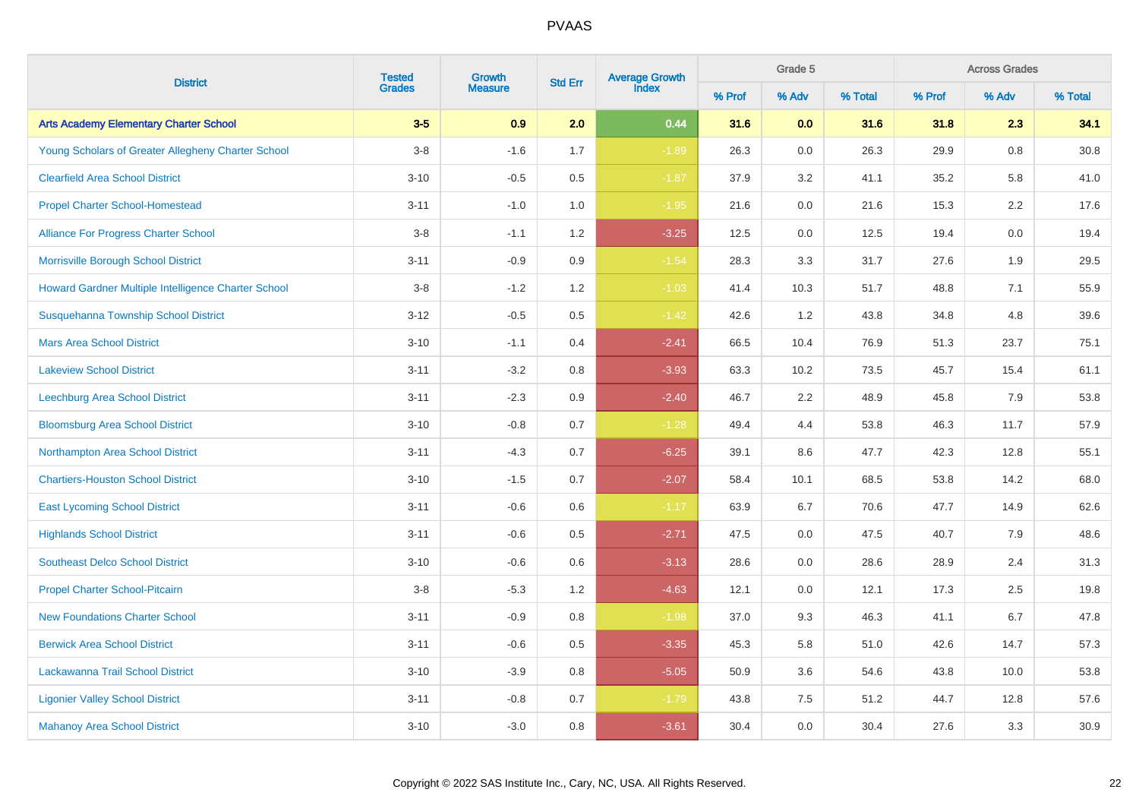|                                                     | <b>Tested</b> | Growth         | <b>Std Err</b> | <b>Average Growth</b><br>Index |        | Grade 5 |         |        | <b>Across Grades</b> |         |
|-----------------------------------------------------|---------------|----------------|----------------|--------------------------------|--------|---------|---------|--------|----------------------|---------|
| <b>District</b>                                     | <b>Grades</b> | <b>Measure</b> |                |                                | % Prof | % Adv   | % Total | % Prof | % Adv                | % Total |
| <b>Arts Academy Elementary Charter School</b>       | $3-5$         | 0.9            | 2.0            | 0.44                           | 31.6   | 0.0     | 31.6    | 31.8   | 2.3                  | 34.1    |
| Young Scholars of Greater Allegheny Charter School  | $3-8$         | $-1.6$         | 1.7            | $-1.89$                        | 26.3   | 0.0     | 26.3    | 29.9   | 0.8                  | 30.8    |
| <b>Clearfield Area School District</b>              | $3 - 10$      | $-0.5$         | 0.5            | $-1.87$                        | 37.9   | 3.2     | 41.1    | 35.2   | 5.8                  | 41.0    |
| <b>Propel Charter School-Homestead</b>              | $3 - 11$      | $-1.0$         | 1.0            | $-1.95$                        | 21.6   | 0.0     | 21.6    | 15.3   | 2.2                  | 17.6    |
| <b>Alliance For Progress Charter School</b>         | $3 - 8$       | $-1.1$         | 1.2            | $-3.25$                        | 12.5   | 0.0     | 12.5    | 19.4   | 0.0                  | 19.4    |
| Morrisville Borough School District                 | $3 - 11$      | $-0.9$         | $0.9\,$        | $-1.54$                        | 28.3   | 3.3     | 31.7    | 27.6   | 1.9                  | 29.5    |
| Howard Gardner Multiple Intelligence Charter School | $3 - 8$       | $-1.2$         | 1.2            | $-1.03$                        | 41.4   | 10.3    | 51.7    | 48.8   | 7.1                  | 55.9    |
| Susquehanna Township School District                | $3-12$        | $-0.5$         | 0.5            | $-1.42$                        | 42.6   | 1.2     | 43.8    | 34.8   | 4.8                  | 39.6    |
| <b>Mars Area School District</b>                    | $3 - 10$      | $-1.1$         | 0.4            | $-2.41$                        | 66.5   | 10.4    | 76.9    | 51.3   | 23.7                 | 75.1    |
| <b>Lakeview School District</b>                     | $3 - 11$      | $-3.2$         | 0.8            | $-3.93$                        | 63.3   | 10.2    | 73.5    | 45.7   | 15.4                 | 61.1    |
| Leechburg Area School District                      | $3 - 11$      | $-2.3$         | $0.9\,$        | $-2.40$                        | 46.7   | 2.2     | 48.9    | 45.8   | 7.9                  | 53.8    |
| <b>Bloomsburg Area School District</b>              | $3 - 10$      | $-0.8$         | 0.7            | $-1.28$                        | 49.4   | 4.4     | 53.8    | 46.3   | 11.7                 | 57.9    |
| Northampton Area School District                    | $3 - 11$      | $-4.3$         | 0.7            | $-6.25$                        | 39.1   | 8.6     | 47.7    | 42.3   | 12.8                 | 55.1    |
| <b>Chartiers-Houston School District</b>            | $3 - 10$      | $-1.5$         | 0.7            | $-2.07$                        | 58.4   | 10.1    | 68.5    | 53.8   | 14.2                 | 68.0    |
| <b>East Lycoming School District</b>                | $3 - 11$      | $-0.6$         | 0.6            | $-1.17$                        | 63.9   | 6.7     | 70.6    | 47.7   | 14.9                 | 62.6    |
| <b>Highlands School District</b>                    | $3 - 11$      | $-0.6$         | 0.5            | $-2.71$                        | 47.5   | 0.0     | 47.5    | 40.7   | 7.9                  | 48.6    |
| <b>Southeast Delco School District</b>              | $3 - 10$      | $-0.6$         | 0.6            | $-3.13$                        | 28.6   | 0.0     | 28.6    | 28.9   | 2.4                  | 31.3    |
| Propel Charter School-Pitcairn                      | $3-8$         | $-5.3$         | 1.2            | $-4.63$                        | 12.1   | 0.0     | 12.1    | 17.3   | 2.5                  | 19.8    |
| <b>New Foundations Charter School</b>               | $3 - 11$      | $-0.9$         | 0.8            | $-1.98$                        | 37.0   | 9.3     | 46.3    | 41.1   | 6.7                  | 47.8    |
| <b>Berwick Area School District</b>                 | $3 - 11$      | $-0.6$         | 0.5            | $-3.35$                        | 45.3   | 5.8     | 51.0    | 42.6   | 14.7                 | 57.3    |
| Lackawanna Trail School District                    | $3 - 10$      | $-3.9$         | $0.8\,$        | $-5.05$                        | 50.9   | 3.6     | 54.6    | 43.8   | 10.0                 | 53.8    |
| <b>Ligonier Valley School District</b>              | $3 - 11$      | $-0.8$         | 0.7            | $-1.79$                        | 43.8   | 7.5     | 51.2    | 44.7   | 12.8                 | 57.6    |
| <b>Mahanoy Area School District</b>                 | $3 - 10$      | $-3.0$         | 0.8            | $-3.61$                        | 30.4   | 0.0     | 30.4    | 27.6   | 3.3                  | 30.9    |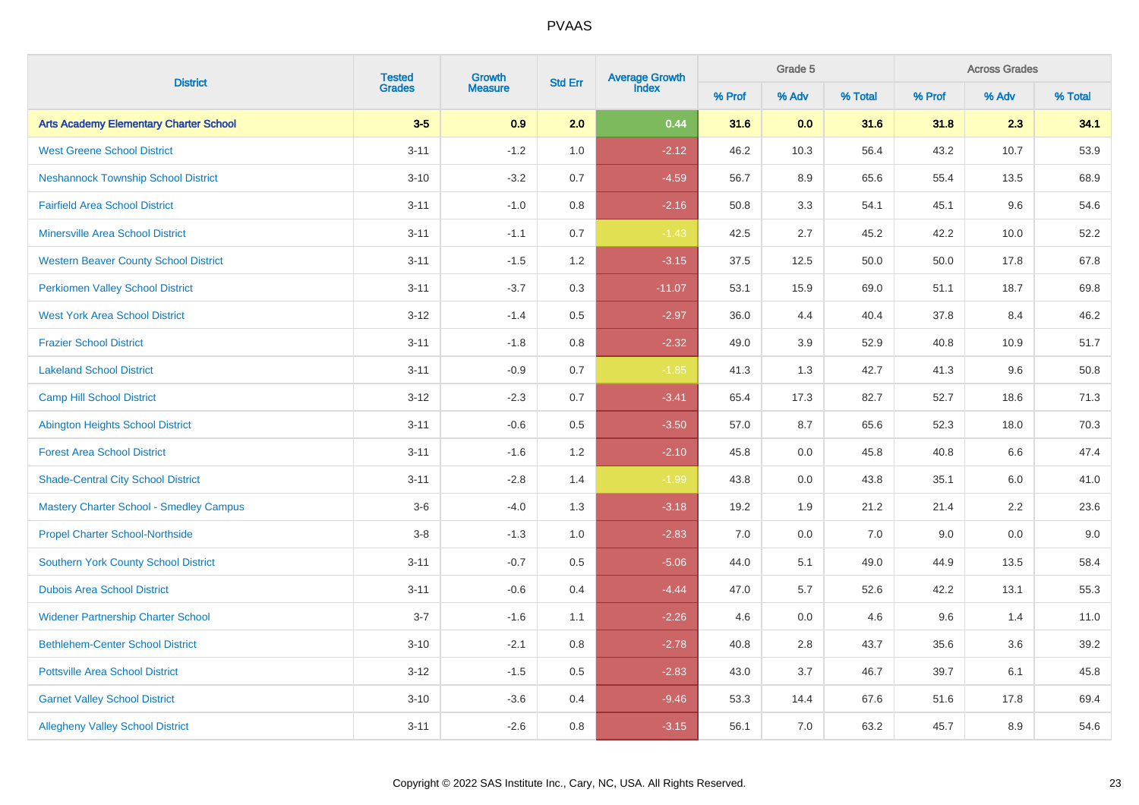| <b>District</b>                                | <b>Tested</b> | Growth         | <b>Std Err</b> | Average Growth<br>Index |        | Grade 5 |         |        | <b>Across Grades</b><br>% Adv |         |
|------------------------------------------------|---------------|----------------|----------------|-------------------------|--------|---------|---------|--------|-------------------------------|---------|
|                                                | <b>Grades</b> | <b>Measure</b> |                |                         | % Prof | % Adv   | % Total | % Prof |                               | % Total |
| <b>Arts Academy Elementary Charter School</b>  | $3-5$         | 0.9            | 2.0            | 0.44                    | 31.6   | 0.0     | 31.6    | 31.8   | 2.3                           | 34.1    |
| <b>West Greene School District</b>             | $3 - 11$      | $-1.2$         | 1.0            | $-2.12$                 | 46.2   | 10.3    | 56.4    | 43.2   | 10.7                          | 53.9    |
| <b>Neshannock Township School District</b>     | $3 - 10$      | $-3.2$         | 0.7            | $-4.59$                 | 56.7   | 8.9     | 65.6    | 55.4   | 13.5                          | 68.9    |
| <b>Fairfield Area School District</b>          | $3 - 11$      | $-1.0$         | $0.8\,$        | $-2.16$                 | 50.8   | 3.3     | 54.1    | 45.1   | 9.6                           | 54.6    |
| <b>Minersville Area School District</b>        | $3 - 11$      | $-1.1$         | 0.7            | $-1.43$                 | 42.5   | 2.7     | 45.2    | 42.2   | 10.0                          | 52.2    |
| <b>Western Beaver County School District</b>   | $3 - 11$      | $-1.5$         | 1.2            | $-3.15$                 | 37.5   | 12.5    | 50.0    | 50.0   | 17.8                          | 67.8    |
| <b>Perkiomen Valley School District</b>        | $3 - 11$      | $-3.7$         | 0.3            | $-11.07$                | 53.1   | 15.9    | 69.0    | 51.1   | 18.7                          | 69.8    |
| <b>West York Area School District</b>          | $3 - 12$      | $-1.4$         | 0.5            | $-2.97$                 | 36.0   | 4.4     | 40.4    | 37.8   | 8.4                           | 46.2    |
| <b>Frazier School District</b>                 | $3 - 11$      | $-1.8$         | 0.8            | $-2.32$                 | 49.0   | 3.9     | 52.9    | 40.8   | 10.9                          | 51.7    |
| <b>Lakeland School District</b>                | $3 - 11$      | $-0.9$         | 0.7            | $-1.85$                 | 41.3   | 1.3     | 42.7    | 41.3   | 9.6                           | 50.8    |
| <b>Camp Hill School District</b>               | $3 - 12$      | $-2.3$         | 0.7            | $-3.41$                 | 65.4   | 17.3    | 82.7    | 52.7   | 18.6                          | 71.3    |
| <b>Abington Heights School District</b>        | $3 - 11$      | $-0.6$         | 0.5            | $-3.50$                 | 57.0   | 8.7     | 65.6    | 52.3   | 18.0                          | 70.3    |
| <b>Forest Area School District</b>             | $3 - 11$      | $-1.6$         | 1.2            | $-2.10$                 | 45.8   | 0.0     | 45.8    | 40.8   | 6.6                           | 47.4    |
| <b>Shade-Central City School District</b>      | $3 - 11$      | $-2.8$         | 1.4            | $-1.99$                 | 43.8   | 0.0     | 43.8    | 35.1   | 6.0                           | 41.0    |
| <b>Mastery Charter School - Smedley Campus</b> | $3-6$         | $-4.0$         | 1.3            | $-3.18$                 | 19.2   | 1.9     | 21.2    | 21.4   | 2.2                           | 23.6    |
| <b>Propel Charter School-Northside</b>         | $3-8$         | $-1.3$         | 1.0            | $-2.83$                 | 7.0    | 0.0     | 7.0     | 9.0    | 0.0                           | 9.0     |
| <b>Southern York County School District</b>    | $3 - 11$      | $-0.7$         | 0.5            | $-5.06$                 | 44.0   | 5.1     | 49.0    | 44.9   | 13.5                          | 58.4    |
| <b>Dubois Area School District</b>             | $3 - 11$      | $-0.6$         | 0.4            | $-4.44$                 | 47.0   | 5.7     | 52.6    | 42.2   | 13.1                          | 55.3    |
| <b>Widener Partnership Charter School</b>      | $3 - 7$       | $-1.6$         | 1.1            | $-2.26$                 | 4.6    | 0.0     | 4.6     | 9.6    | 1.4                           | 11.0    |
| <b>Bethlehem-Center School District</b>        | $3 - 10$      | $-2.1$         | 0.8            | $-2.78$                 | 40.8   | 2.8     | 43.7    | 35.6   | 3.6                           | 39.2    |
| <b>Pottsville Area School District</b>         | $3 - 12$      | $-1.5$         | 0.5            | $-2.83$                 | 43.0   | 3.7     | 46.7    | 39.7   | 6.1                           | 45.8    |
| <b>Garnet Valley School District</b>           | $3 - 10$      | $-3.6$         | 0.4            | $-9.46$                 | 53.3   | 14.4    | 67.6    | 51.6   | 17.8                          | 69.4    |
| <b>Allegheny Valley School District</b>        | $3 - 11$      | $-2.6$         | 0.8            | $-3.15$                 | 56.1   | 7.0     | 63.2    | 45.7   | 8.9                           | 54.6    |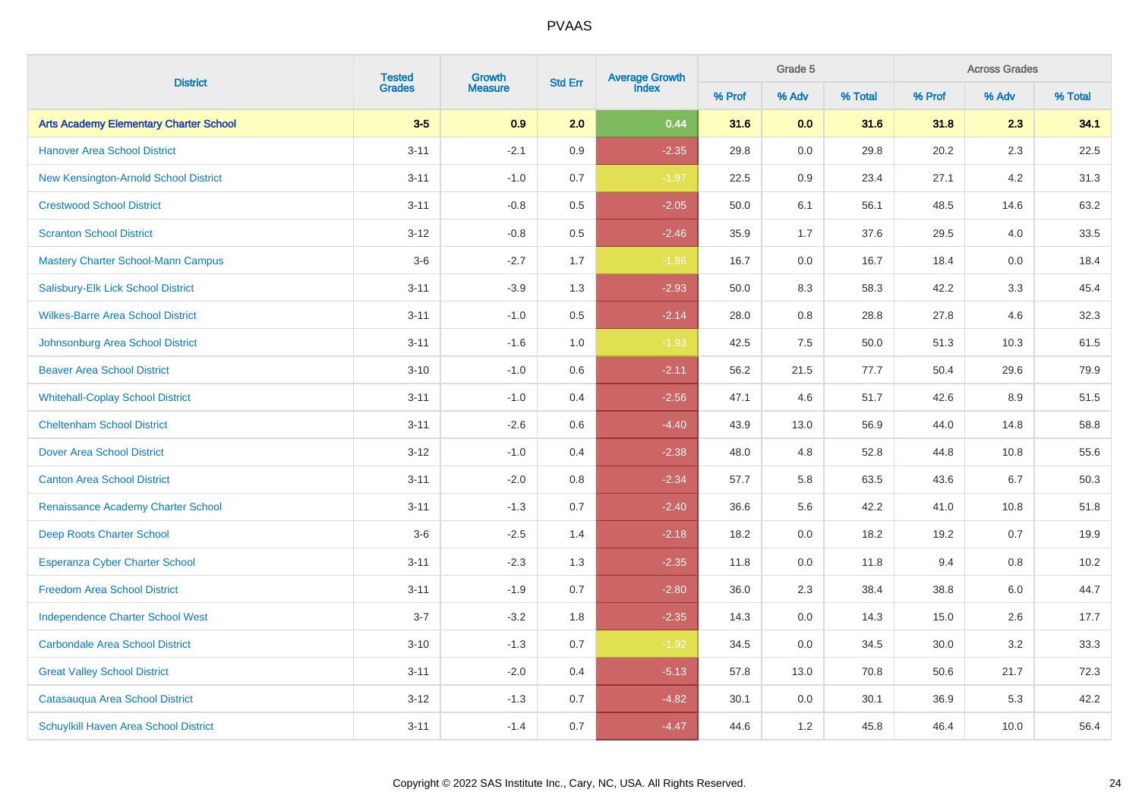| <b>District</b>                               | <b>Tested</b><br>Growth | Average Growth<br>Index<br><b>Std Err</b> |         |         | Grade 5 |         | <b>Across Grades</b> |        |         |         |
|-----------------------------------------------|-------------------------|-------------------------------------------|---------|---------|---------|---------|----------------------|--------|---------|---------|
|                                               | <b>Grades</b>           | <b>Measure</b>                            |         |         | % Prof  | % Adv   | % Total              | % Prof | % Adv   | % Total |
| <b>Arts Academy Elementary Charter School</b> | $3-5$                   | 0.9                                       | 2.0     | 0.44    | 31.6    | 0.0     | 31.6                 | 31.8   | 2.3     | 34.1    |
| <b>Hanover Area School District</b>           | $3 - 11$                | $-2.1$                                    | 0.9     | $-2.35$ | 29.8    | 0.0     | 29.8                 | 20.2   | 2.3     | 22.5    |
| New Kensington-Arnold School District         | $3 - 11$                | $-1.0$                                    | 0.7     | $-1.97$ | 22.5    | 0.9     | 23.4                 | 27.1   | 4.2     | 31.3    |
| <b>Crestwood School District</b>              | $3 - 11$                | $-0.8$                                    | 0.5     | $-2.05$ | 50.0    | 6.1     | 56.1                 | 48.5   | 14.6    | 63.2    |
| <b>Scranton School District</b>               | $3 - 12$                | $-0.8$                                    | $0.5\,$ | $-2.46$ | 35.9    | 1.7     | 37.6                 | 29.5   | 4.0     | 33.5    |
| <b>Mastery Charter School-Mann Campus</b>     | $3-6$                   | $-2.7$                                    | 1.7     | $-1.86$ | 16.7    | 0.0     | 16.7                 | 18.4   | 0.0     | 18.4    |
| Salisbury-Elk Lick School District            | $3 - 11$                | $-3.9$                                    | 1.3     | $-2.93$ | 50.0    | 8.3     | 58.3                 | 42.2   | 3.3     | 45.4    |
| <b>Wilkes-Barre Area School District</b>      | $3 - 11$                | $-1.0$                                    | $0.5\,$ | $-2.14$ | 28.0    | $0.8\,$ | 28.8                 | 27.8   | 4.6     | 32.3    |
| Johnsonburg Area School District              | $3 - 11$                | $-1.6$                                    | 1.0     | $-1.93$ | 42.5    | 7.5     | 50.0                 | 51.3   | 10.3    | 61.5    |
| <b>Beaver Area School District</b>            | $3 - 10$                | $-1.0$                                    | $0.6\,$ | $-2.11$ | 56.2    | 21.5    | 77.7                 | 50.4   | 29.6    | 79.9    |
| <b>Whitehall-Coplay School District</b>       | $3 - 11$                | $-1.0$                                    | 0.4     | $-2.56$ | 47.1    | 4.6     | 51.7                 | 42.6   | 8.9     | 51.5    |
| <b>Cheltenham School District</b>             | $3 - 11$                | $-2.6$                                    | $0.6\,$ | $-4.40$ | 43.9    | 13.0    | 56.9                 | 44.0   | 14.8    | 58.8    |
| <b>Dover Area School District</b>             | $3 - 12$                | $-1.0$                                    | 0.4     | $-2.38$ | 48.0    | 4.8     | 52.8                 | 44.8   | 10.8    | 55.6    |
| <b>Canton Area School District</b>            | $3 - 11$                | $-2.0$                                    | $0.8\,$ | $-2.34$ | 57.7    | 5.8     | 63.5                 | 43.6   | 6.7     | 50.3    |
| Renaissance Academy Charter School            | $3 - 11$                | $-1.3$                                    | 0.7     | $-2.40$ | 36.6    | 5.6     | 42.2                 | 41.0   | 10.8    | 51.8    |
| Deep Roots Charter School                     | $3-6$                   | $-2.5$                                    | 1.4     | $-2.18$ | 18.2    | $0.0\,$ | 18.2                 | 19.2   | 0.7     | 19.9    |
| <b>Esperanza Cyber Charter School</b>         | $3 - 11$                | $-2.3$                                    | 1.3     | $-2.35$ | 11.8    | $0.0\,$ | 11.8                 | 9.4    | $0.8\,$ | 10.2    |
| <b>Freedom Area School District</b>           | $3 - 11$                | $-1.9$                                    | 0.7     | $-2.80$ | 36.0    | 2.3     | 38.4                 | 38.8   | 6.0     | 44.7    |
| <b>Independence Charter School West</b>       | $3 - 7$                 | $-3.2$                                    | $1.8\,$ | $-2.35$ | 14.3    | 0.0     | 14.3                 | 15.0   | 2.6     | 17.7    |
| <b>Carbondale Area School District</b>        | $3 - 10$                | $-1.3$                                    | 0.7     | $-1.92$ | 34.5    | 0.0     | 34.5                 | 30.0   | $3.2\,$ | 33.3    |
| <b>Great Valley School District</b>           | $3 - 11$                | $-2.0$                                    | 0.4     | $-5.13$ | 57.8    | 13.0    | 70.8                 | 50.6   | 21.7    | 72.3    |
| Catasauqua Area School District               | $3 - 12$                | $-1.3$                                    | 0.7     | $-4.82$ | 30.1    | 0.0     | 30.1                 | 36.9   | 5.3     | 42.2    |
| Schuylkill Haven Area School District         | $3 - 11$                | $-1.4$                                    | 0.7     | $-4.47$ | 44.6    | $1.2\,$ | 45.8                 | 46.4   | 10.0    | 56.4    |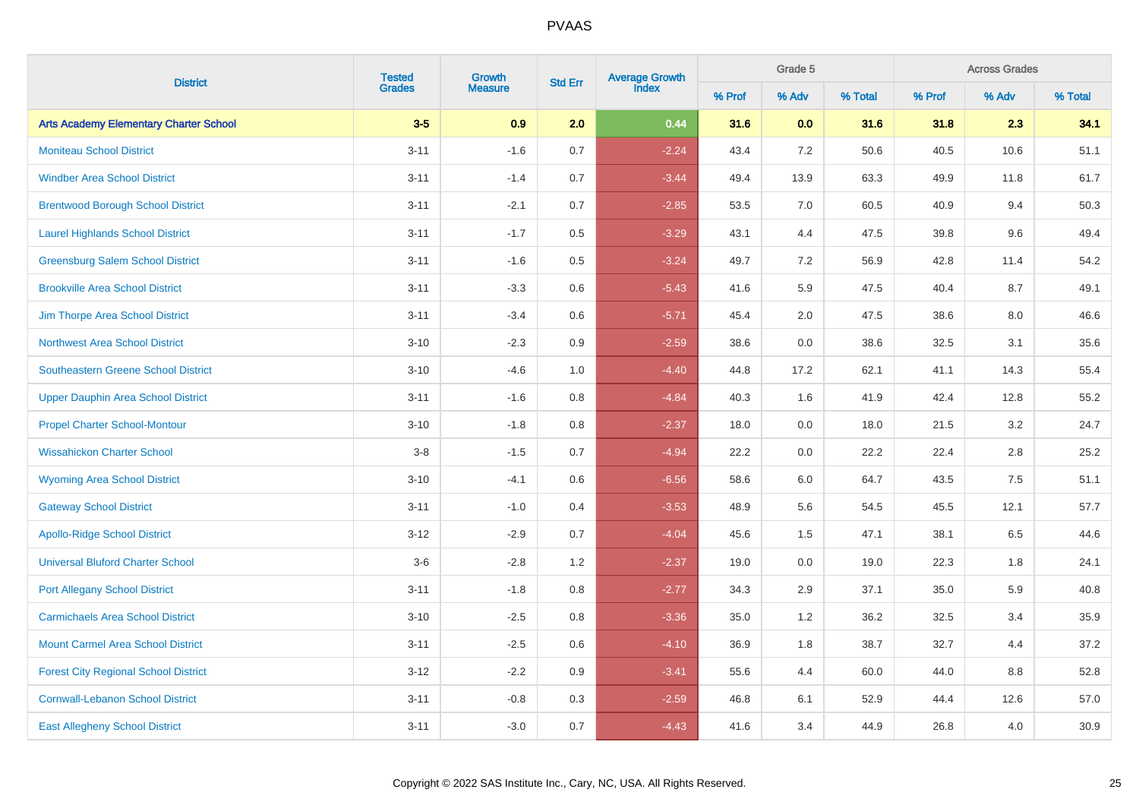| <b>District</b>                               | <b>Tested</b><br>Growth | <b>Average Growth</b><br>Index<br><b>Std Err</b> |     | Grade 5 |        | <b>Across Grades</b> |         |        |                                                                                                                             |         |
|-----------------------------------------------|-------------------------|--------------------------------------------------|-----|---------|--------|----------------------|---------|--------|-----------------------------------------------------------------------------------------------------------------------------|---------|
|                                               | <b>Grades</b>           | <b>Measure</b>                                   |     |         | % Prof | % Adv                | % Total | % Prof | % Adv<br>2.3<br>10.6<br>11.8<br>9.4<br>9.6<br>11.4<br>8.7<br>8.0<br>3.1<br>14.3<br>12.8<br>3.2<br>2.8<br>7.5<br>12.1<br>6.5 | % Total |
| <b>Arts Academy Elementary Charter School</b> | $3-5$                   | 0.9                                              | 2.0 | 0.44    | 31.6   | 0.0                  | 31.6    | 31.8   |                                                                                                                             | 34.1    |
| <b>Moniteau School District</b>               | $3 - 11$                | $-1.6$                                           | 0.7 | $-2.24$ | 43.4   | 7.2                  | 50.6    | 40.5   |                                                                                                                             | 51.1    |
| <b>Windber Area School District</b>           | $3 - 11$                | $-1.4$                                           | 0.7 | $-3.44$ | 49.4   | 13.9                 | 63.3    | 49.9   |                                                                                                                             | 61.7    |
| <b>Brentwood Borough School District</b>      | $3 - 11$                | $-2.1$                                           | 0.7 | $-2.85$ | 53.5   | 7.0                  | 60.5    | 40.9   |                                                                                                                             | 50.3    |
| <b>Laurel Highlands School District</b>       | $3 - 11$                | $-1.7$                                           | 0.5 | $-3.29$ | 43.1   | 4.4                  | 47.5    | 39.8   |                                                                                                                             | 49.4    |
| <b>Greensburg Salem School District</b>       | $3 - 11$                | $-1.6$                                           | 0.5 | $-3.24$ | 49.7   | 7.2                  | 56.9    | 42.8   |                                                                                                                             | 54.2    |
| <b>Brookville Area School District</b>        | $3 - 11$                | $-3.3$                                           | 0.6 | $-5.43$ | 41.6   | 5.9                  | 47.5    | 40.4   |                                                                                                                             | 49.1    |
| Jim Thorpe Area School District               | $3 - 11$                | $-3.4$                                           | 0.6 | $-5.71$ | 45.4   | 2.0                  | 47.5    | 38.6   |                                                                                                                             | 46.6    |
| <b>Northwest Area School District</b>         | $3 - 10$                | $-2.3$                                           | 0.9 | $-2.59$ | 38.6   | 0.0                  | 38.6    | 32.5   |                                                                                                                             | 35.6    |
| <b>Southeastern Greene School District</b>    | $3 - 10$                | $-4.6$                                           | 1.0 | $-4.40$ | 44.8   | 17.2                 | 62.1    | 41.1   |                                                                                                                             | 55.4    |
| <b>Upper Dauphin Area School District</b>     | $3 - 11$                | $-1.6$                                           | 0.8 | $-4.84$ | 40.3   | 1.6                  | 41.9    | 42.4   |                                                                                                                             | 55.2    |
| <b>Propel Charter School-Montour</b>          | $3 - 10$                | $-1.8$                                           | 0.8 | $-2.37$ | 18.0   | 0.0                  | 18.0    | 21.5   |                                                                                                                             | 24.7    |
| <b>Wissahickon Charter School</b>             | $3-8$                   | $-1.5$                                           | 0.7 | $-4.94$ | 22.2   | 0.0                  | 22.2    | 22.4   |                                                                                                                             | 25.2    |
| <b>Wyoming Area School District</b>           | $3 - 10$                | $-4.1$                                           | 0.6 | $-6.56$ | 58.6   | 6.0                  | 64.7    | 43.5   |                                                                                                                             | 51.1    |
| <b>Gateway School District</b>                | $3 - 11$                | $-1.0$                                           | 0.4 | $-3.53$ | 48.9   | 5.6                  | 54.5    | 45.5   |                                                                                                                             | 57.7    |
| <b>Apollo-Ridge School District</b>           | $3 - 12$                | $-2.9$                                           | 0.7 | $-4.04$ | 45.6   | 1.5                  | 47.1    | 38.1   |                                                                                                                             | 44.6    |
| <b>Universal Bluford Charter School</b>       | $3-6$                   | $-2.8$                                           | 1.2 | $-2.37$ | 19.0   | 0.0                  | 19.0    | 22.3   | 1.8                                                                                                                         | 24.1    |
| <b>Port Allegany School District</b>          | $3 - 11$                | $-1.8$                                           | 0.8 | $-2.77$ | 34.3   | 2.9                  | 37.1    | 35.0   | 5.9                                                                                                                         | 40.8    |
| <b>Carmichaels Area School District</b>       | $3 - 10$                | $-2.5$                                           | 0.8 | $-3.36$ | 35.0   | 1.2                  | 36.2    | 32.5   | 3.4                                                                                                                         | 35.9    |
| <b>Mount Carmel Area School District</b>      | $3 - 11$                | $-2.5$                                           | 0.6 | $-4.10$ | 36.9   | 1.8                  | 38.7    | 32.7   | 4.4                                                                                                                         | 37.2    |
| <b>Forest City Regional School District</b>   | $3-12$                  | $-2.2$                                           | 0.9 | $-3.41$ | 55.6   | 4.4                  | 60.0    | 44.0   | 8.8                                                                                                                         | 52.8    |
| <b>Cornwall-Lebanon School District</b>       | $3 - 11$                | $-0.8$                                           | 0.3 | $-2.59$ | 46.8   | 6.1                  | 52.9    | 44.4   | 12.6                                                                                                                        | 57.0    |
| <b>East Allegheny School District</b>         | $3 - 11$                | $-3.0$                                           | 0.7 | $-4.43$ | 41.6   | 3.4                  | 44.9    | 26.8   | 4.0                                                                                                                         | 30.9    |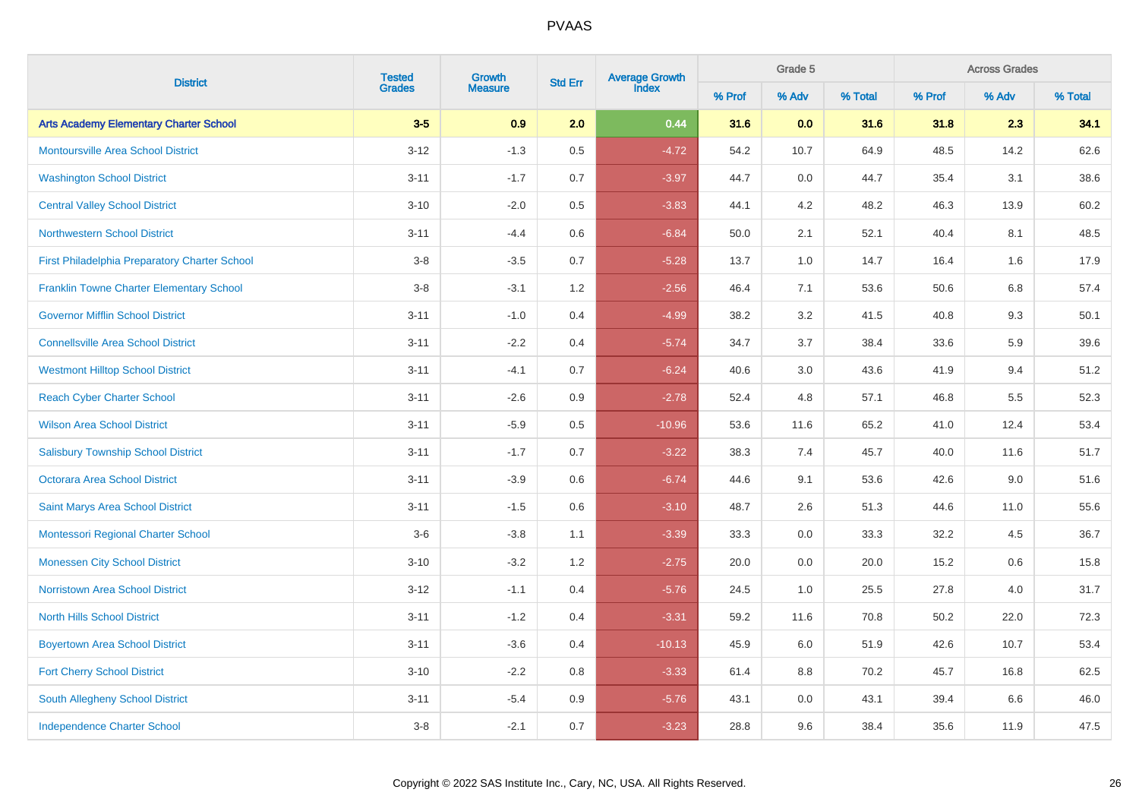| <b>District</b>                                 |               | <b>Tested</b><br>Growth | <b>Std Err</b> | Average Growth<br>Index |        | Grade 5 |         | <b>Across Grades</b> |                                                                                                                                   |         |  |
|-------------------------------------------------|---------------|-------------------------|----------------|-------------------------|--------|---------|---------|----------------------|-----------------------------------------------------------------------------------------------------------------------------------|---------|--|
|                                                 | <b>Grades</b> | <b>Measure</b>          |                |                         | % Prof | % Adv   | % Total | % Prof               | % Adv<br>2.3<br>14.2<br>3.1<br>13.9<br>8.1<br>1.6<br>6.8<br>9.3<br>5.9<br>9.4<br>5.5<br>12.4<br>11.6<br>9.0<br>11.0<br>4.5<br>0.6 | % Total |  |
| <b>Arts Academy Elementary Charter School</b>   | $3-5$         | 0.9                     | 2.0            | 0.44                    | 31.6   | 0.0     | 31.6    | 31.8                 |                                                                                                                                   | 34.1    |  |
| <b>Montoursville Area School District</b>       | $3 - 12$      | $-1.3$                  | 0.5            | $-4.72$                 | 54.2   | 10.7    | 64.9    | 48.5                 |                                                                                                                                   | 62.6    |  |
| <b>Washington School District</b>               | $3 - 11$      | $-1.7$                  | 0.7            | $-3.97$                 | 44.7   | 0.0     | 44.7    | 35.4                 |                                                                                                                                   | 38.6    |  |
| <b>Central Valley School District</b>           | $3 - 10$      | $-2.0$                  | 0.5            | $-3.83$                 | 44.1   | $4.2\,$ | 48.2    | 46.3                 |                                                                                                                                   | 60.2    |  |
| <b>Northwestern School District</b>             | $3 - 11$      | $-4.4$                  | 0.6            | $-6.84$                 | 50.0   | 2.1     | 52.1    | 40.4                 |                                                                                                                                   | 48.5    |  |
| First Philadelphia Preparatory Charter School   | $3-8$         | $-3.5$                  | 0.7            | $-5.28$                 | 13.7   | 1.0     | 14.7    | 16.4                 |                                                                                                                                   | 17.9    |  |
| <b>Franklin Towne Charter Elementary School</b> | $3-8$         | $-3.1$                  | 1.2            | $-2.56$                 | 46.4   | 7.1     | 53.6    | 50.6                 |                                                                                                                                   | 57.4    |  |
| <b>Governor Mifflin School District</b>         | $3 - 11$      | $-1.0$                  | 0.4            | $-4.99$                 | 38.2   | 3.2     | 41.5    | 40.8                 |                                                                                                                                   | 50.1    |  |
| <b>Connellsville Area School District</b>       | $3 - 11$      | $-2.2$                  | 0.4            | $-5.74$                 | 34.7   | 3.7     | 38.4    | 33.6                 |                                                                                                                                   | 39.6    |  |
| <b>Westmont Hilltop School District</b>         | $3 - 11$      | $-4.1$                  | 0.7            | $-6.24$                 | 40.6   | 3.0     | 43.6    | 41.9                 |                                                                                                                                   | 51.2    |  |
| <b>Reach Cyber Charter School</b>               | $3 - 11$      | $-2.6$                  | 0.9            | $-2.78$                 | 52.4   | 4.8     | 57.1    | 46.8                 |                                                                                                                                   | 52.3    |  |
| <b>Wilson Area School District</b>              | $3 - 11$      | $-5.9$                  | 0.5            | $-10.96$                | 53.6   | 11.6    | 65.2    | 41.0                 |                                                                                                                                   | 53.4    |  |
| <b>Salisbury Township School District</b>       | $3 - 11$      | $-1.7$                  | 0.7            | $-3.22$                 | 38.3   | 7.4     | 45.7    | 40.0                 |                                                                                                                                   | 51.7    |  |
| <b>Octorara Area School District</b>            | $3 - 11$      | $-3.9$                  | 0.6            | $-6.74$                 | 44.6   | 9.1     | 53.6    | 42.6                 |                                                                                                                                   | 51.6    |  |
| Saint Marys Area School District                | $3 - 11$      | $-1.5$                  | 0.6            | $-3.10$                 | 48.7   | 2.6     | 51.3    | 44.6                 |                                                                                                                                   | 55.6    |  |
| Montessori Regional Charter School              | $3-6$         | $-3.8$                  | 1.1            | $-3.39$                 | 33.3   | 0.0     | 33.3    | 32.2                 |                                                                                                                                   | 36.7    |  |
| <b>Monessen City School District</b>            | $3 - 10$      | $-3.2$                  | 1.2            | $-2.75$                 | 20.0   | 0.0     | 20.0    | 15.2                 |                                                                                                                                   | 15.8    |  |
| <b>Norristown Area School District</b>          | $3 - 12$      | $-1.1$                  | 0.4            | $-5.76$                 | 24.5   | $1.0$   | 25.5    | 27.8                 | 4.0                                                                                                                               | 31.7    |  |
| <b>North Hills School District</b>              | $3 - 11$      | $-1.2$                  | 0.4            | $-3.31$                 | 59.2   | 11.6    | 70.8    | 50.2                 | 22.0                                                                                                                              | 72.3    |  |
| <b>Boyertown Area School District</b>           | $3 - 11$      | $-3.6$                  | 0.4            | $-10.13$                | 45.9   | 6.0     | 51.9    | 42.6                 | 10.7                                                                                                                              | 53.4    |  |
| <b>Fort Cherry School District</b>              | $3 - 10$      | $-2.2$                  | 0.8            | $-3.33$                 | 61.4   | 8.8     | 70.2    | 45.7                 | 16.8                                                                                                                              | 62.5    |  |
| South Allegheny School District                 | $3 - 11$      | $-5.4$                  | 0.9            | $-5.76$                 | 43.1   | 0.0     | 43.1    | 39.4                 | 6.6                                                                                                                               | 46.0    |  |
| <b>Independence Charter School</b>              | $3-8$         | $-2.1$                  | 0.7            | $-3.23$                 | 28.8   | 9.6     | 38.4    | 35.6                 | 11.9                                                                                                                              | 47.5    |  |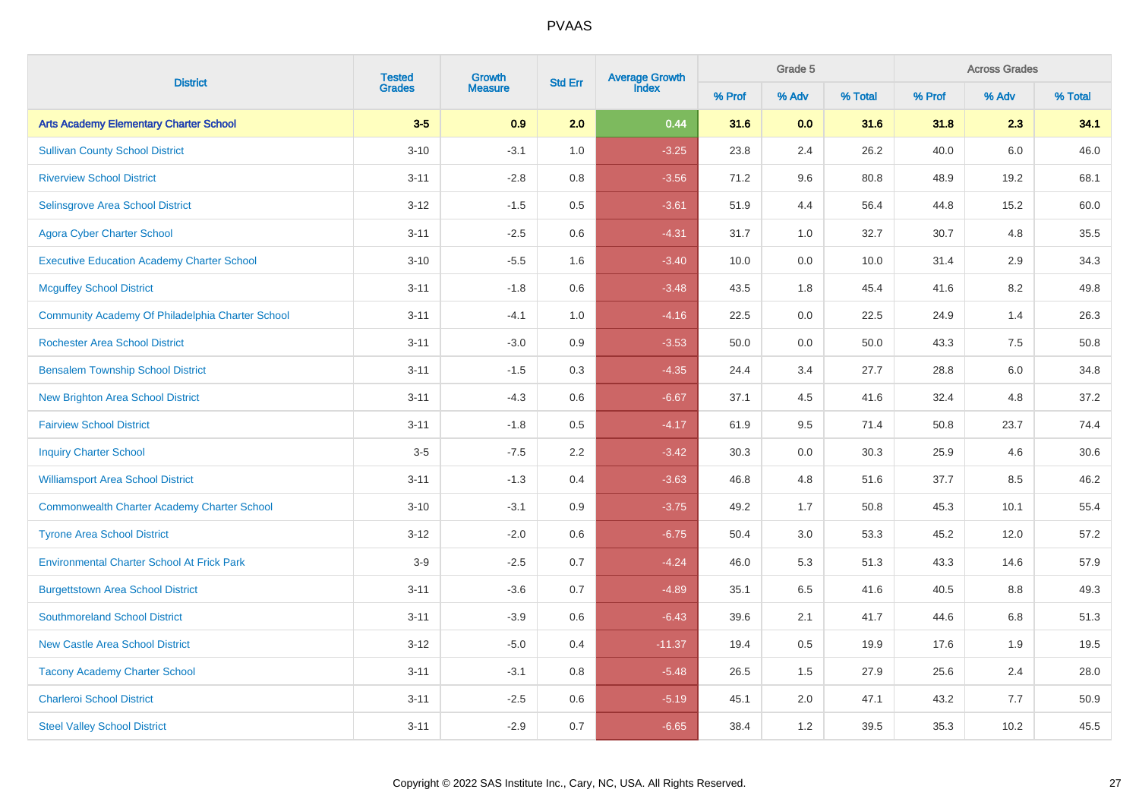| <b>District</b>                                    |               | <b>Tested</b><br>Growth | <b>Std Err</b> | Average Growth<br>Index |        | Grade 5 |         | <b>Across Grades</b> |                                                                                                                            |         |  |
|----------------------------------------------------|---------------|-------------------------|----------------|-------------------------|--------|---------|---------|----------------------|----------------------------------------------------------------------------------------------------------------------------|---------|--|
|                                                    | <b>Grades</b> | <b>Measure</b>          |                |                         | % Prof | % Adv   | % Total | % Prof               | % Adv<br>2.3<br>$6.0\,$<br>19.2<br>15.2<br>4.8<br>2.9<br>8.2<br>1.4<br>$7.5\,$<br>6.0<br>4.8<br>23.7<br>4.6<br>8.5<br>10.1 | % Total |  |
| <b>Arts Academy Elementary Charter School</b>      | $3-5$         | 0.9                     | 2.0            | 0.44                    | 31.6   | 0.0     | 31.6    | 31.8                 |                                                                                                                            | 34.1    |  |
| <b>Sullivan County School District</b>             | $3 - 10$      | $-3.1$                  | 1.0            | $-3.25$                 | 23.8   | 2.4     | 26.2    | 40.0                 |                                                                                                                            | 46.0    |  |
| <b>Riverview School District</b>                   | $3 - 11$      | $-2.8$                  | 0.8            | $-3.56$                 | 71.2   | 9.6     | 80.8    | 48.9                 |                                                                                                                            | 68.1    |  |
| Selinsgrove Area School District                   | $3 - 12$      | $-1.5$                  | 0.5            | $-3.61$                 | 51.9   | 4.4     | 56.4    | 44.8                 |                                                                                                                            | 60.0    |  |
| <b>Agora Cyber Charter School</b>                  | $3 - 11$      | $-2.5$                  | 0.6            | $-4.31$                 | 31.7   | 1.0     | 32.7    | 30.7                 |                                                                                                                            | 35.5    |  |
| <b>Executive Education Academy Charter School</b>  | $3 - 10$      | $-5.5$                  | 1.6            | $-3.40$                 | 10.0   | 0.0     | 10.0    | 31.4                 |                                                                                                                            | 34.3    |  |
| <b>Mcguffey School District</b>                    | $3 - 11$      | $-1.8$                  | 0.6            | $-3.48$                 | 43.5   | 1.8     | 45.4    | 41.6                 |                                                                                                                            | 49.8    |  |
| Community Academy Of Philadelphia Charter School   | $3 - 11$      | $-4.1$                  | 1.0            | $-4.16$                 | 22.5   | 0.0     | 22.5    | 24.9                 |                                                                                                                            | 26.3    |  |
| <b>Rochester Area School District</b>              | $3 - 11$      | $-3.0$                  | 0.9            | $-3.53$                 | 50.0   | $0.0\,$ | 50.0    | 43.3                 |                                                                                                                            | 50.8    |  |
| <b>Bensalem Township School District</b>           | $3 - 11$      | $-1.5$                  | 0.3            | $-4.35$                 | 24.4   | 3.4     | 27.7    | 28.8                 |                                                                                                                            | 34.8    |  |
| <b>New Brighton Area School District</b>           | $3 - 11$      | $-4.3$                  | 0.6            | $-6.67$                 | 37.1   | 4.5     | 41.6    | 32.4                 |                                                                                                                            | 37.2    |  |
| <b>Fairview School District</b>                    | $3 - 11$      | $-1.8$                  | 0.5            | $-4.17$                 | 61.9   | 9.5     | 71.4    | 50.8                 |                                                                                                                            | 74.4    |  |
| <b>Inquiry Charter School</b>                      | $3-5$         | $-7.5$                  | 2.2            | $-3.42$                 | 30.3   | 0.0     | 30.3    | 25.9                 |                                                                                                                            | 30.6    |  |
| <b>Williamsport Area School District</b>           | $3 - 11$      | $-1.3$                  | 0.4            | $-3.63$                 | 46.8   | 4.8     | 51.6    | 37.7                 |                                                                                                                            | 46.2    |  |
| <b>Commonwealth Charter Academy Charter School</b> | $3 - 10$      | $-3.1$                  | 0.9            | $-3.75$                 | 49.2   | 1.7     | 50.8    | 45.3                 |                                                                                                                            | 55.4    |  |
| <b>Tyrone Area School District</b>                 | $3 - 12$      | $-2.0$                  | 0.6            | $-6.75$                 | 50.4   | 3.0     | 53.3    | 45.2                 | 12.0                                                                                                                       | 57.2    |  |
| <b>Environmental Charter School At Frick Park</b>  | $3-9$         | $-2.5$                  | 0.7            | $-4.24$                 | 46.0   | 5.3     | 51.3    | 43.3                 | 14.6                                                                                                                       | 57.9    |  |
| <b>Burgettstown Area School District</b>           | $3 - 11$      | $-3.6$                  | 0.7            | $-4.89$                 | 35.1   | 6.5     | 41.6    | 40.5                 | 8.8                                                                                                                        | 49.3    |  |
| <b>Southmoreland School District</b>               | $3 - 11$      | $-3.9$                  | 0.6            | $-6.43$                 | 39.6   | 2.1     | 41.7    | 44.6                 | 6.8                                                                                                                        | 51.3    |  |
| <b>New Castle Area School District</b>             | $3 - 12$      | $-5.0$                  | 0.4            | $-11.37$                | 19.4   | 0.5     | 19.9    | 17.6                 | 1.9                                                                                                                        | 19.5    |  |
| <b>Tacony Academy Charter School</b>               | $3 - 11$      | $-3.1$                  | 0.8            | $-5.48$                 | 26.5   | 1.5     | 27.9    | 25.6                 | 2.4                                                                                                                        | 28.0    |  |
| <b>Charleroi School District</b>                   | $3 - 11$      | $-2.5$                  | 0.6            | $-5.19$                 | 45.1   | 2.0     | 47.1    | 43.2                 | 7.7                                                                                                                        | 50.9    |  |
| <b>Steel Valley School District</b>                | $3 - 11$      | $-2.9$                  | 0.7            | $-6.65$                 | 38.4   | 1.2     | 39.5    | 35.3                 | 10.2                                                                                                                       | 45.5    |  |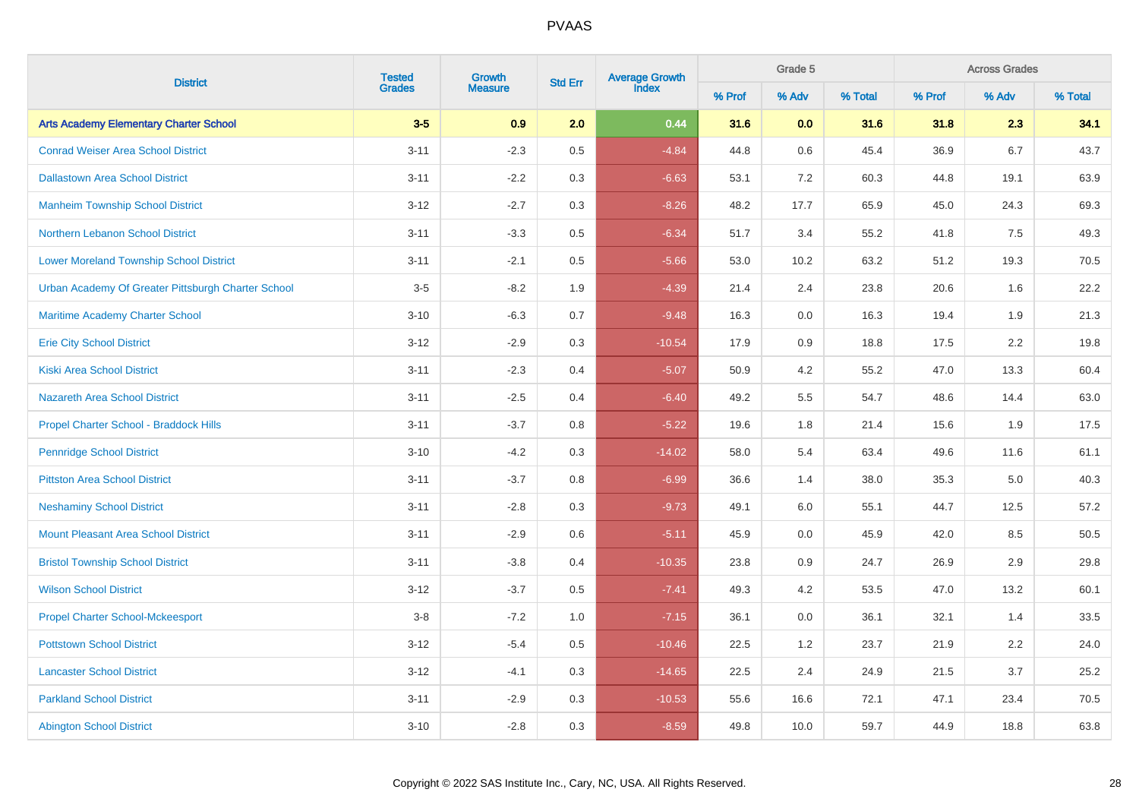| <b>District</b>                                    | <b>Tested</b><br>Growth | Average Growth<br>Index<br><b>Std Err</b> |         | Grade 5  |        | <b>Across Grades</b> |         |        |       |         |
|----------------------------------------------------|-------------------------|-------------------------------------------|---------|----------|--------|----------------------|---------|--------|-------|---------|
|                                                    | <b>Grades</b>           | <b>Measure</b>                            |         |          | % Prof | % Adv                | % Total | % Prof | % Adv | % Total |
| <b>Arts Academy Elementary Charter School</b>      | $3-5$                   | 0.9                                       | 2.0     | 0.44     | 31.6   | 0.0                  | 31.6    | 31.8   | 2.3   | 34.1    |
| <b>Conrad Weiser Area School District</b>          | $3 - 11$                | $-2.3$                                    | $0.5\,$ | $-4.84$  | 44.8   | $0.6\,$              | 45.4    | 36.9   | 6.7   | 43.7    |
| <b>Dallastown Area School District</b>             | $3 - 11$                | $-2.2$                                    | 0.3     | $-6.63$  | 53.1   | 7.2                  | 60.3    | 44.8   | 19.1  | 63.9    |
| <b>Manheim Township School District</b>            | $3 - 12$                | $-2.7$                                    | 0.3     | $-8.26$  | 48.2   | 17.7                 | 65.9    | 45.0   | 24.3  | 69.3    |
| Northern Lebanon School District                   | $3 - 11$                | $-3.3$                                    | 0.5     | $-6.34$  | 51.7   | 3.4                  | 55.2    | 41.8   | 7.5   | 49.3    |
| <b>Lower Moreland Township School District</b>     | $3 - 11$                | $-2.1$                                    | 0.5     | $-5.66$  | 53.0   | 10.2                 | 63.2    | 51.2   | 19.3  | 70.5    |
| Urban Academy Of Greater Pittsburgh Charter School | $3-5$                   | $-8.2$                                    | 1.9     | $-4.39$  | 21.4   | 2.4                  | 23.8    | 20.6   | 1.6   | 22.2    |
| Maritime Academy Charter School                    | $3 - 10$                | $-6.3$                                    | 0.7     | $-9.48$  | 16.3   | $0.0\,$              | 16.3    | 19.4   | 1.9   | 21.3    |
| <b>Erie City School District</b>                   | $3 - 12$                | $-2.9$                                    | 0.3     | $-10.54$ | 17.9   | 0.9                  | 18.8    | 17.5   | 2.2   | 19.8    |
| <b>Kiski Area School District</b>                  | $3 - 11$                | $-2.3$                                    | 0.4     | $-5.07$  | 50.9   | 4.2                  | 55.2    | 47.0   | 13.3  | 60.4    |
| <b>Nazareth Area School District</b>               | $3 - 11$                | $-2.5$                                    | 0.4     | $-6.40$  | 49.2   | 5.5                  | 54.7    | 48.6   | 14.4  | 63.0    |
| Propel Charter School - Braddock Hills             | $3 - 11$                | $-3.7$                                    | 0.8     | $-5.22$  | 19.6   | 1.8                  | 21.4    | 15.6   | 1.9   | 17.5    |
| <b>Pennridge School District</b>                   | $3 - 10$                | $-4.2$                                    | 0.3     | $-14.02$ | 58.0   | 5.4                  | 63.4    | 49.6   | 11.6  | 61.1    |
| <b>Pittston Area School District</b>               | $3 - 11$                | $-3.7$                                    | 0.8     | $-6.99$  | 36.6   | 1.4                  | 38.0    | 35.3   | 5.0   | 40.3    |
| <b>Neshaminy School District</b>                   | $3 - 11$                | $-2.8$                                    | 0.3     | $-9.73$  | 49.1   | 6.0                  | 55.1    | 44.7   | 12.5  | 57.2    |
| <b>Mount Pleasant Area School District</b>         | $3 - 11$                | $-2.9$                                    | 0.6     | $-5.11$  | 45.9   | 0.0                  | 45.9    | 42.0   | 8.5   | 50.5    |
| <b>Bristol Township School District</b>            | $3 - 11$                | $-3.8$                                    | 0.4     | $-10.35$ | 23.8   | 0.9                  | 24.7    | 26.9   | 2.9   | 29.8    |
| <b>Wilson School District</b>                      | $3 - 12$                | $-3.7$                                    | 0.5     | $-7.41$  | 49.3   | 4.2                  | 53.5    | 47.0   | 13.2  | 60.1    |
| <b>Propel Charter School-Mckeesport</b>            | $3-8$                   | $-7.2$                                    | 1.0     | $-7.15$  | 36.1   | 0.0                  | 36.1    | 32.1   | 1.4   | 33.5    |
| <b>Pottstown School District</b>                   | $3 - 12$                | $-5.4$                                    | 0.5     | $-10.46$ | 22.5   | 1.2                  | 23.7    | 21.9   | 2.2   | 24.0    |
| <b>Lancaster School District</b>                   | $3 - 12$                | $-4.1$                                    | 0.3     | $-14.65$ | 22.5   | 2.4                  | 24.9    | 21.5   | 3.7   | 25.2    |
| <b>Parkland School District</b>                    | $3 - 11$                | $-2.9$                                    | 0.3     | $-10.53$ | 55.6   | 16.6                 | 72.1    | 47.1   | 23.4  | 70.5    |
| <b>Abington School District</b>                    | $3 - 10$                | $-2.8$                                    | 0.3     | $-8.59$  | 49.8   | 10.0                 | 59.7    | 44.9   | 18.8  | 63.8    |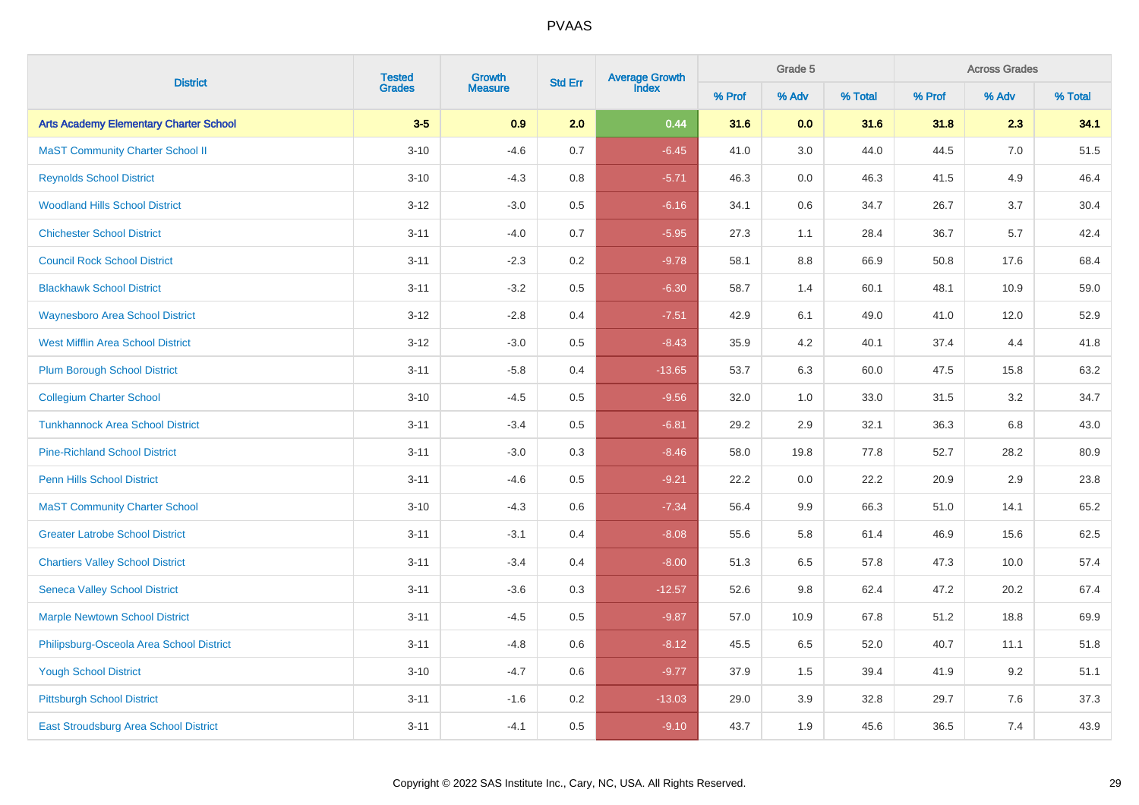| <b>District</b>                               | <b>Tested</b><br>Growth | Average Growth<br>Index<br><b>Std Err</b> |         | Grade 5  |        | <b>Across Grades</b> |         |        |       |         |
|-----------------------------------------------|-------------------------|-------------------------------------------|---------|----------|--------|----------------------|---------|--------|-------|---------|
|                                               | <b>Grades</b>           | <b>Measure</b>                            |         |          | % Prof | % Adv                | % Total | % Prof | % Adv | % Total |
| <b>Arts Academy Elementary Charter School</b> | $3-5$                   | 0.9                                       | 2.0     | 0.44     | 31.6   | 0.0                  | 31.6    | 31.8   | 2.3   | 34.1    |
| <b>MaST Community Charter School II</b>       | $3 - 10$                | $-4.6$                                    | 0.7     | $-6.45$  | 41.0   | 3.0                  | 44.0    | 44.5   | 7.0   | 51.5    |
| <b>Reynolds School District</b>               | $3 - 10$                | $-4.3$                                    | 0.8     | $-5.71$  | 46.3   | $0.0\,$              | 46.3    | 41.5   | 4.9   | 46.4    |
| <b>Woodland Hills School District</b>         | $3 - 12$                | $-3.0$                                    | 0.5     | $-6.16$  | 34.1   | 0.6                  | 34.7    | 26.7   | 3.7   | 30.4    |
| <b>Chichester School District</b>             | $3 - 11$                | $-4.0$                                    | 0.7     | $-5.95$  | 27.3   | 1.1                  | 28.4    | 36.7   | 5.7   | 42.4    |
| <b>Council Rock School District</b>           | $3 - 11$                | $-2.3$                                    | $0.2\,$ | $-9.78$  | 58.1   | 8.8                  | 66.9    | 50.8   | 17.6  | 68.4    |
| <b>Blackhawk School District</b>              | $3 - 11$                | $-3.2$                                    | 0.5     | $-6.30$  | 58.7   | 1.4                  | 60.1    | 48.1   | 10.9  | 59.0    |
| <b>Waynesboro Area School District</b>        | $3 - 12$                | $-2.8$                                    | 0.4     | $-7.51$  | 42.9   | 6.1                  | 49.0    | 41.0   | 12.0  | 52.9    |
| <b>West Mifflin Area School District</b>      | $3 - 12$                | $-3.0$                                    | 0.5     | $-8.43$  | 35.9   | 4.2                  | 40.1    | 37.4   | 4.4   | 41.8    |
| <b>Plum Borough School District</b>           | $3 - 11$                | $-5.8$                                    | 0.4     | $-13.65$ | 53.7   | 6.3                  | 60.0    | 47.5   | 15.8  | 63.2    |
| <b>Collegium Charter School</b>               | $3 - 10$                | $-4.5$                                    | 0.5     | $-9.56$  | 32.0   | 1.0                  | 33.0    | 31.5   | 3.2   | 34.7    |
| <b>Tunkhannock Area School District</b>       | $3 - 11$                | $-3.4$                                    | 0.5     | $-6.81$  | 29.2   | 2.9                  | 32.1    | 36.3   | 6.8   | 43.0    |
| <b>Pine-Richland School District</b>          | $3 - 11$                | $-3.0$                                    | 0.3     | $-8.46$  | 58.0   | 19.8                 | 77.8    | 52.7   | 28.2  | 80.9    |
| <b>Penn Hills School District</b>             | $3 - 11$                | $-4.6$                                    | 0.5     | $-9.21$  | 22.2   | 0.0                  | 22.2    | 20.9   | 2.9   | 23.8    |
| <b>MaST Community Charter School</b>          | $3 - 10$                | $-4.3$                                    | 0.6     | $-7.34$  | 56.4   | 9.9                  | 66.3    | 51.0   | 14.1  | 65.2    |
| <b>Greater Latrobe School District</b>        | $3 - 11$                | $-3.1$                                    | 0.4     | $-8.08$  | 55.6   | 5.8                  | 61.4    | 46.9   | 15.6  | 62.5    |
| <b>Chartiers Valley School District</b>       | $3 - 11$                | $-3.4$                                    | 0.4     | $-8.00$  | 51.3   | 6.5                  | 57.8    | 47.3   | 10.0  | 57.4    |
| <b>Seneca Valley School District</b>          | $3 - 11$                | $-3.6$                                    | 0.3     | $-12.57$ | 52.6   | 9.8                  | 62.4    | 47.2   | 20.2  | 67.4    |
| <b>Marple Newtown School District</b>         | $3 - 11$                | $-4.5$                                    | 0.5     | $-9.87$  | 57.0   | 10.9                 | 67.8    | 51.2   | 18.8  | 69.9    |
| Philipsburg-Osceola Area School District      | $3 - 11$                | $-4.8$                                    | 0.6     | $-8.12$  | 45.5   | 6.5                  | 52.0    | 40.7   | 11.1  | 51.8    |
| <b>Yough School District</b>                  | $3 - 10$                | $-4.7$                                    | 0.6     | $-9.77$  | 37.9   | 1.5                  | 39.4    | 41.9   | 9.2   | 51.1    |
| <b>Pittsburgh School District</b>             | $3 - 11$                | $-1.6$                                    | 0.2     | $-13.03$ | 29.0   | 3.9                  | 32.8    | 29.7   | 7.6   | 37.3    |
| <b>East Stroudsburg Area School District</b>  | $3 - 11$                | $-4.1$                                    | 0.5     | $-9.10$  | 43.7   | 1.9                  | 45.6    | 36.5   | 7.4   | 43.9    |